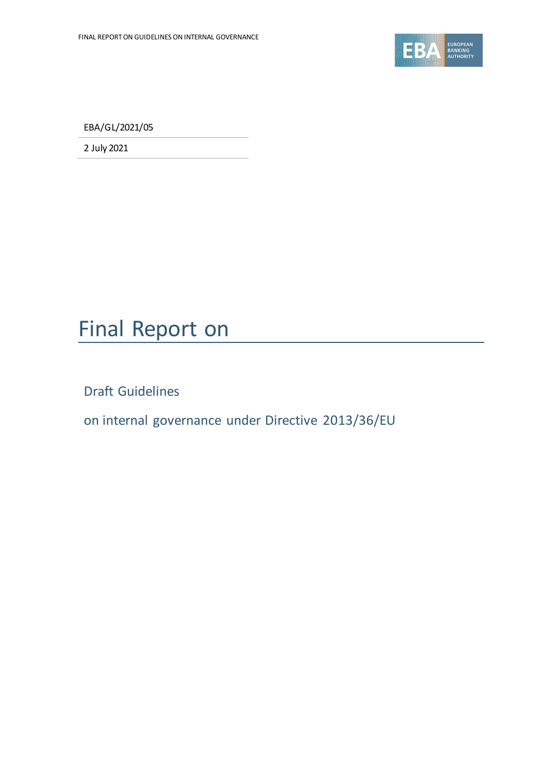

EBA/GL/2021/05

2 July 2021

## Final Report on

Draft Guidelines

on internal governance under Directive 2013/36/EU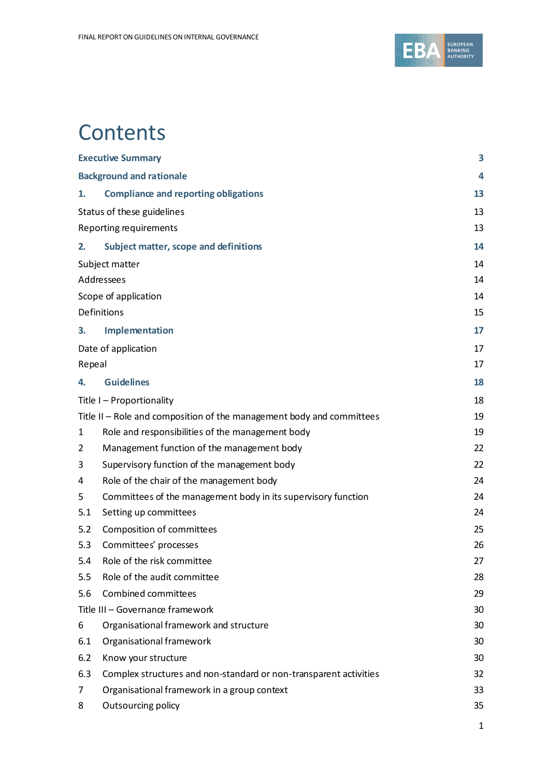

## **Contents**

|                                                                       | <b>Executive Summary</b>                                          | 3  |
|-----------------------------------------------------------------------|-------------------------------------------------------------------|----|
|                                                                       | <b>Background and rationale</b>                                   | 4  |
|                                                                       |                                                                   |    |
| 1.                                                                    | <b>Compliance and reporting obligations</b>                       | 13 |
|                                                                       | Status of these guidelines                                        | 13 |
|                                                                       | Reporting requirements                                            | 13 |
| 2.                                                                    | <b>Subject matter, scope and definitions</b>                      | 14 |
|                                                                       | Subject matter                                                    | 14 |
| Addressees                                                            |                                                                   | 14 |
|                                                                       | Scope of application                                              | 14 |
|                                                                       | Definitions                                                       | 15 |
| 3.                                                                    | Implementation                                                    | 17 |
|                                                                       | Date of application                                               | 17 |
| Repeal                                                                |                                                                   | 17 |
| 4.                                                                    | <b>Guidelines</b>                                                 | 18 |
|                                                                       | Title I - Proportionality                                         | 18 |
| Title II - Role and composition of the management body and committees |                                                                   | 19 |
| 1                                                                     | Role and responsibilities of the management body                  | 19 |
| 2                                                                     | Management function of the management body                        | 22 |
| 3                                                                     | Supervisory function of the management body                       | 22 |
| 4                                                                     | Role of the chair of the management body                          | 24 |
| 5                                                                     | Committees of the management body in its supervisory function     | 24 |
| 5.1                                                                   | Setting up committees                                             | 24 |
| 5.2                                                                   | Composition of committees                                         | 25 |
| 5.3                                                                   | Committees' processes                                             | 26 |
| 5.4                                                                   | Role of the risk committee                                        | 27 |
| 5.5                                                                   | Role of the audit committee                                       | 28 |
| 5.6                                                                   | Combined committees                                               | 29 |
| Title III - Governance framework                                      |                                                                   | 30 |
| 6                                                                     | Organisational framework and structure                            | 30 |
| 6.1                                                                   | Organisational framework                                          | 30 |
| 6.2                                                                   | Know your structure                                               | 30 |
| 6.3                                                                   | Complex structures and non-standard or non-transparent activities | 32 |
| 7                                                                     | Organisational framework in a group context                       | 33 |
| 8                                                                     | Outsourcing policy                                                | 35 |
|                                                                       |                                                                   | 1  |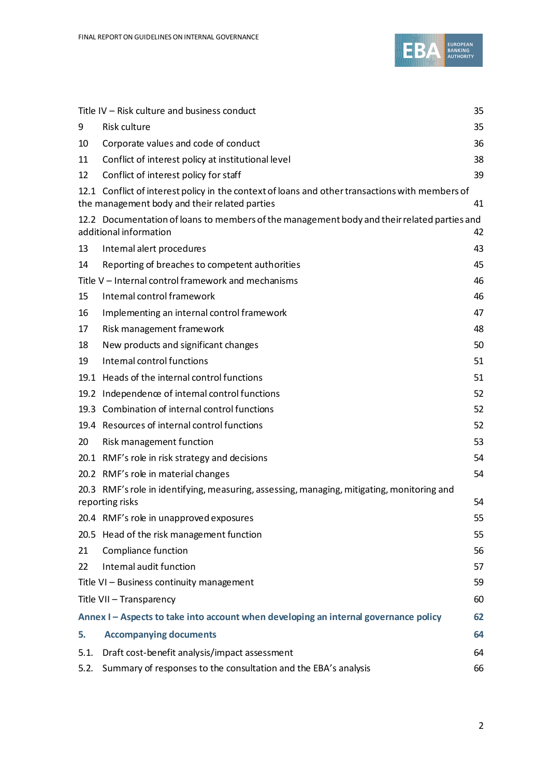

|      | Title IV - Risk culture and business conduct                                                                                                     | 35 |
|------|--------------------------------------------------------------------------------------------------------------------------------------------------|----|
| 9    | <b>Risk culture</b>                                                                                                                              | 35 |
| 10   | Corporate values and code of conduct                                                                                                             | 36 |
| 11   | Conflict of interest policy at institutional level                                                                                               | 38 |
| 12   | Conflict of interest policy for staff                                                                                                            | 39 |
|      | 12.1 Conflict of interest policy in the context of loans and other transactions with members of<br>the management body and their related parties | 41 |
|      | 12.2 Documentation of loans to members of the management body and their related parties and<br>additional information                            | 42 |
| 13   | Internal alert procedures                                                                                                                        | 43 |
| 14   | Reporting of breaches to competent authorities                                                                                                   | 45 |
|      | Title V - Internal control framework and mechanisms                                                                                              | 46 |
| 15   | Internal control framework                                                                                                                       | 46 |
| 16   | Implementing an internal control framework                                                                                                       | 47 |
| 17   | Risk management framework                                                                                                                        | 48 |
| 18   | New products and significant changes                                                                                                             | 50 |
| 19   | Internal control functions                                                                                                                       | 51 |
|      | 19.1 Heads of the internal control functions                                                                                                     | 51 |
|      | 19.2 Independence of intemal control functions                                                                                                   | 52 |
|      | 19.3 Combination of internal control functions                                                                                                   | 52 |
|      | 19.4 Resources of internal control functions                                                                                                     | 52 |
| 20   | Risk management function                                                                                                                         | 53 |
|      | 20.1 RMF's role in risk strategy and decisions                                                                                                   | 54 |
|      | 20.2 RMF's role in material changes                                                                                                              | 54 |
|      | 20.3 RMF's role in identifying, measuring, assessing, managing, mitigating, monitoring and<br>reporting risks                                    | 54 |
|      | 20.4 RMF's role in unapproved exposures                                                                                                          | 55 |
|      | 20.5 Head of the risk management function                                                                                                        | 55 |
| 21   | Compliance function                                                                                                                              | 56 |
| 22   | Intemal audit function                                                                                                                           | 57 |
|      | Title VI - Business continuity management                                                                                                        | 59 |
|      | Title VII - Transparency                                                                                                                         | 60 |
|      | Annex I - Aspects to take into account when developing an internal governance policy                                                             | 62 |
| 5.   | <b>Accompanying documents</b>                                                                                                                    | 64 |
| 5.1. | Draft cost-benefit analysis/impact assessment                                                                                                    | 64 |
| 5.2. | Summary of responses to the consultation and the EBA's analysis                                                                                  | 66 |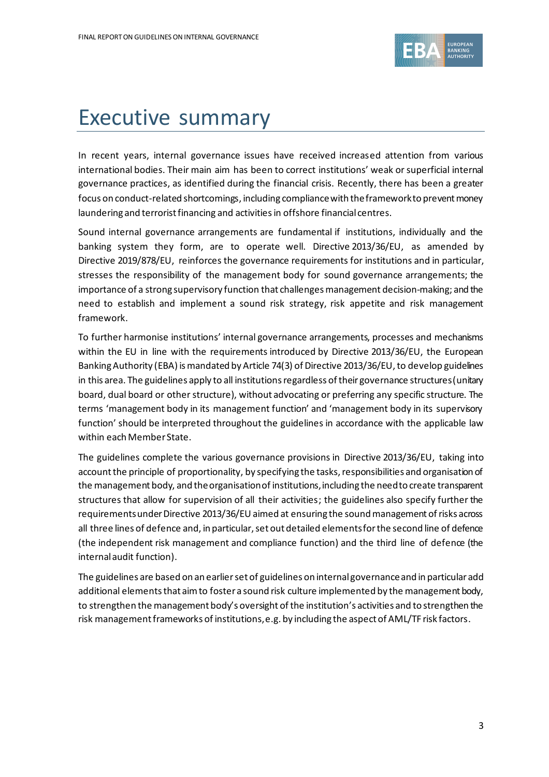

## Executive summary

In recent years, internal governance issues have received increased attention from various international bodies. Their main aim has been to correct institutions' weak or superficial internal governance practices, as identified during the financial crisis. Recently, there has been a greater focus on conduct-related shortcomings, including compliance with the framework to prevent money laundering and terrorist financing and activities in offshore financial centres.

Sound internal governance arrangements are fundamental if institutions, individually and the banking system they form, are to operate well. Directive 2013/36/EU, as amended by Directive 2019/878/EU, reinforces the governance requirements for institutions and in particular, stresses the responsibility of the management body for sound governance arrangements; the importance of a strong supervisory function that challenges management decision-making; and the need to establish and implement a sound risk strategy, risk appetite and risk management framework.

To further harmonise institutions' internal governance arrangements, processes and mechanisms within the EU in line with the requirements introduced by Directive 2013/36/EU, the European Banking Authority (EBA) is mandated by Article 74(3) of Directive 2013/36/EU, to develop guidelines in this area. The guidelines apply to all institutions regardless of their governance structures (unitary board, dual board or other structure), without advocating or preferring any specific structure. The terms 'management body in its management function' and 'management body in its supervisory function' should be interpreted throughout the guidelines in accordance with the applicable law within each Member State.

The guidelines complete the various governance provisions in Directive 2013/36/EU, taking into account the principle of proportionality, by specifying the tasks, responsibilities and organisation of the management body, and the organisation of institutions, including the need to create transparent structures that allow for supervision of all their activities; the guidelines also specify further the requirementsunder Directive 2013/36/EU aimed at ensuring the sound management of risks across all three lines of defence and, in particular, set out detailed elements for the second line of defence (the independent risk management and compliance function) and the third line of defence (the internalaudit function).

The guidelines are based on an earlier set of guidelines on internal governance and in particular add additional elements that aim to foster a sound risk culture implemented by the management body, to strengthen the management body's oversight of the institution's activities and to strengthen the risk management frameworks of institutions, e.g. by including the aspect of AML/TF risk factors.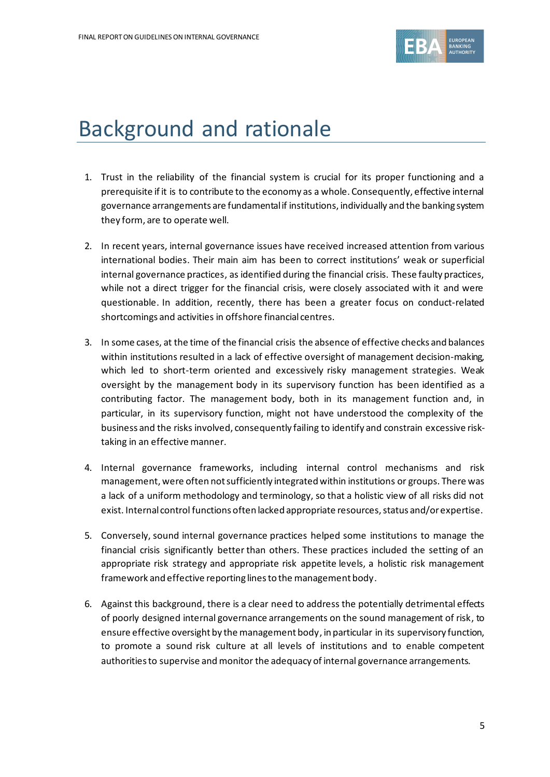

## Background and rationale

- 1. Trust in the reliability of the financial system is crucial for its proper functioning and a prerequisite if it is to contribute to the economy as a whole. Consequently, effective internal governance arrangements are fundamental if institutions, individually and the banking system they form, are to operate well.
- 2. In recent years, internal governance issues have received increased attention from various international bodies. Their main aim has been to correct institutions' weak or superficial internal governance practices, as identified during the financial crisis. These faulty practices, while not a direct trigger for the financial crisis, were closely associated with it and were questionable. In addition, recently, there has been a greater focus on conduct-related shortcomings and activities in offshore financial centres.
- 3. In some cases, at the time of the financial crisis the absence of effective checks and balances within institutions resulted in a lack of effective oversight of management decision-making, which led to short-term oriented and excessively risky management strategies. Weak oversight by the management body in its supervisory function has been identified as a contributing factor. The management body, both in its management function and, in particular, in its supervisory function, might not have understood the complexity of the business and the risks involved, consequently failing to identify and constrain excessive risktaking in an effective manner.
- 4. Internal governance frameworks, including internal control mechanisms and risk management, were often not sufficiently integrated within institutions or groups. There was a lack of a uniform methodology and terminology, so that a holistic view of all risks did not exist. Internal control functions often lacked appropriate resources, status and/or expertise.
- 5. Conversely, sound internal governance practices helped some institutions to manage the financial crisis significantly better than others. These practices included the setting of an appropriate risk strategy and appropriate risk appetite levels, a holistic risk management framework and effective reporting lines to the management body.
- 6. Against this background, there is a clear need to address the potentially detrimental effects of poorly designed internal governance arrangements on the sound management of risk, to ensure effective oversight by the management body, in particular in its supervisory function, to promote a sound risk culture at all levels of institutions and to enable competent authorities to supervise andmonitor the adequacy of internal governance arrangements.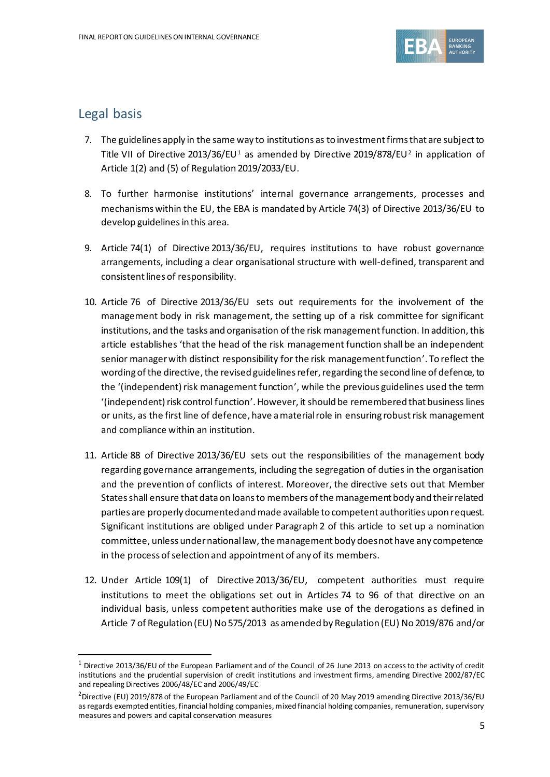

#### Legal basis

- 7. The guidelines apply in the same way to institutions as to investment firms that are subject to Title VII of Directive 2013/36/EU<sup>1</sup> as amended by Directive 2019/878/EU<sup>2</sup> in application of Article 1(2) and (5) of Regulation 2019/2033/EU.
- 8. To further harmonise institutions' internal governance arrangements, processes and mechanisms within the EU, the EBA is mandated by Article 74(3) of Directive 2013/36/EU to develop guidelines in this area.
- 9. Article 74(1) of Directive 2013/36/EU, requires institutions to have robust governance arrangements, including a clear organisational structure with well-defined, transparent and consistent lines of responsibility.
- 10. Article 76 of Directive 2013/36/EU sets out requirements for the involvement of the management body in risk management, the setting up of a risk committee for significant institutions, and the tasks and organisation of the risk management function. In addition, this article establishes 'that the head of the risk management function shall be an independent senior managerwith distinct responsibility for the risk management function'. To reflect the wording of the directive, the revised guidelines refer, regarding the second line of defence, to the '(independent) risk management function', while the previous guidelines used the term '(independent) risk control function'. However, it should be remembered that business lines or units, as the first line of defence, have a material role in ensuring robust risk management and compliance within an institution.
- 11. Article 88 of Directive 2013/36/EU sets out the responsibilities of the management body regarding governance arrangements, including the segregation of duties in the organisation and the prevention of conflicts of interest. Moreover, the directive sets out that Member States shall ensure that data on loans to members of the management body and their related parties are properly documented and made available to competent authorities upon request. Significant institutions are obliged under Paragraph 2 of this article to set up a nomination committee, unless under national law, the management body does not have any competence in the process of selection and appointment of any of its members.
- 12. Under Article 109(1) of Directive 2013/36/EU, competent authorities must require institutions to meet the obligations set out in Articles 74 to 96 of that directive on an individual basis, unless competent authorities make use of the derogations as defined in Article 7 of Regulation (EU) No 575/2013 as amended by Regulation (EU) No 2019/876 and/or

 $1$  Directive 2013/36/EU of the European Parliament and of the Council of 26 June 2013 on access to the activity of credit institutions and the prudential supervision of credit institutions and investment firms, amending Directive 2002/87/EC and repealing Directives 2006/48/EC and 2006/49/EC

<sup>&</sup>lt;sup>2</sup>Directive (EU) 2019/878 of the European Parliament and of the Council of 20 May 2019 amending Directive 2013/36/EU as regards exempted entities, financial holding companies, mixed financial holding companies, remuneration, supervisory measures and powers and capital conservation measures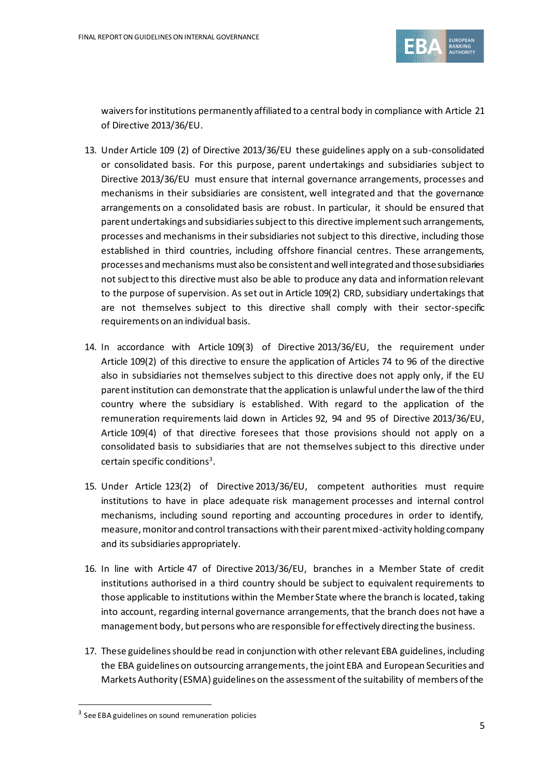

waivers for institutions permanently affiliated to a central body in compliance with Article 21 of Directive 2013/36/EU.

- 13. Under Article 109 (2) of Directive 2013/36/EU these guidelines apply on a sub-consolidated or consolidated basis. For this purpose, parent undertakings and subsidiaries subject to Directive 2013/36/EU must ensure that internal governance arrangements, processes and mechanisms in their subsidiaries are consistent, well integrated and that the governance arrangements on a consolidated basis are robust. In particular, it should be ensured that parent undertakings and subsidiaries subject to this directive implement such arrangements, processes and mechanisms in their subsidiaries not subject to this directive, including those established in third countries, including offshore financial centres. These arrangements, processes and mechanisms must also be consistent and well integrated and those subsidiaries not subject to this directive must also be able to produce any data and information relevant to the purpose of supervision. As set out in Article 109(2) CRD, subsidiary undertakings that are not themselves subject to this directive shall comply with their sector-specific requirements on an individual basis.
- 14. In accordance with Article 109(3) of Directive 2013/36/EU, the requirement under Article 109(2) of this directive to ensure the application of Articles 74 to 96 of the directive also in subsidiaries not themselves subject to this directive does not apply only, if the EU parent institution can demonstrate that the application is unlawful under the law of the third country where the subsidiary is established. With regard to the application of the remuneration requirements laid down in Articles 92, 94 and 95 of Directive 2013/36/EU, Article 109(4) of that directive foresees that those provisions should not apply on a consolidated basis to subsidiaries that are not themselves subject to this directive under certain specific conditions $^3$ .
- 15. Under Article 123(2) of Directive 2013/36/EU, competent authorities must require institutions to have in place adequate risk management processes and internal control mechanisms, including sound reporting and accounting procedures in order to identify, measure, monitor and control transactions with their parent mixed-activity holding company and its subsidiaries appropriately.
- 16. In line with Article 47 of Directive 2013/36/EU, branches in a Member State of credit institutions authorised in a third country should be subject to equivalent requirements to those applicable to institutions within the Member State where the branch is located, taking into account, regarding internal governance arrangements, that the branch does not have a management body, but persons who are responsible for effectively directing the business.
- 17. These guidelines should be read in conjunction with other relevant EBA guidelines, including the EBA guidelines on outsourcing arrangements, the joint EBA and European Securities and Markets Authority (ESMA) guidelines on the assessment of the suitability of members of the

<sup>&</sup>lt;sup>3</sup> See EBA guidelines on sound remuneration policies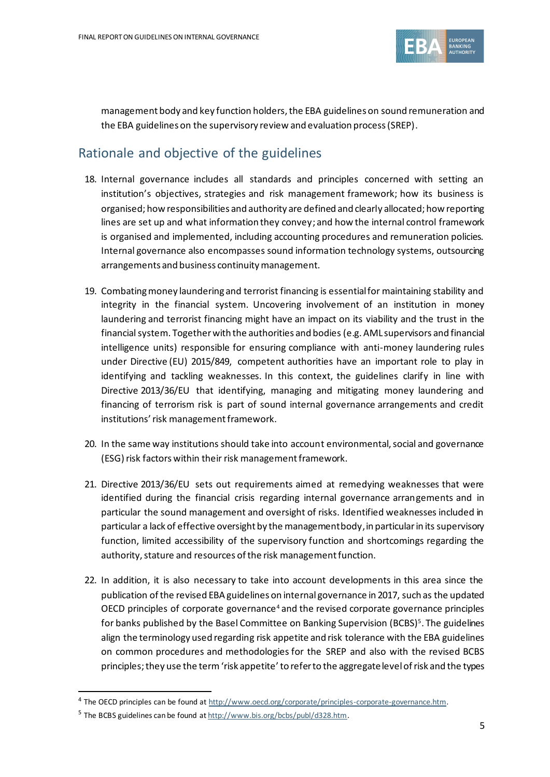

management body and key function holders, the EBA guidelines on sound remuneration and the EBA guidelines on the supervisory review and evaluation process (SREP).

## Rationale and objective of the guidelines

- 18. Internal governance includes all standards and principles concerned with setting an institution's objectives, strategies and risk management framework; how its business is organised; how responsibilities and authority are defined and clearly allocated; how reporting lines are set up and what information they convey; and how the internal control framework is organised and implemented, including accounting procedures and remuneration policies. Internal governance also encompasses sound information technology systems, outsourcing arrangements and business continuity management.
- 19. Combating money laundering and terrorist financing is essential for maintaining stability and integrity in the financial system. Uncovering involvement of an institution in money laundering and terrorist financing might have an impact on its viability and the trust in the financial system. Together with the authorities and bodies (e.g. AML supervisors and financial intelligence units) responsible for ensuring compliance with anti-money laundering rules under Directive (EU) 2015/849, competent authorities have an important role to play in identifying and tackling weaknesses. In this context, the guidelines clarify in line with Directive 2013/36/EU that identifying, managing and mitigating money laundering and financing of terrorism risk is part of sound internal governance arrangements and credit institutions' risk management framework.
- 20. In the same way institutions should take into account environmental, social and governance (ESG) risk factors within their risk management framework.
- 21. Directive 2013/36/EU sets out requirements aimed at remedying weaknesses that were identified during the financial crisis regarding internal governance arrangements and in particular the sound management and oversight of risks. Identified weaknesses included in particular a lack of effective oversight by the management body, in particular in its supervisory function, limited accessibility of the supervisory function and shortcomings regarding the authority, stature and resources of the risk management function.
- 22. In addition, it is also necessary to take into account developments in this area since the publication of the revised EBA guidelines on internal governance in 2017, such as the updated OECD principles of corporate governance<sup>4</sup> and the revised corporate governance principles for banks published by the Basel Committee on Banking Supervision (BCBS)<sup>5</sup>. The guidelines align the terminology used regarding risk appetite and risk tolerance with the EBA guidelines on common procedures and methodologies for the SREP and also with the revised BCBS principles;they use the term 'risk appetite'to refer to the aggregate level of risk and the types

<sup>&</sup>lt;sup>4</sup> The OECD principles can be found at [http://www.oecd.org/corporate/principles-corporate-governance.htm.](http://www.oecd.org/corporate/principles-corporate-governance.htm)

<sup>&</sup>lt;sup>5</sup> The BCBS guidelines can be found a[t http://www.bis.org/bcbs/publ/d328.htm.](http://www.bis.org/bcbs/publ/d328.htm)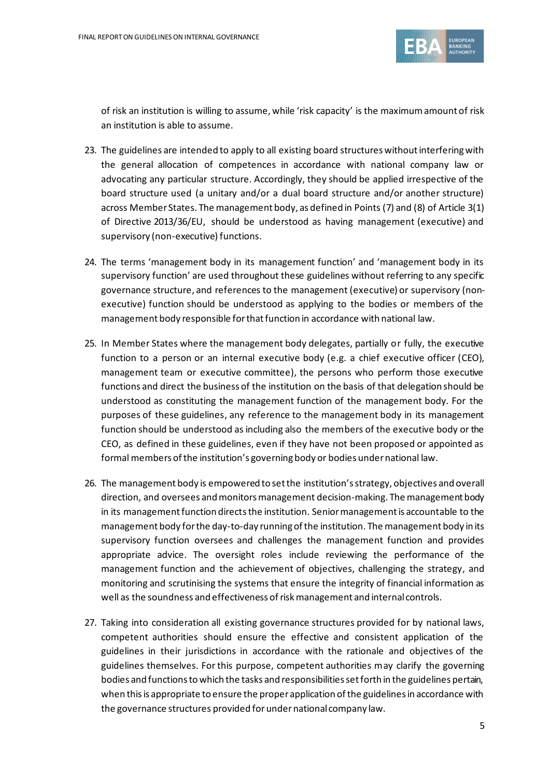

of risk an institution is willing to assume, while 'risk capacity' is the maximum amount of risk an institution is able to assume.

- 23. The guidelines are intended to apply to all existing board structures without interfering with the general allocation of competences in accordance with national company law or advocating any particular structure. Accordingly, they should be applied irrespective of the board structure used (a unitary and/or a dual board structure and/or another structure) across Member States. The management body, as defined in Points (7) and (8) of Article 3(1) of Directive 2013/36/EU, should be understood as having management (executive) and supervisory (non-executive) functions.
- 24. The terms 'management body in its management function' and 'management body in its supervisory function' are used throughout these guidelines without referring to any specific governance structure, and references to the management (executive) or supervisory (nonexecutive) function should be understood as applying to the bodies or members of the management body responsible for that function in accordance with national law.
- 25. In Member States where the management body delegates, partially or fully, the executive function to a person or an internal executive body (e.g. a chief executive officer (CEO), management team or executive committee), the persons who perform those executive functions and direct the business of the institution on the basis of that delegation should be understood as constituting the management function of the management body. For the purposes of these guidelines, any reference to the management body in its management function should be understood as including also the members of the executive body or the CEO, as defined in these guidelines, even if they have not been proposed or appointed as formal members of the institution's governing body or bodies under national law.
- 26. The management body is empowered to set the institution's strategy, objectives and overall direction, and oversees and monitors management decision-making. The management body in its management function directsthe institution. Senior management is accountable to the management body for the day-to-day running of the institution. The management body in its supervisory function oversees and challenges the management function and provides appropriate advice. The oversight roles include reviewing the performance of the management function and the achievement of objectives, challenging the strategy, and monitoring and scrutinising the systems that ensure the integrity of financial information as well as the soundness and effectiveness of risk management and internal controls.
- 27. Taking into consideration all existing governance structures provided for by national laws, competent authorities should ensure the effective and consistent application of the guidelines in their jurisdictions in accordance with the rationale and objectives of the guidelines themselves. For this purpose, competent authorities may clarify the governing bodies and functions to which the tasks and responsibilities set forth in the guidelines pertain, when this is appropriate to ensure the proper application of the guidelines in accordance with the governance structures provided for under national company law.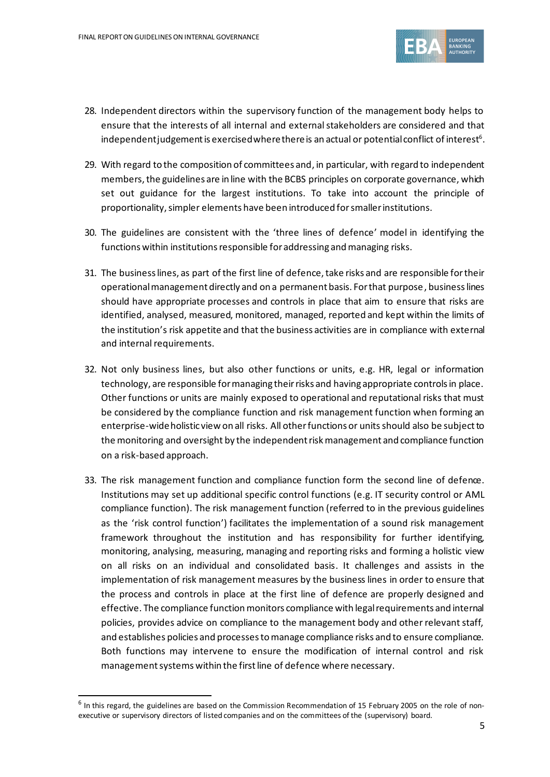

- 28. Independent directors within the supervisory function of the management body helps to ensure that the interests of all internal and external stakeholders are considered and that independent judgement is exercised where there is an actual or potential conflict of interest $^{\rm 6}.$
- 29. With regard to the composition of committees and, in particular, with regard to independent members, the guidelines are in line with the BCBS principles on corporate governance, which set out guidance for the largest institutions. To take into account the principle of proportionality,simpler elements have been introduced for smaller institutions.
- 30. The guidelines are consistent with the 'three lines of defence' model in identifying the functions within institutions responsible for addressing and managing risks.
- 31. The business lines, as part of the first line of defence, take risks and are responsible for their operational management directly and on a permanent basis. For that purpose, business lines should have appropriate processes and controls in place that aim to ensure that risks are identified, analysed, measured, monitored, managed, reported and kept within the limits of the institution's risk appetite and that the business activities are in compliance with external and internal requirements.
- 32. Not only business lines, but also other functions or units, e.g. HR, legal or information technology, are responsible for managing their risks and having appropriate controls in place. Other functions or units are mainly exposed to operational and reputational risks that must be considered by the compliance function and risk management function when forming an enterprise-wide holistic view on all risks. All other functions or units should also be subject to the monitoring and oversight by the independent risk management and compliance function on a risk-based approach.
- 33. The risk management function and compliance function form the second line of defence. Institutions may set up additional specific control functions (e.g. IT security control or AML compliance function). The risk management function (referred to in the previous guidelines as the 'risk control function') facilitates the implementation of a sound risk management framework throughout the institution and has responsibility for further identifying, monitoring, analysing, measuring, managing and reporting risks and forming a holistic view on all risks on an individual and consolidated basis. It challenges and assists in the implementation of risk management measures by the business lines in order to ensure that the process and controls in place at the first line of defence are properly designed and effective. The compliance function monitors compliance with legal requirements and internal policies, provides advice on compliance to the management body and other relevant staff, and establishes policies and processes to manage compliance risks and to ensure compliance. Both functions may intervene to ensure the modification of internal control and risk management systems within the first line of defence where necessary.

<sup>&</sup>lt;sup>6</sup> In this regard, the guidelines are based on the Commission Recommendation of 15 February 2005 on the role of nonexecutive or supervisory directors of listed companies and on the committees of the (supervisory) board.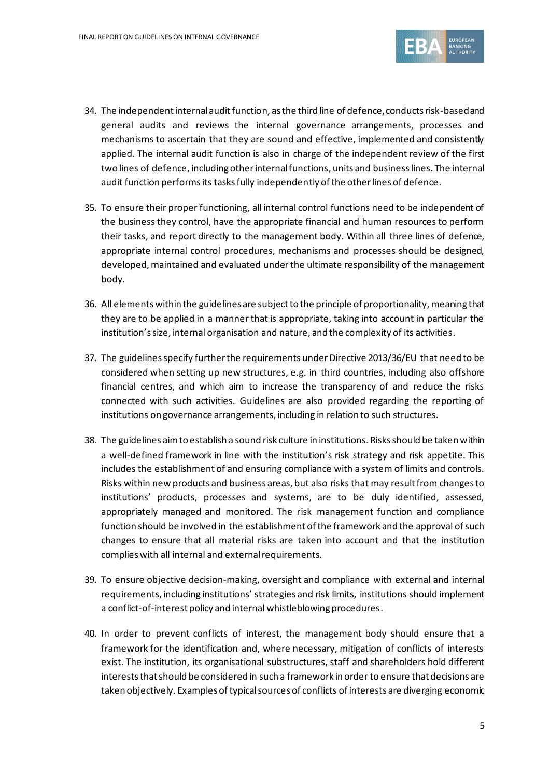

- 34. The independent internal audit function, as the third line of defence, conducts risk-based and general audits and reviews the internal governance arrangements, processes and mechanisms to ascertain that they are sound and effective, implemented and consistently applied. The internal audit function is also in charge of the independent review of the first two lines of defence, including other internal functions, units and business lines. The internal audit function performs its tasks fully independently of the other lines of defence.
- 35. To ensure their proper functioning, all internal control functions need to be independent of the business they control, have the appropriate financial and human resources to perform their tasks, and report directly to the management body. Within all three lines of defence, appropriate internal control procedures, mechanisms and processes should be designed, developed, maintained and evaluated under the ultimate responsibility of the management body.
- 36. All elements within the guidelines are subject to the principle of proportionality, meaning that they are to be applied in a manner that is appropriate, taking into account in particular the institution's size, internal organisation and nature, and the complexity of its activities.
- 37. The guidelines specify further the requirements under Directive 2013/36/EU that need to be considered when setting up new structures, e.g. in third countries, including also offshore financial centres, and which aim to increase the transparency of and reduce the risks connected with such activities. Guidelines are also provided regarding the reporting of institutions on governance arrangements, including in relation to such structures.
- 38. The guidelines aim to establish a sound risk culture in institutions. Risks should be taken within a well-defined framework in line with the institution's risk strategy and risk appetite. This includes the establishment of and ensuring compliance with a system of limits and controls. Risks within new products and business areas, but also risks that may result from changes to institutions' products, processes and systems, are to be duly identified, assessed, appropriately managed and monitored. The risk management function and compliance function should be involved in the establishment of the framework and the approval of such changes to ensure that all material risks are taken into account and that the institution complies with all internal and external requirements.
- 39. To ensure objective decision-making, oversight and compliance with external and internal requirements, including institutions' strategies and risk limits, institutions should implement a conflict-of-interest policy and internal whistleblowing procedures.
- 40. In order to prevent conflicts of interest, the management body should ensure that a framework for the identification and, where necessary, mitigation of conflicts of interests exist. The institution, its organisational substructures, staff and shareholders hold different intereststhat should be considered in such a framework in order to ensure that decisions are taken objectively. Examples of typical sources of conflicts of interests are diverging economic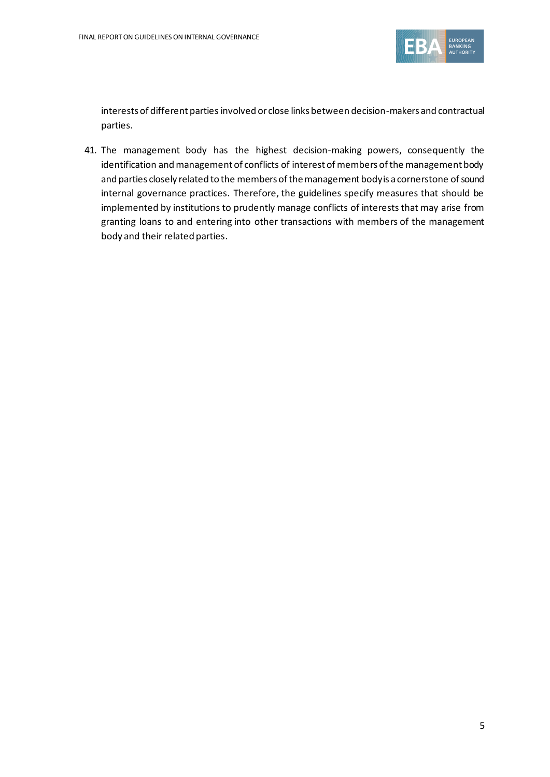

interests of different parties involved or close links between decision-makers and contractual parties.

41. The management body has the highest decision-making powers, consequently the identification and management of conflicts of interest of members of the management body and parties closely related to the members of the management body is a cornerstone of sound internal governance practices. Therefore, the guidelines specify measures that should be implemented by institutions to prudently manage conflicts of interests that may arise from granting loans to and entering into other transactions with members of the management body and their related parties.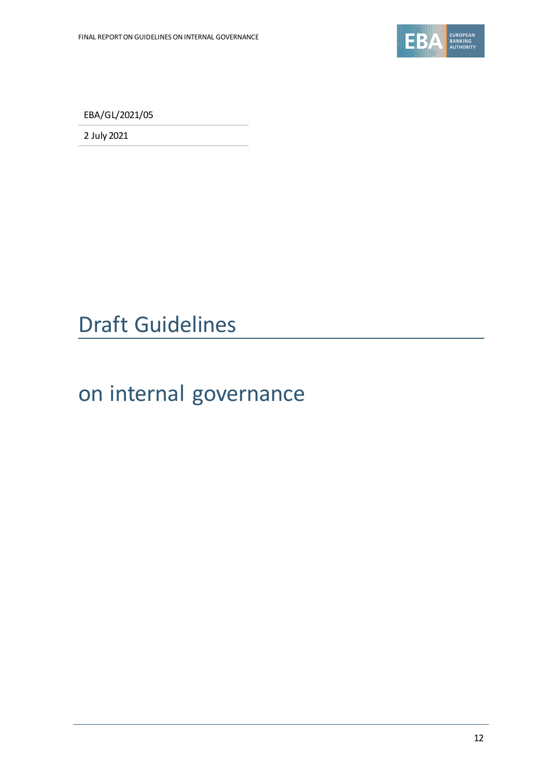

EBA/GL/2021/05

2 July 2021

## Draft Guidelines

# on internal governance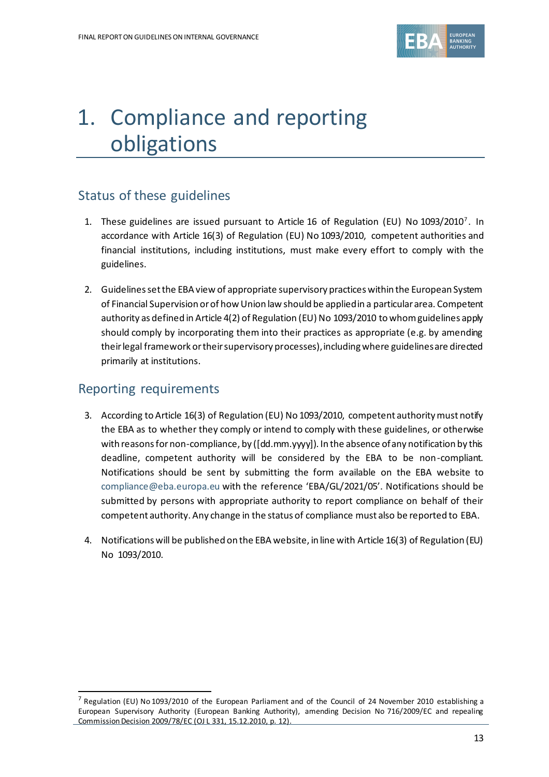

# 1. Compliance and reporting obligations

## Status of these guidelines

- 1. These guidelines are issued pursuant to Article 16 of Regulation (EU) No 1093/2010<sup>7</sup> . In accordance with Article 16(3) of Regulation (EU) No 1093/2010, competent authorities and financial institutions, including institutions, must make every effort to comply with the guidelines.
- 2. Guidelines set the EBA view of appropriate supervisory practices within the European System of Financial Supervision or of how Union law should be applied in a particular area. Competent authority as defined in Article 4(2) of Regulation (EU) No 1093/2010 to whom guidelines apply should comply by incorporating them into their practices as appropriate (e.g. by amending their legal framework or their supervisory processes), including where guidelines are directed primarily at institutions.

### Reporting requirements

- 3. According to Article 16(3) of Regulation (EU) No 1093/2010, competent authority must notify the EBA as to whether they comply or intend to comply with these guidelines, or otherwise with reasons for non-compliance, by ([dd.mm.yyyy]). In the absence of any notification by this deadline, competent authority will be considered by the EBA to be non-compliant. Notifications should be sent by submitting the form available on the EBA website to [compliance@eba.europa.eu](mailto:compliance@eba.europa.eu) with the reference 'EBA/GL/2021/05'. Notifications should be submitted by persons with appropriate authority to report compliance on behalf of their competent authority. Any change in the status of compliance must also be reported to EBA.
- 4. Notifications will be published on the EBA website, in line with Article 16(3) of Regulation (EU) No 1093/2010.

<sup>&</sup>lt;sup>7</sup> Regulation (EU) No 1093/2010 of the European Parliament and of the Council of 24 November 2010 establishing a European Supervisory Authority (European Banking Authority), amending Decision No 716/2009/EC and repealing Commission Decision 2009/78/EC (OJ L 331, 15.12.2010, p. 12).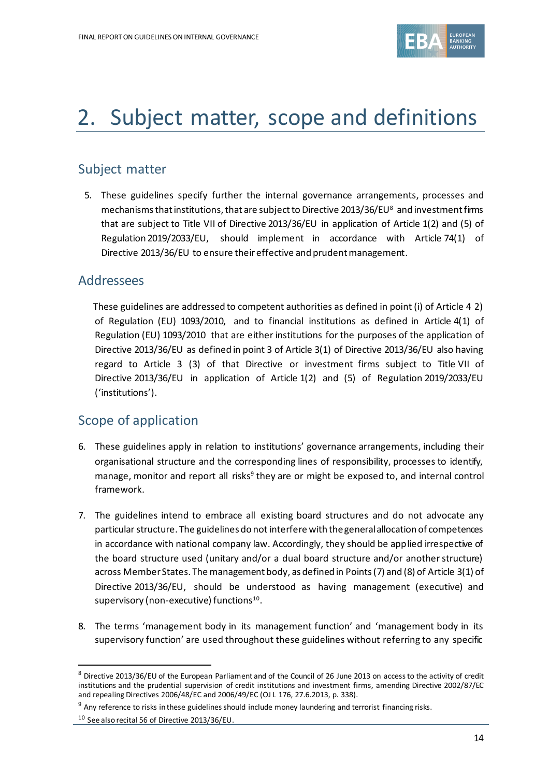

## 2. Subject matter, scope and definitions

#### Subject matter

5. These guidelines specify further the internal governance arrangements, processes and mechanisms that institutions, that are subject to Directive 2013/36/EU<sup>8</sup> and investment firms that are subject to Title VII of Directive 2013/36/EU in application of Article 1(2) and (5) of Regulation 2019/2033/EU, should implement in accordance with Article 74(1) of Directive 2013/36/EU to ensure their effective and prudent management.

#### Addressees

 These guidelines are addressed to competent authorities as defined in point (i) of Article 4 2) of Regulation (EU) 1093/2010, and to financial institutions as defined in Article 4(1) of Regulation (EU) 1093/2010 that are either institutions for the purposes of the application of Directive 2013/36/EU as defined in point 3 of Article 3(1) of Directive 2013/36/EU also having regard to Article 3 (3) of that Directive or investment firms subject to Title VII of Directive 2013/36/EU in application of Article 1(2) and (5) of Regulation 2019/2033/EU ('institutions').

## Scope of application

- 6. These guidelines apply in relation to institutions' governance arrangements, including their organisational structure and the corresponding lines of responsibility, processes to identify, manage, monitor and report all risks<sup>9</sup> they are or might be exposed to, and internal control framework.
- 7. The guidelines intend to embrace all existing board structures and do not advocate any particular structure. The guidelines do not interfere with the general allocation of competences in accordance with national company law. Accordingly, they should be applied irrespective of the board structure used (unitary and/or a dual board structure and/or another structure) across Member States. The management body, as defined in Points(7) and (8) of Article 3(1) of Directive 2013/36/EU, should be understood as having management (executive) and supervisory (non-executive) functions $^{10}$ .
- 8. The terms 'management body in its management function' and 'management body in its supervisory function' are used throughout these guidelines without referring to any specific

<sup>8</sup> Directive 2013/36/EU of the European Parliament and of the Council of 26 June 2013 on access to the activity of credit institutions and the prudential supervision of credit institutions and investment firms, amending Directive 2002/87/EC and repealing Directives 2006/48/EC and 2006/49/EC (OJ L 176, 27.6.2013, p. 338).

<sup>&</sup>lt;sup>9</sup> Any reference to risks in these guidelines should include money laundering and terrorist financing risks.

<sup>10</sup> See also recital 56 of Directive 2013/36/EU.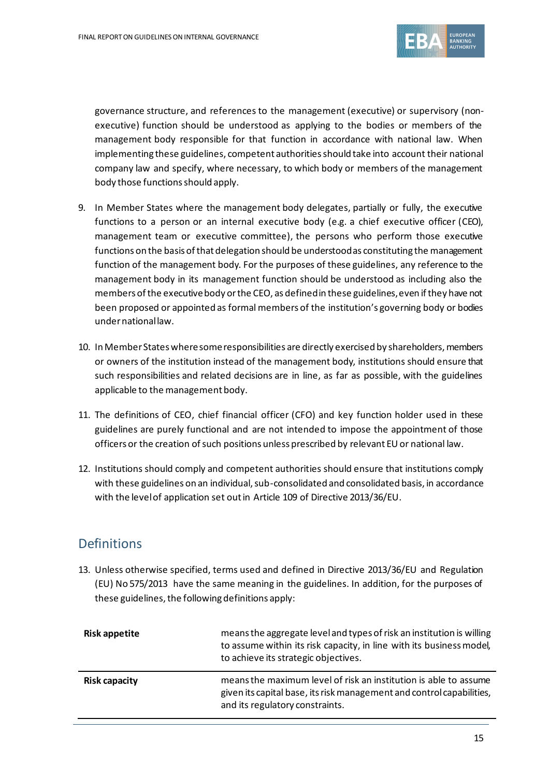

governance structure, and references to the management (executive) or supervisory (nonexecutive) function should be understood as applying to the bodies or members of the management body responsible for that function in accordance with national law. When implementing these guidelines, competent authorities should take into account their national company law and specify, where necessary, to which body or members of the management body those functions should apply.

- 9. In Member States where the management body delegates, partially or fully, the executive functions to a person or an internal executive body (e.g. a chief executive officer (CEO), management team or executive committee), the persons who perform those executive functions on the basis of that delegation should be understood as constituting the management function of the management body. For the purposes of these guidelines, any reference to the management body in its management function should be understood as including also the members of the executive body or the CEO, as defined in these guidelines, even if they have not been proposed or appointed as formal members of the institution's governing body or bodies under national law.
- 10. In Member States where some responsibilities are directly exercised by shareholders, members or owners of the institution instead of the management body, institutions should ensure that such responsibilities and related decisions are in line, as far as possible, with the guidelines applicable to the management body.
- 11. The definitions of CEO, chief financial officer (CFO) and key function holder used in these guidelines are purely functional and are not intended to impose the appointment of those officers or the creation of such positions unless prescribed by relevant EU or national law.
- 12. Institutions should comply and competent authorities should ensure that institutions comply with these guidelines on an individual, sub-consolidated and consolidated basis, in accordance with the level of application set out in Article 109 of Directive 2013/36/EU.

## **Definitions**

13. Unless otherwise specified, terms used and defined in Directive 2013/36/EU and Regulation (EU) No 575/2013 have the same meaning in the guidelines. In addition, for the purposes of these guidelines, the following definitions apply:

| Risk appetite        | means the aggregate level and types of risk an institution is willing<br>to assume within its risk capacity, in line with its business model,<br>to achieve its strategic objectives. |
|----------------------|---------------------------------------------------------------------------------------------------------------------------------------------------------------------------------------|
| <b>Risk capacity</b> | means the maximum level of risk an institution is able to assume<br>given its capital base, its risk management and control capabilities,<br>and its regulatory constraints.          |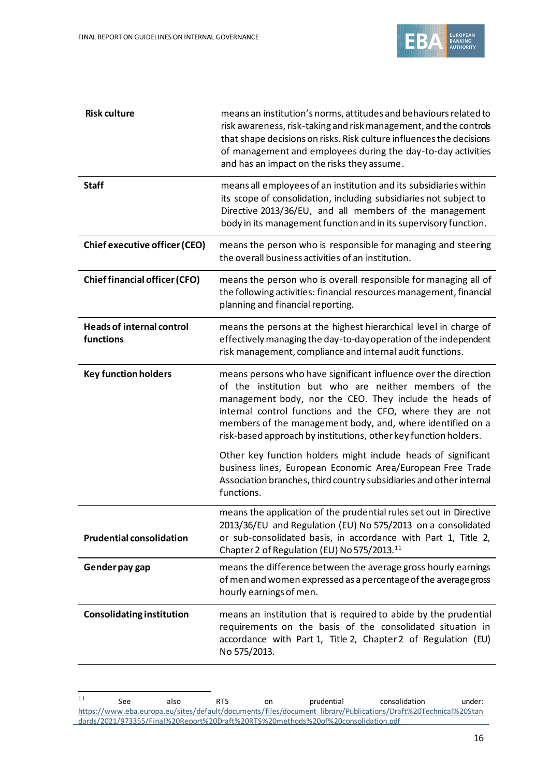

| <b>Risk culture</b>                           | means an institution's norms, attitudes and behaviours related to<br>risk awareness, risk-taking and risk management, and the controls<br>that shape decisions on risks. Risk culture influences the decisions<br>of management and employees during the day-to-day activities<br>and has an impact on the risks they assume.                                                       |
|-----------------------------------------------|-------------------------------------------------------------------------------------------------------------------------------------------------------------------------------------------------------------------------------------------------------------------------------------------------------------------------------------------------------------------------------------|
| <b>Staff</b>                                  | means all employees of an institution and its subsidiaries within<br>its scope of consolidation, including subsidiaries not subject to<br>Directive 2013/36/EU, and all members of the management<br>body in its management function and in its supervisory function.                                                                                                               |
| <b>Chief executive officer (CEO)</b>          | means the person who is responsible for managing and steering<br>the overall business activities of an institution.                                                                                                                                                                                                                                                                 |
| <b>Chief financial officer (CFO)</b>          | means the person who is overall responsible for managing all of<br>the following activities: financial resources management, financial<br>planning and financial reporting.                                                                                                                                                                                                         |
| <b>Heads of internal control</b><br>functions | means the persons at the highest hierarchical level in charge of<br>effectively managing the day-to-day operation of the independent<br>risk management, compliance and internal audit functions.                                                                                                                                                                                   |
| <b>Key function holders</b>                   | means persons who have significant influence over the direction<br>of the institution but who are neither members of the<br>management body, nor the CEO. They include the heads of<br>internal control functions and the CFO, where they are not<br>members of the management body, and, where identified on a<br>risk-based approach by institutions, other key function holders. |
|                                               | Other key function holders might include heads of significant<br>business lines, European Economic Area/European Free Trade<br>Association branches, third country subsidiaries and other internal<br>functions.                                                                                                                                                                    |
| <b>Prudential consolidation</b>               | means the application of the prudential rules set out in Directive<br>2013/36/EU and Regulation (EU) No 575/2013 on a consolidated<br>or sub-consolidated basis, in accordance with Part 1, Title 2,<br>Chapter 2 of Regulation (EU) No 575/2013. <sup>11</sup>                                                                                                                     |
| Gender pay gap                                | means the difference between the average gross hourly earnings<br>of men and women expressed as a percentage of the average gross<br>hourly earnings of men.                                                                                                                                                                                                                        |
| <b>Consolidating institution</b>              | means an institution that is required to abide by the prudential<br>requirements on the basis of the consolidated situation in<br>accordance with Part 1, Title 2, Chapter 2 of Regulation (EU)<br>No 575/2013.                                                                                                                                                                     |

<sup>&</sup>lt;sup>11</sup> See also RTS on prudential consolidation under: [https://www.eba.europa.eu/sites/default/documents/files/document\\_library/Publications/Draft%20Technical%20Stan](https://www.eba.europa.eu/sites/default/documents/files/document_library/Publications/Draft%20Technical%20Standards/2021/973355/Final%20Report%20Draft%20RTS%20methods%20of%20consolidation.pdf) [dards/2021/973355/Final%20Report%20Draft%20RTS%20methods%20of%20consolidation.pdf](https://www.eba.europa.eu/sites/default/documents/files/document_library/Publications/Draft%20Technical%20Standards/2021/973355/Final%20Report%20Draft%20RTS%20methods%20of%20consolidation.pdf)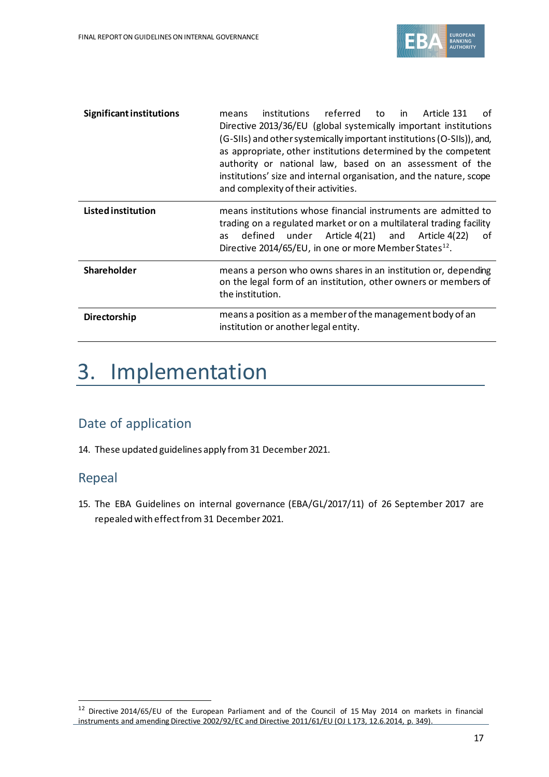

| <b>Significant institutions</b> | in<br>institutions<br>referred<br>to<br>Article 131<br>of<br>means<br>Directive 2013/36/EU (global systemically important institutions<br>(G-SIIs) and other systemically important institutions (O-SIIs)), and,<br>as appropriate, other institutions determined by the competent<br>authority or national law, based on an assessment of the<br>institutions' size and internal organisation, and the nature, scope<br>and complexity of their activities. |
|---------------------------------|--------------------------------------------------------------------------------------------------------------------------------------------------------------------------------------------------------------------------------------------------------------------------------------------------------------------------------------------------------------------------------------------------------------------------------------------------------------|
| <b>Listed institution</b>       | means institutions whose financial instruments are admitted to<br>trading on a regulated market or on a multilateral trading facility<br>defined under Article 4(21) and Article 4(22)<br>of<br>as<br>Directive 2014/65/EU, in one or more Member States <sup>12</sup> .                                                                                                                                                                                     |
| <b>Shareholder</b>              | means a person who owns shares in an institution or, depending<br>on the legal form of an institution, other owners or members of<br>the institution.                                                                                                                                                                                                                                                                                                        |
| <b>Directorship</b>             | means a position as a member of the management body of an<br>institution or another legal entity.                                                                                                                                                                                                                                                                                                                                                            |

# 3. Implementation

## Date of application

14. These updated guidelines apply from 31 December 2021.

#### Repeal

15. The EBA Guidelines on internal governance (EBA/GL/2017/11) of 26 September 2017 are repealed with effect from 31 December 2021.

<sup>12</sup> Directive 2014/65/EU of the European Parliament and of the Council of 15 May 2014 on markets in financial instruments and amending Directive 2002/92/EC and Directive 2011/61/EU (OJ L 173, 12.6.2014, p. 349).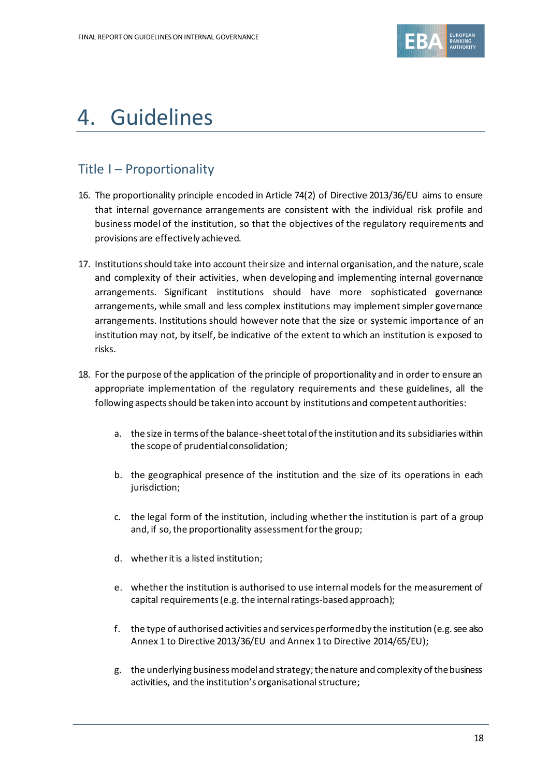

# 4. Guidelines

## Title I – Proportionality

- 16. The proportionality principle encoded in Article 74(2) of Directive 2013/36/EU aims to ensure that internal governance arrangements are consistent with the individual risk profile and business model of the institution, so that the objectives of the regulatory requirements and provisions are effectively achieved.
- 17. Institutions should take into account their size and internal organisation, and the nature, scale and complexity of their activities, when developing and implementing internal governance arrangements. Significant institutions should have more sophisticated governance arrangements, while small and less complex institutions may implement simpler governance arrangements. Institutions should however note that the size or systemic importance of an institution may not, by itself, be indicative of the extent to which an institution is exposed to risks.
- 18. For the purpose of the application of the principle of proportionality and in order to ensure an appropriate implementation of the regulatory requirements and these guidelines, all the following aspects should be taken into account by institutions and competent authorities:
	- a. the size in terms of the balance-sheet total of the institution and its subsidiaries within the scope of prudential consolidation;
	- b. the geographical presence of the institution and the size of its operations in each jurisdiction;
	- c. the legal form of the institution, including whether the institution is part of a group and, if so, the proportionality assessment for the group;
	- d. whether it is a listed institution;
	- e. whether the institution is authorised to use internal models for the measurement of capital requirements (e.g. the internal ratings-based approach);
	- f. the type of authorised activities and services performed by the institution (e.g. see also Annex 1 to Directive 2013/36/EU and Annex 1 to Directive 2014/65/EU);
	- g. the underlying business model and strategy; the nature and complexity of the business activities, and the institution's organisational structure;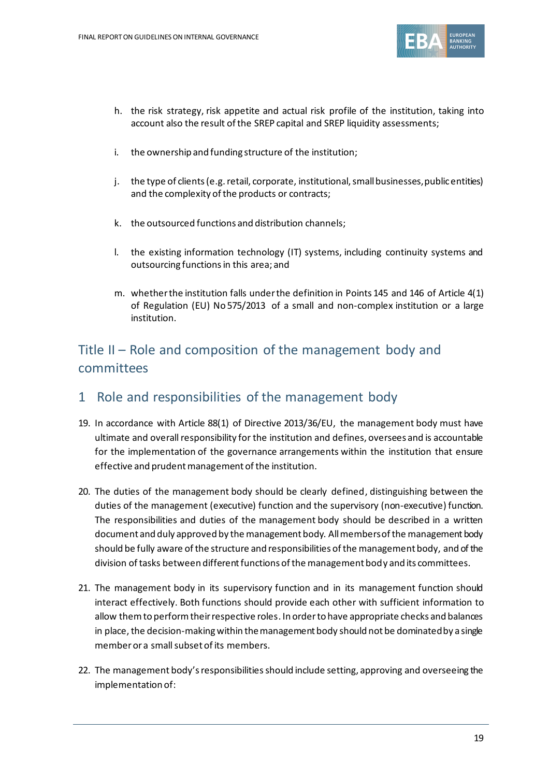

- h. the risk strategy, risk appetite and actual risk profile of the institution, taking into account also the result of the SREP capital and SREP liquidity assessments;
- i. the ownership and funding structure of the institution;
- j. the type of clients (e.g. retail, corporate, institutional, small businesses, public entities) and the complexity of the products or contracts;
- k. the outsourced functions and distribution channels;
- l. the existing information technology (IT) systems, including continuity systems and outsourcing functions in this area; and
- m. whether the institution falls under the definition in Points 145 and 146 of Article 4(1) of Regulation (EU) No 575/2013 of a small and non-complex institution or a large institution.

## Title II – Role and composition of the management body and committees

#### 1 Role and responsibilities of the management body

- 19. In accordance with Article 88(1) of Directive 2013/36/EU, the management body must have ultimate and overall responsibility for the institution and defines, oversees and is accountable for the implementation of the governance arrangements within the institution that ensure effective and prudent management of the institution.
- 20. The duties of the management body should be clearly defined, distinguishing between the duties of the management (executive) function and the supervisory (non-executive) function. The responsibilities and duties of the management body should be described in a written document and duly approved by the management body. All members of the management body should be fully aware of the structure and responsibilities of the management body, and of the division of tasks between different functions of the management body and its committees.
- 21. The management body in its supervisory function and in its management function should interact effectively. Both functions should provide each other with sufficient information to allow them to perform their respective roles. In order to have appropriate checks and balances in place, the decision-making within the management body should not be dominated by a single member or a small subset of its members.
- 22. The management body's responsibilities should include setting, approving and overseeing the implementation of: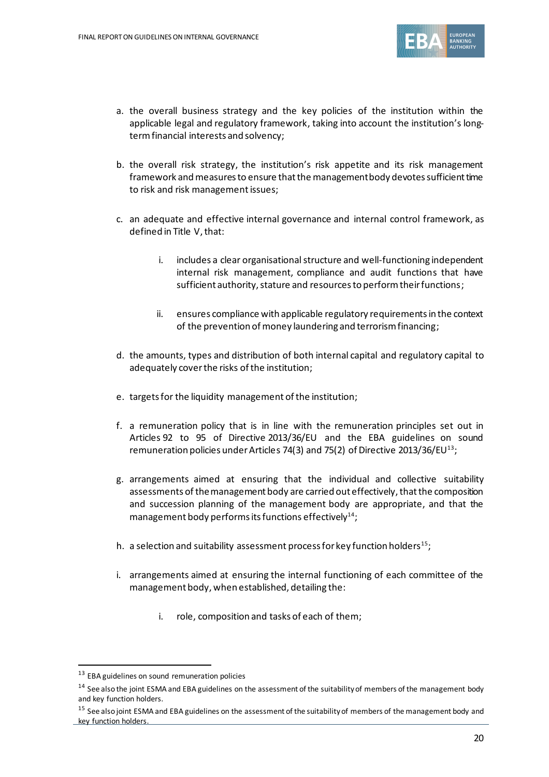

- a. the overall business strategy and the key policies of the institution within the applicable legal and regulatory framework, taking into account the institution's longterm financial interests and solvency;
- b. the overall risk strategy, the institution's risk appetite and its risk management framework and measures to ensure that the management body devotes sufficient time to risk and risk management issues;
- c. an adequate and effective internal governance and internal control framework, as defined in Title V, that:
	- i. includes a clear organisational structure and well-functioning independent internal risk management, compliance and audit functions that have sufficient authority, stature and resources to perform their functions;
	- ii. ensures compliance with applicable regulatory requirements in the context of the prevention of money laundering and terrorism financing;
- d. the amounts, types and distribution of both internal capital and regulatory capital to adequately cover the risks of the institution;
- e. targets for the liquidity management of the institution;
- f. a remuneration policy that is in line with the remuneration principles set out in Articles 92 to 95 of Directive 2013/36/EU and the EBA guidelines on sound remuneration policies under Articles 74(3) and 75(2) of Directive 2013/36/EU<sup>13</sup>;
- g. arrangements aimed at ensuring that the individual and collective suitability assessments of the management body are carried out effectively, that the composition and succession planning of the management body are appropriate, and that the management body performs its functions effectively<sup>14</sup>;
- h. a selection and suitability assessment process for key function holders<sup>15</sup>;
- i. arrangements aimed at ensuring the internal functioning of each committee of the management body, when established, detailing the:
	- i. role, composition and tasks of each of them;

<sup>13</sup> EBA guidelines on sound remuneration policies

<sup>&</sup>lt;sup>14</sup> See also the joint ESMA and EBA guidelines on the assessment of the suitability of members of the management body and key function holders.

<sup>&</sup>lt;sup>15</sup> See also joint ESMA and EBA guidelines on the assessment of the suitability of members of the management body and key function holders.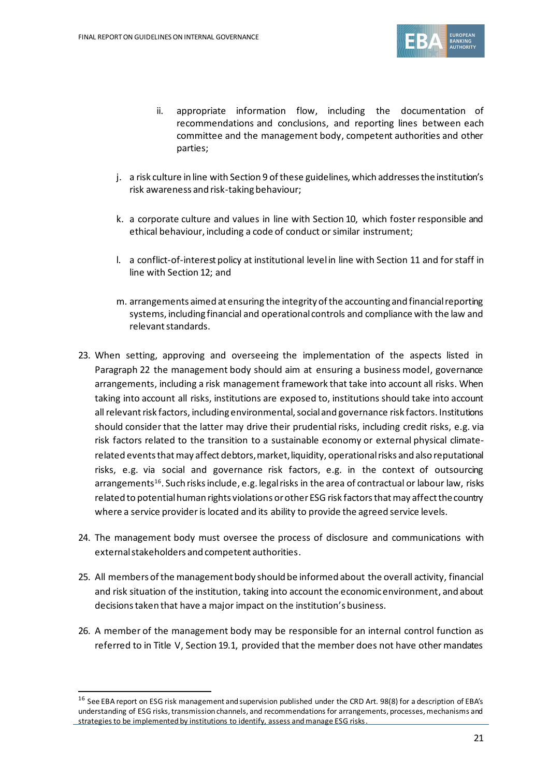

- ii. appropriate information flow, including the documentation of recommendations and conclusions, and reporting lines between each committee and the management body, competent authorities and other parties;
- j. a risk culture in line with Section 9 of these guidelines, which addresses the institution's risk awareness and risk-taking behaviour;
- k. a corporate culture and values in line with Section 10, which foster responsible and ethical behaviour, including a code of conduct or similar instrument;
- l. a conflict-of-interest policy at institutional level in line with Section 11 and for staff in line with Section 12; and
- m. arrangements aimed at ensuring the integrity of the accounting and financial reporting systems, including financial and operational controls and compliance with the law and relevant standards.
- 23. When setting, approving and overseeing the implementation of the aspects listed in Paragraph 22 the management body should aim at ensuring a business model, governance arrangements, including a risk management framework that take into account all risks. When taking into account all risks, institutions are exposed to, institutions should take into account all relevant risk factors, including environmental, social and governance risk factors. Institutions should consider that the latter may drive their prudential risks, including credit risks, e.g. via risk factors related to the transition to a sustainable economy or external physical climaterelated events that may affect debtors, market, liquidity, operational risks and also reputational risks, e.g. via social and governance risk factors, e.g. in the context of outsourcing arrangements<sup>16</sup>. Such risks include, e.g. legal risks in the area of contractual or labour law, risks related to potential human rights violations or other ESG risk factors that may affect the country where a service provider is located and its ability to provide the agreed service levels.
- 24. The management body must oversee the process of disclosure and communications with external stakeholders and competent authorities.
- 25. All members of the management body should be informed about the overall activity, financial and risk situation of the institution, taking into account the economic environment, and about decisions taken that have a major impact on the institution's business.
- 26. A member of the management body may be responsible for an internal control function as referred to in Title V, Section 19.1, provided that the member does not have other mandates

<sup>&</sup>lt;sup>16</sup> See EBA report on ESG risk management and supervision published under the CRD Art. 98(8) for a description of EBA's understanding of ESG risks, transmission channels, and recommendations for arrangements, processes, mechanisms and strategies to be implemented by institutions to identify, assess and manage ESG risks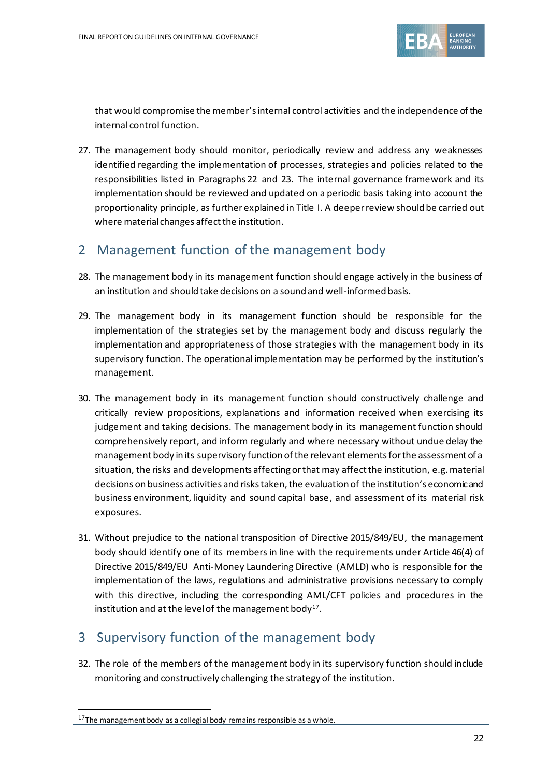

that would compromise the member's internal control activities and the independence of the internal control function.

27. The management body should monitor, periodically review and address any weaknesses identified regarding the implementation of processes, strategies and policies related to the responsibilities listed in Paragraphs 22 and 23. The internal governance framework and its implementation should be reviewed and updated on a periodic basis taking into account the proportionality principle, as further explained in Title I. A deeper review should be carried out where material changes affect the institution.

## 2 Management function of the management body

- 28. The management body in its management function should engage actively in the business of an institution and should take decisions on a sound and well-informed basis.
- 29. The management body in its management function should be responsible for the implementation of the strategies set by the management body and discuss regularly the implementation and appropriateness of those strategies with the management body in its supervisory function. The operational implementation may be performed by the institution's management.
- 30. The management body in its management function should constructively challenge and critically review propositions, explanations and information received when exercising its judgement and taking decisions. The management body in its management function should comprehensively report, and inform regularly and where necessary without undue delay the management body in its supervisory function of the relevant elements for the assessment of a situation, the risks and developments affecting or that may affect the institution, e.g. material decisions on business activities and risks taken, the evaluation of the institution's economic and business environment, liquidity and sound capital base, and assessment of its material risk exposures.
- 31. Without prejudice to the national transposition of Directive 2015/849/EU, the management body should identify one of its members in line with the requirements under Article 46(4) of Directive 2015/849/EU Anti-Money Laundering Directive (AMLD) who is responsible for the implementation of the laws, regulations and administrative provisions necessary to comply with this directive, including the corresponding AML/CFT policies and procedures in the institution and at the level of the management body<sup>17</sup>.

## 3 Supervisory function of the management body

32. The role of the members of the management body in its supervisory function should include monitoring and constructively challenging the strategy of the institution.

 $17$ The management body as a collegial body remains responsible as a whole.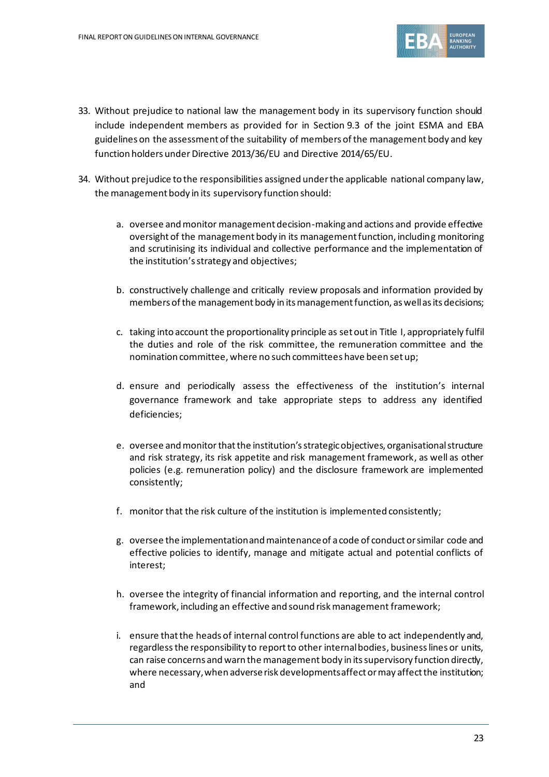

- 33. Without prejudice to national law the management body in its supervisory function should include independent members as provided for in Section 9.3 of the joint ESMA and EBA guidelines on the assessment of the suitability of members of the management body and key function holders under Directive 2013/36/EU and Directive 2014/65/EU.
- 34. Without prejudice to the responsibilities assigned under the applicable national company law, the management body in its supervisory function should:
	- a. oversee and monitor management decision-making and actions and provide effective oversight of the management body in its management function, including monitoring and scrutinising its individual and collective performance and the implementation of the institution's strategy and objectives;
	- b. constructively challenge and critically review proposals and information provided by members of the management body in its management function, as well as its decisions;
	- c. taking into account the proportionality principle as set out in Title I, appropriately fulfil the duties and role of the risk committee, the remuneration committee and the nomination committee, where no such committees have been set up;
	- d. ensure and periodically assess the effectiveness of the institution's internal governance framework and take appropriate steps to address any identified deficiencies;
	- e. oversee and monitorthat the institution's strategic objectives, organisational structure and risk strategy, its risk appetite and risk management framework, as well as other policies (e.g. remuneration policy) and the disclosure framework are implemented consistently;
	- f. monitor that the risk culture of the institution is implemented consistently;
	- g. oversee the implementation and maintenance of a code of conduct or similar code and effective policies to identify, manage and mitigate actual and potential conflicts of interest;
	- h. oversee the integrity of financial information and reporting, and the internal control framework, including an effective and sound risk management framework;
	- i. ensure that the heads of internal control functions are able to act independently and, regardlessthe responsibility to report to other internal bodies, business lines or units, can raise concerns and warn the management body in its supervisory function directly, where necessary, when adverse risk developments affect or may affect the institution; and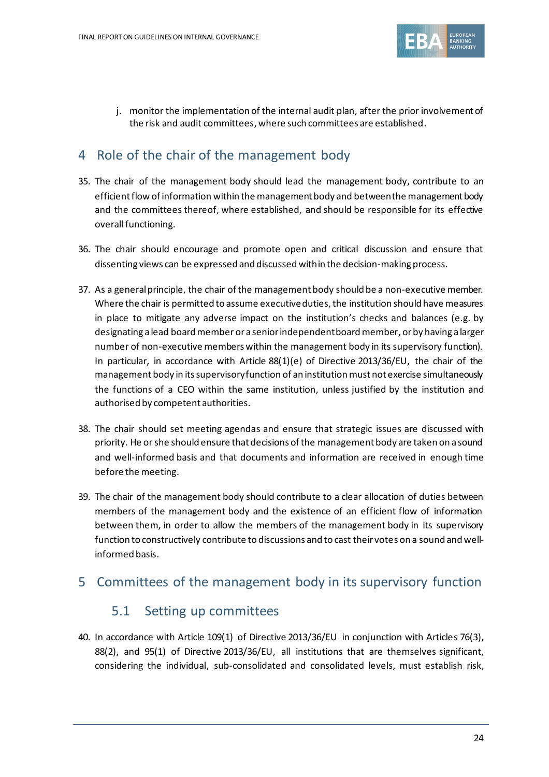

j. monitor the implementation of the internal audit plan, after the prior involvement of the risk and audit committees, where such committees are established.

### 4 Role of the chair of the management body

- 35. The chair of the management body should lead the management body, contribute to an efficient flow of information within the management body and between the management body and the committees thereof, where established, and should be responsible for its effective overall functioning.
- 36. The chair should encourage and promote open and critical discussion and ensure that dissenting views can be expressed and discussed within the decision-making process.
- 37. As a general principle, the chair of the management body should be a non-executive member. Where the chair is permitted to assume executive duties, the institution should have measures in place to mitigate any adverse impact on the institution's checks and balances (e.g. by designating a lead board member ora senior independent board member, or by having a larger number of non-executive members within the management body in its supervisory function). In particular, in accordance with Article 88(1)(e) of Directive 2013/36/EU, the chair of the management body in its supervisory function of an institution must not exercise simultaneously the functions of a CEO within the same institution, unless justified by the institution and authorised by competent authorities.
- 38. The chair should set meeting agendas and ensure that strategic issues are discussed with priority. He or she should ensure that decisions of the management body are taken on a sound and well-informed basis and that documents and information are received in enough time before the meeting.
- 39. The chair of the management body should contribute to a clear allocation of duties between members of the management body and the existence of an efficient flow of information between them, in order to allow the members of the management body in its supervisory function to constructively contribute to discussions and to cast their votes on a sound and wellinformed basis.

#### 5 Committees of the management body in its supervisory function

#### 5.1 Setting up committees

40. In accordance with Article 109(1) of Directive 2013/36/EU in conjunction with Articles 76(3), 88(2), and 95(1) of Directive 2013/36/EU, all institutions that are themselves significant, considering the individual, sub-consolidated and consolidated levels, must establish risk,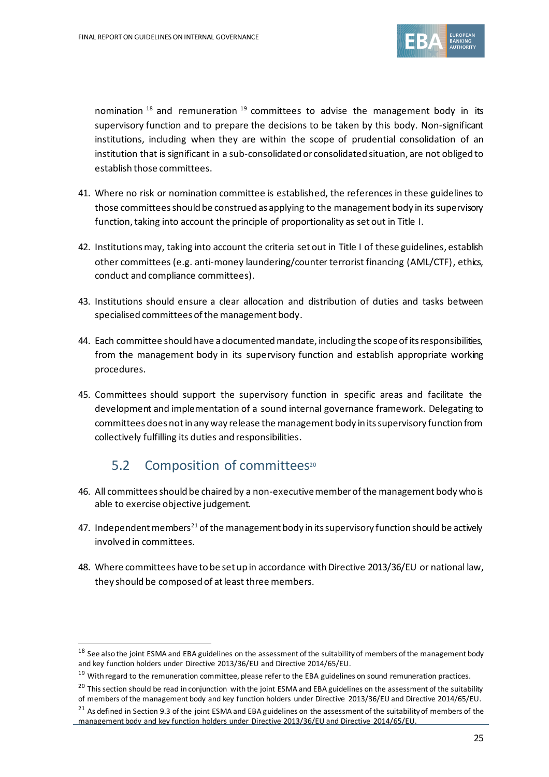

nomination  $18$  and remuneration  $19$  committees to advise the management body in its supervisory function and to prepare the decisions to be taken by this body. Non-significant institutions, including when they are within the scope of prudential consolidation of an institution that is significant in a sub-consolidated or consolidated situation, are not obliged to establish those committees.

- 41. Where no risk or nomination committee is established, the references in these guidelines to those committees should be construed as applying to the management body in its supervisory function, taking into account the principle of proportionality as set out in Title I.
- 42. Institutions may, taking into account the criteria set out in Title I of these guidelines, establish other committees (e.g. anti-money laundering/counter terrorist financing (AML/CTF), ethics, conduct and compliance committees).
- 43. Institutions should ensure a clear allocation and distribution of duties and tasks between specialised committees of the management body.
- 44. Each committee should have a documented mandate, including the scopeof its responsibilities, from the management body in its supervisory function and establish appropriate working procedures.
- 45. Committees should support the supervisory function in specific areas and facilitate the development and implementation of a sound internal governance framework. Delegating to committees does not in any way release the management body in its supervisory function from collectively fulfilling its duties and responsibilities.

## 5.2 Composition of committees<sup>20</sup>

- 46. All committees should be chaired by a non-executive member of the management body who is able to exercise objective judgement.
- 47. Independent members<sup>21</sup> of the management body in its supervisory function should be actively involved in committees.
- 48. Where committees have to be set up in accordance with Directive 2013/36/EU or national law, they should be composed of at least three members.

<sup>&</sup>lt;sup>18</sup> See also the joint ESMA and EBA guidelines on the assessment of the suitability of members of the management body and key function holders under Directive 2013/36/EU and Directive 2014/65/EU.

<sup>&</sup>lt;sup>19</sup> With regard to the remuneration committee, please refer to the EBA guidelines on sound remuneration practices.

<sup>&</sup>lt;sup>20</sup> This section should be read in conjunction with the joint ESMA and EBA guidelines on the assessment of the suitability of members of the management body and key function holders under Directive 2013/36/EU and Directive 2014/65/EU.

<sup>&</sup>lt;sup>21</sup> As defined in Section 9.3 of the joint ESMA and EBA guidelines on the assessment of the suitability of members of the management body and key function holders under Directive 2013/36/EU and Directive 2014/65/EU.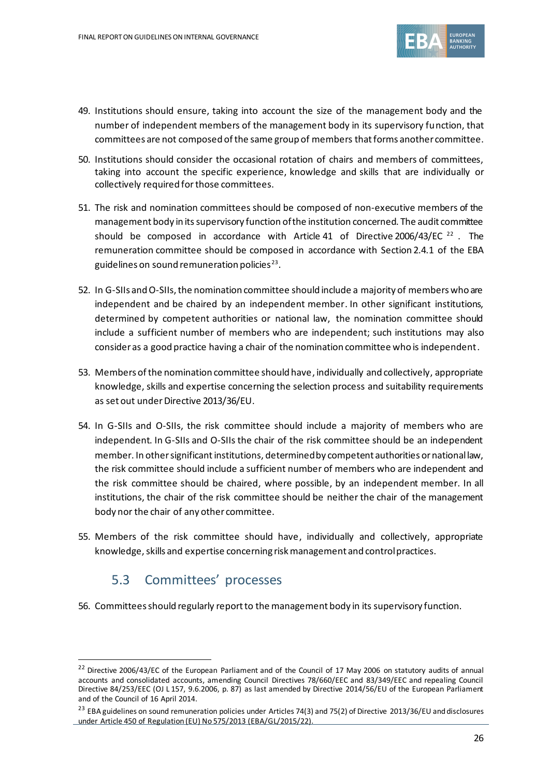

- 49. Institutions should ensure, taking into account the size of the management body and the number of independent members of the management body in its supervisory function, that committees are not composed of the same group of members that forms another committee.
- 50. Institutions should consider the occasional rotation of chairs and members of committees, taking into account the specific experience, knowledge and skills that are individually or collectively required for those committees.
- 51. The risk and nomination committees should be composed of non-executive members of the management body in its supervisory function of the institution concerned. The audit committee should be composed in accordance with Article 41 of Directive 2006/43/EC  $^{22}$ . The remuneration committee should be composed in accordance with Section 2.4.1 of the EBA guidelines on sound remuneration policies $^{23}.$
- 52. In G-SIIs and O-SIIs, the nomination committee should include a majority of members who are independent and be chaired by an independent member. In other significant institutions, determined by competent authorities or national law, the nomination committee should include a sufficient number of members who are independent; such institutions may also consider as a good practice having a chair of the nomination committee who is independent.
- 53. Members of the nomination committee should have, individually and collectively, appropriate knowledge, skills and expertise concerning the selection process and suitability requirements as set out under Directive 2013/36/EU.
- 54. In G-SIIs and O-SIIs, the risk committee should include a majority of members who are independent. In G-SIIs and O-SIIs the chair of the risk committee should be an independent member. In other significant institutions, determined by competent authorities or national law, the risk committee should include a sufficient number of members who are independent and the risk committee should be chaired, where possible, by an independent member. In all institutions, the chair of the risk committee should be neither the chair of the management body nor the chair of any other committee.
- 55. Members of the risk committee should have, individually and collectively, appropriate knowledge, skills and expertise concerning risk management and control practices.

## 5.3 Committees' processes

56. Committees should regularly report to the management body in its supervisory function.

<sup>&</sup>lt;sup>22</sup> Directive 2006/43/EC of the European Parliament and of the Council of 17 May 2006 on statutory audits of annual accounts and consolidated accounts, amending Council Directives 78/660/EEC and 83/349/EEC and repealing Council Directive 84/253/EEC (OJ L 157, 9.6.2006, p. 87) as last amended by Directive 2014/56/EU of the European Parliament and of the Council of 16 April 2014.

<sup>&</sup>lt;sup>23</sup> EBA guidelines on sound remuneration policies under Articles 74(3) and 75(2) of Directive 2013/36/EU and disclosures under Article 450 of Regulation (EU) No 575/2013 (EBA/GL/2015/22).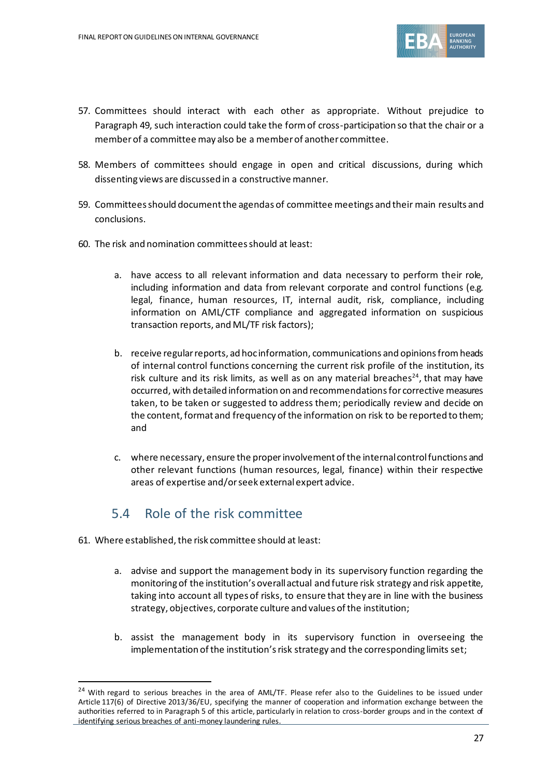

- 57. Committees should interact with each other as appropriate. Without prejudice to Paragraph 49, such interaction could take the form of cross-participation so that the chair or a member of a committee may also be a member of another committee.
- 58. Members of committees should engage in open and critical discussions, during which dissenting views are discussed in a constructive manner.
- 59. Committees should document the agendas of committee meetings and their main results and conclusions.
- 60. The risk and nomination committees should at least:
	- a. have access to all relevant information and data necessary to perform their role, including information and data from relevant corporate and control functions (e.g. legal, finance, human resources, IT, internal audit, risk, compliance, including information on AML/CTF compliance and aggregated information on suspicious transaction reports, and ML/TF risk factors);
	- b. receive regular reports, ad hoc information, communications and opinions from heads of internal control functions concerning the current risk profile of the institution, its risk culture and its risk limits, as well as on any material breaches<sup>24</sup>, that may have occurred, with detailed information on and recommendationsfor corrective measures taken, to be taken or suggested to address them; periodically review and decide on the content, format and frequency of the information on risk to be reported to them; and
	- c. where necessary, ensure the properinvolvement of the internal controlfunctions and other relevant functions (human resources, legal, finance) within their respective areas of expertise and/or seek external expert advice.

## 5.4 Role of the risk committee

- 61. Where established, the risk committee should at least:
	- a. advise and support the management body in its supervisory function regarding the monitoring of the institution's overallactual and future risk strategy and risk appetite, taking into account all types of risks, to ensure that they are in line with the business strategy, objectives, corporate culture and values of the institution;
	- b. assist the management body in its supervisory function in overseeing the implementation of the institution's risk strategy and the corresponding limits set;

<sup>&</sup>lt;sup>24</sup> With regard to serious breaches in the area of AML/TF. Please refer also to the Guidelines to be issued under Article 117(6) of Directive 2013/36/EU, specifying the manner of cooperation and information exchange between the authorities referred to in Paragraph 5 of this article, particularly in relation to cross-border groups and in the context of identifying serious breaches of anti-money laundering rules.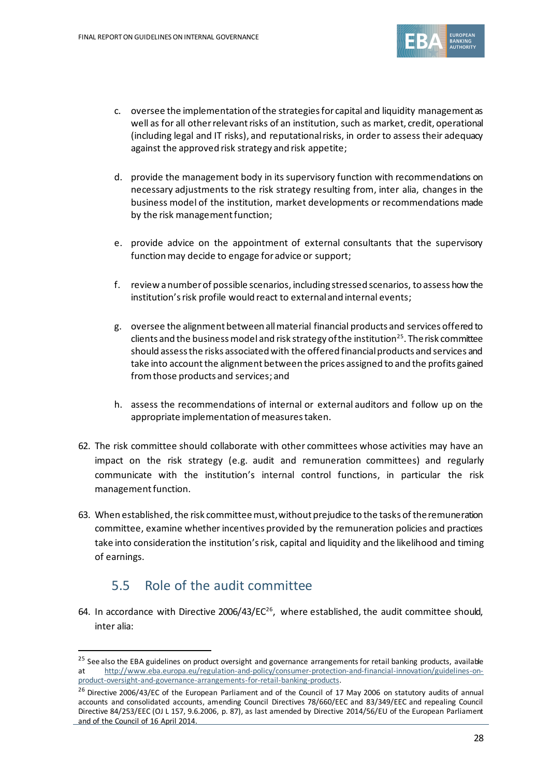

- c. oversee the implementation of the strategies for capital and liquidity management as well as for all other relevant risks of an institution, such as market, credit, operational (including legal and IT risks), and reputationalrisks, in order to assess their adequacy against the approved risk strategy and risk appetite;
- d. provide the management body in its supervisory function with recommendations on necessary adjustments to the risk strategy resulting from, inter alia, changes in the business model of the institution, market developments or recommendations made by the risk management function;
- e. provide advice on the appointment of external consultants that the supervisory function may decide to engage for advice or support;
- f. review a number of possible scenarios, including stressed scenarios, to assess how the institution's risk profile would react to external and internal events;
- g. oversee the alignment between allmaterial financial products and services offered to clients and the business model and risk strategy of the institution $^{25}$ . The risk committee should assess the risks associated with the offered financial products and services and take into account the alignment between the prices assigned to and the profits gained from those products and services; and
- h. assess the recommendations of internal or external auditors and follow up on the appropriate implementation of measures taken.
- 62. The risk committee should collaborate with other committees whose activities may have an impact on the risk strategy (e.g. audit and remuneration committees) and regularly communicate with the institution's internal control functions, in particular the risk management function.
- 63. When established, the risk committeemust, without prejudice to the tasks of the remuneration committee, examine whether incentives provided by the remuneration policies and practices take into consideration the institution's risk, capital and liquidity and the likelihood and timing of earnings.

## 5.5 Role of the audit committee

64. In accordance with Directive  $2006/43/EC^{26}$ , where established, the audit committee should, inter alia:

 $25$  See also the EBA guidelines on product oversight and governance arrangements for retail banking products, available at [http://www.eba.europa.eu/regulation-and-policy/consumer-protection-and-financial-innovation/guidelines-on](http://www.eba.europa.eu/regulation-and-policy/consumer-protection-and-financial-innovation/guidelines-on-product-oversight-and-governance-arrangements-for-retail-banking-products)[product-oversight-and-governance-arrangements-for-retail-banking-products.](http://www.eba.europa.eu/regulation-and-policy/consumer-protection-and-financial-innovation/guidelines-on-product-oversight-and-governance-arrangements-for-retail-banking-products)

<sup>&</sup>lt;sup>26</sup> Directive 2006/43/EC of the European Parliament and of the Council of 17 May 2006 on statutory audits of annual accounts and consolidated accounts, amending Council Directives 78/660/EEC and 83/349/EEC and repealing Council Directive 84/253/EEC (OJ L 157, 9.6.2006, p. 87), as last amended by Directive 2014/56/EU of the European Parliament and of the Council of 16 April 2014.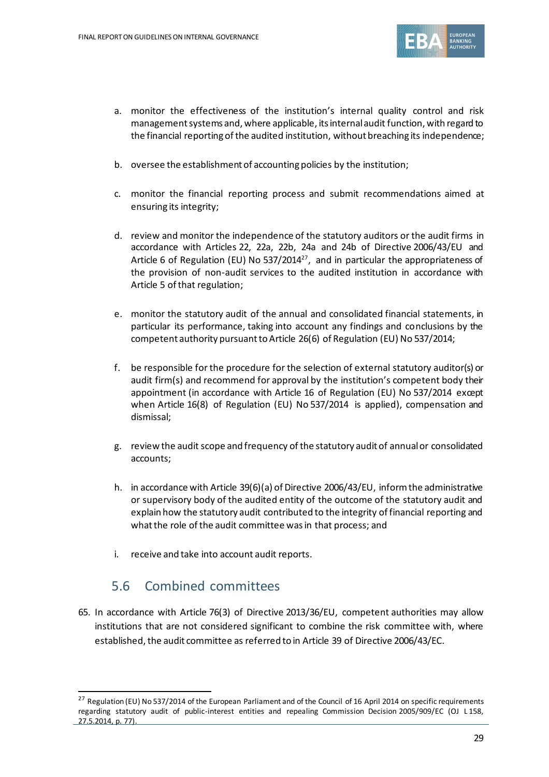

- a. monitor the effectiveness of the institution's internal quality control and risk management systems and, where applicable, its internal audit function, with regard to the financial reporting of the audited institution, without breaching its independence;
- b. oversee the establishment of accounting policies by the institution;
- c. monitor the financial reporting process and submit recommendations aimed at ensuring its integrity;
- d. review and monitor the independence of the statutory auditors or the audit firms in accordance with Articles 22, 22a, 22b, 24a and 24b of Directive 2006/43/EU and Article 6 of Regulation (EU) No 537/2014<sup>27</sup>, and in particular the appropriateness of the provision of non-audit services to the audited institution in accordance with Article 5 of that regulation;
- e. monitor the statutory audit of the annual and consolidated financial statements, in particular its performance, taking into account any findings and conclusions by the competent authority pursuant to Article 26(6) of Regulation (EU) No 537/2014;
- f. be responsible for the procedure for the selection of external statutory auditor(s) or audit firm(s) and recommend for approval by the institution's competent body their appointment (in accordance with Article 16 of Regulation (EU) No 537/2014 except when Article 16(8) of Regulation (EU) No 537/2014 is applied), compensation and dismissal;
- g. review the audit scope and frequency of the statutory audit of annual or consolidated accounts;
- h. in accordance with Article 39(6)(a) of Directive 2006/43/EU, inform the administrative or supervisory body of the audited entity of the outcome of the statutory audit and explain how the statutory audit contributed to the integrity of financial reporting and what the role of the audit committee was in that process; and
- i. receive and take into account audit reports.

#### 5.6 Combined committees

65. In accordance with Article 76(3) of Directive 2013/36/EU, competent authorities may allow institutions that are not considered significant to combine the risk committee with, where established, the audit committee as referred to in Article 39 of Directive 2006/43/EC.

<sup>&</sup>lt;sup>27</sup> Regulation (EU) No 537/2014 of the European Parliament and of the Council of 16 April 2014 on specific requirements regarding statutory audit of public-interest entities and repealing Commission Decision 2005/909/EC (OJ L 158, 27.5.2014, p. 77).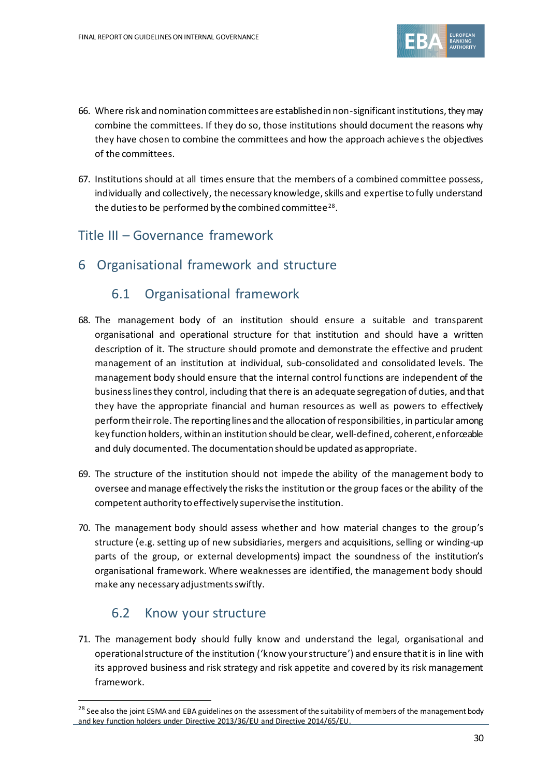

- 66. Where risk and nomination committees are established in non-significant institutions, they may combine the committees. If they do so, those institutions should document the reasons why they have chosen to combine the committees and how the approach achieves the objectives of the committees.
- 67. Institutions should at all times ensure that the members of a combined committee possess, individually and collectively, the necessary knowledge, skills and expertise to fully understand the duties to be performed by the combined committee $^{28}.$

#### Title III – Governance framework

6 Organisational framework and structure

#### 6.1 Organisational framework

- 68. The management body of an institution should ensure a suitable and transparent organisational and operational structure for that institution and should have a written description of it. The structure should promote and demonstrate the effective and prudent management of an institution at individual, sub-consolidated and consolidated levels. The management body should ensure that the internal control functions are independent of the business lines they control, including that there is an adequate segregation of duties, and that they have the appropriate financial and human resources as well as powers to effectively perform their role. The reporting lines and the allocation of responsibilities, in particular among key function holders, within an institution should be clear, well-defined, coherent, enforceable and duly documented. The documentation should be updated as appropriate.
- 69. The structure of the institution should not impede the ability of the management body to oversee and manage effectively the risks the institution or the group faces or the ability of the competent authority to effectively supervise the institution.
- 70. The management body should assess whether and how material changes to the group's structure (e.g. setting up of new subsidiaries, mergers and acquisitions, selling or winding-up parts of the group, or external developments) impact the soundness of the institution's organisational framework. Where weaknesses are identified, the management body should make any necessary adjustments swiftly.

#### 6.2 Know your structure

71. The management body should fully know and understand the legal, organisational and operational structure of the institution ('know your structure') and ensure that it is in line with its approved business and risk strategy and risk appetite and covered by its risk management framework.

 $^{28}$  See also the joint ESMA and EBA guidelines on the assessment of the suitability of members of the management body and key function holders under Directive 2013/36/EU and Directive 2014/65/EU.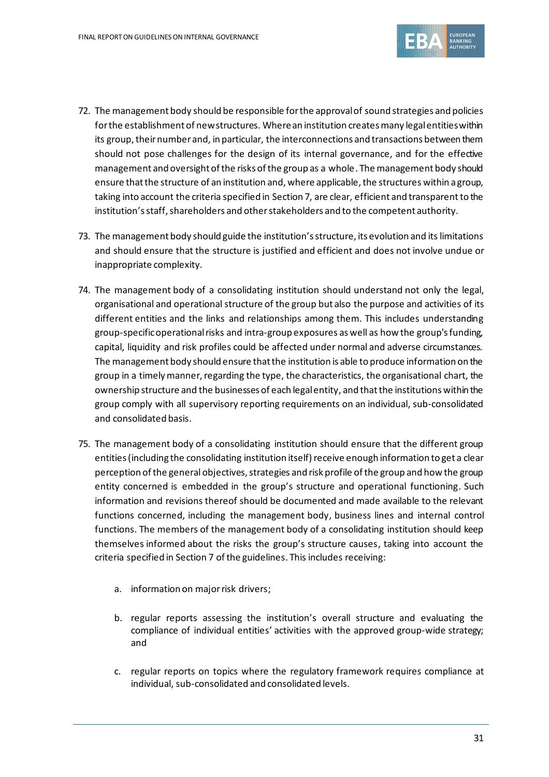

- 72. The management body should be responsible for the approval of sound strategies and policies for the establishment of new structures. Where an institution creates many legal entities within its group, their number and, in particular, the interconnections and transactions between them should not pose challenges for the design of its internal governance, and for the effective management and oversight of the risks of the group as a whole. The management body should ensure that the structure of an institution and, where applicable, the structures within a group, taking into account the criteria specified in Section 7, are clear, efficient and transparent to the institution's staff, shareholders and other stakeholders and to the competent authority.
- 73. The management body should guide the institution's structure, its evolution and its limitations and should ensure that the structure is justified and efficient and does not involve undue or inappropriate complexity.
- 74. The management body of a consolidating institution should understand not only the legal, organisational and operational structure of the group but also the purpose and activities of its different entities and the links and relationships among them. This includes understanding group-specific operational risks and intra-group exposures as well as how the group's funding, capital, liquidity and risk profiles could be affected under normal and adverse circumstances. The management body should ensure that the institution is able to produce information on the group in a timely manner, regarding the type, the characteristics, the organisational chart, the ownership structure and the businesses of each legal entity, and that the institutions within the group comply with all supervisory reporting requirements on an individual, sub-consolidated and consolidated basis.
- 75. The management body of a consolidating institution should ensure that the different group entities (including the consolidating institution itself) receive enough information to get a clear perception of the general objectives, strategies and risk profile of the group and how the group entity concerned is embedded in the group's structure and operational functioning. Such information and revisions thereof should be documented and made available to the relevant functions concerned, including the management body, business lines and internal control functions. The members of the management body of a consolidating institution should keep themselves informed about the risks the group's structure causes, taking into account the criteria specified in Section 7 of the guidelines. This includes receiving:
	- a. information on major risk drivers;
	- b. regular reports assessing the institution's overall structure and evaluating the compliance of individual entities' activities with the approved group-wide strategy; and
	- c. regular reports on topics where the regulatory framework requires compliance at individual, sub-consolidated and consolidated levels.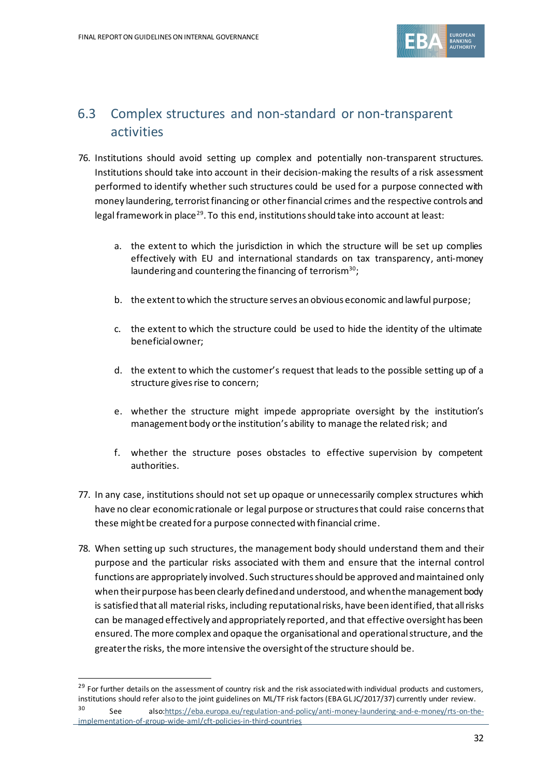

## 6.3 Complex structures and non-standard or non-transparent activities

- 76. Institutions should avoid setting up complex and potentially non-transparent structures. Institutions should take into account in their decision-making the results of a risk assessment performed to identify whether such structures could be used for a purpose connected with money laundering, terrorist financing or other financial crimes and the respective controls and legal framework in place<sup>29</sup>. To this end, institutions should take into account at least:
	- a. the extent to which the jurisdiction in which the structure will be set up complies effectively with EU and international standards on tax transparency, anti-money laundering and countering the financing of terrorism<sup>30</sup>;
	- b. the extent to which the structure serves an obvious economic and lawful purpose;
	- c. the extent to which the structure could be used to hide the identity of the ultimate beneficial owner;
	- d. the extent to which the customer's request that leads to the possible setting up of a structure gives rise to concern;
	- e. whether the structure might impede appropriate oversight by the institution's management body orthe institution's ability to manage the related risk; and
	- f. whether the structure poses obstacles to effective supervision by competent authorities.
- 77. In any case, institutions should not set up opaque or unnecessarily complex structures which have no clear economic rationale or legal purpose or structures that could raise concernsthat these might be created for a purpose connected with financial crime.
- 78. When setting up such structures, the management body should understand them and their purpose and the particular risks associated with them and ensure that the internal control functions are appropriately involved. Such structures should be approved and maintained only when their purpose has been clearly defined and understood, and when the management body is satisfied that all material risks, including reputational risks, have been identified, that all risks can be managed effectively and appropriately reported, and that effective oversight has been ensured. The more complex and opaque the organisational and operational structure, and the greater the risks, the more intensive the oversight of the structure should be.

<sup>&</sup>lt;sup>29</sup> For further details on the assessment of country risk and the risk associated with individual products and customers, institutions should refer also to the joint guidelines on ML/TF risk factors (EBA GL JC/2017/37) currently under review.

<sup>30</sup> See als[o:https://eba.europa.eu/regulation-and-policy/anti-money-laundering-and-e-money/rts-on-the](https://eba.europa.eu/regulation-and-policy/anti-money-laundering-and-e-money/rts-on-the-implementation-of-group-wide-aml/cft-policies-in-third-countries)[implementation-of-group-wide-aml/cft-policies-in-third-countries](https://eba.europa.eu/regulation-and-policy/anti-money-laundering-and-e-money/rts-on-the-implementation-of-group-wide-aml/cft-policies-in-third-countries)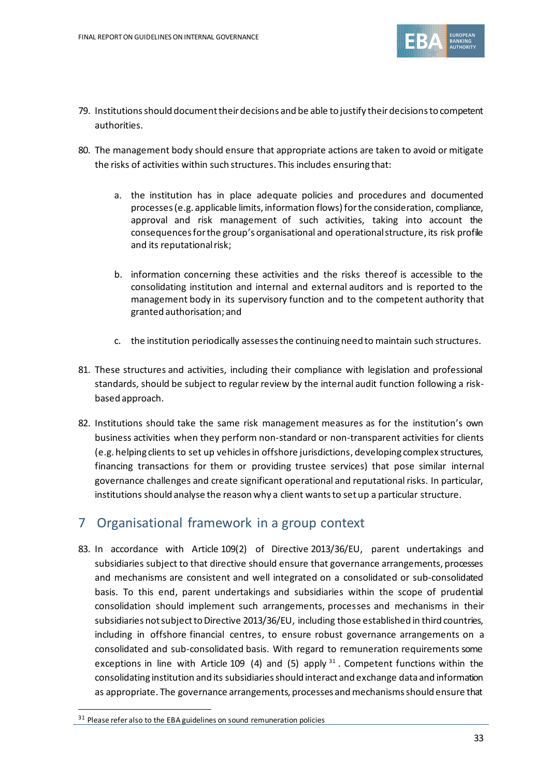

- 79. Institutions should document their decisions and be able to justify their decisionsto competent authorities.
- 80. The management body should ensure that appropriate actions are taken to avoid or mitigate the risks of activities within such structures. This includes ensuring that:
	- a. the institution has in place adequate policies and procedures and documented processes (e.g. applicable limits, information flows) for the consideration, compliance, approval and risk management of such activities, taking into account the consequences for the group's organisational and operational structure, its risk profile and its reputational risk;
	- b. information concerning these activities and the risks thereof is accessible to the consolidating institution and internal and external auditors and is reported to the management body in its supervisory function and to the competent authority that granted authorisation; and
	- c. the institution periodically assesses the continuing need to maintain such structures.
- 81. These structures and activities, including their compliance with legislation and professional standards, should be subject to regular review by the internal audit function following a riskbased approach.
- 82. Institutions should take the same risk management measures as for the institution's own business activities when they perform non-standard or non-transparent activities for clients (e.g. helping clients to set up vehicles in offshore jurisdictions, developing complex structures, financing transactions for them or providing trustee services) that pose similar internal governance challenges and create significant operational and reputational risks. In particular, institutions should analyse the reason why a client wants to set up a particular structure.

#### 7 Organisational framework in a group context

83. In accordance with Article 109(2) of Directive 2013/36/EU, parent undertakings and subsidiaries subject to that directive should ensure that governance arrangements, processes and mechanisms are consistent and well integrated on a consolidated or sub-consolidated basis. To this end, parent undertakings and subsidiaries within the scope of prudential consolidation should implement such arrangements, processes and mechanisms in their subsidiaries not subject to Directive 2013/36/EU, including those established in third countries, including in offshore financial centres, to ensure robust governance arrangements on a consolidated and sub-consolidated basis. With regard to remuneration requirements some exceptions in line with Article 109 (4) and (5) apply  $31$ . Competent functions within the consolidating institution and its subsidiaries should interact and exchange data and information as appropriate. The governance arrangements, processes and mechanisms should ensure that

<sup>&</sup>lt;sup>31</sup> Please refer also to the EBA guidelines on sound remuneration policies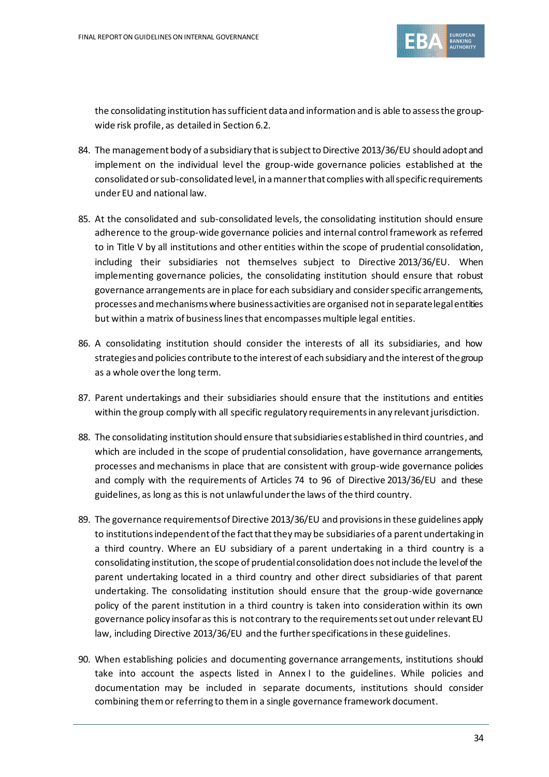

the consolidating institution has sufficient data and information and is able to assess the groupwide risk profile, as detailed in Section 6.2.

- 84. The management body of a subsidiary that is subject to Directive 2013/36/EU should adopt and implement on the individual level the group-wide governance policies established at the consolidated or sub-consolidated level, in a manner that complies with all specific requirements under EU and national law.
- 85. At the consolidated and sub-consolidated levels, the consolidating institution should ensure adherence to the group-wide governance policies and internal control framework as referred to in Title V by all institutions and other entities within the scope of prudential consolidation, including their subsidiaries not themselves subject to Directive 2013/36/EU. When implementing governance policies, the consolidating institution should ensure that robust governance arrangements are in place for each subsidiary and consider specific arrangements, processes and mechanisms where business activities are organised not in separate legal entities but within a matrix of business lines that encompasses multiple legal entities.
- 86. A consolidating institution should consider the interests of all its subsidiaries, and how strategies and policies contribute to the interest of each subsidiary and the interest of the group as a whole over the long term.
- 87. Parent undertakings and their subsidiaries should ensure that the institutions and entities within the group comply with all specific regulatory requirements in any relevant jurisdiction.
- 88. The consolidating institution should ensure that subsidiaries established in third countries, and which are included in the scope of prudential consolidation, have governance arrangements, processes and mechanisms in place that are consistent with group-wide governance policies and comply with the requirements of Articles 74 to 96 of Directive 2013/36/EU and these guidelines, as long as this is not unlawful under the laws of the third country.
- 89. The governance requirements of Directive 2013/36/EU and provisions in these guidelines apply to institutions independent of the fact that they may be subsidiaries of a parent undertaking in a third country. Where an EU subsidiary of a parent undertaking in a third country is a consolidating institution, the scope of prudential consolidation does not include the level of the parent undertaking located in a third country and other direct subsidiaries of that parent undertaking. The consolidating institution should ensure that the group-wide governance policy of the parent institution in a third country is taken into consideration within its own governance policy insofar as this is not contrary to the requirements set out under relevant EU law, including Directive 2013/36/EU and the further specifications in these guidelines.
- 90. When establishing policies and documenting governance arrangements, institutions should take into account the aspects listed in Annex I to the guidelines. While policies and documentation may be included in separate documents, institutions should consider combining them or referring to them in a single governance framework document.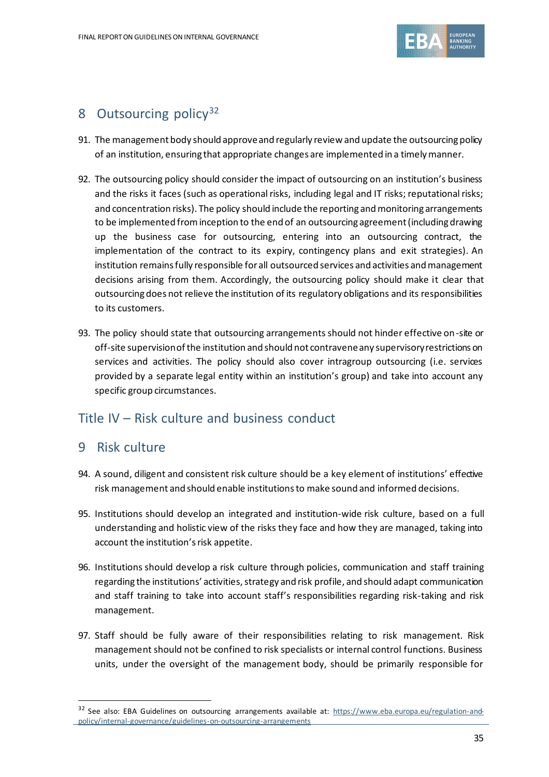

### 8 Outsourcing policy<sup>32</sup>

- 91. The management body should approve and regularly review and update the outsourcing policy of an institution, ensuring that appropriate changes are implemented in a timely manner.
- 92. The outsourcing policy should consider the impact of outsourcing on an institution's business and the risks it faces (such as operational risks, including legal and IT risks; reputational risks; and concentration risks). The policy should include the reporting and monitoring arrangements to be implemented from inception to the end of an outsourcing agreement (including drawing up the business case for outsourcing, entering into an outsourcing contract, the implementation of the contract to its expiry, contingency plans and exit strategies). An institution remains fully responsible for all outsourced services and activities and management decisions arising from them. Accordingly, the outsourcing policy should make it clear that outsourcing does not relieve the institution of its regulatory obligations and its responsibilities to its customers.
- 93. The policy should state that outsourcing arrangements should not hinder effective on-site or off-site supervision of the institution and should not contravene any supervisory restrictions on services and activities. The policy should also cover intragroup outsourcing (i.e. services provided by a separate legal entity within an institution's group) and take into account any specific group circumstances.

#### Title IV – Risk culture and business conduct

#### 9 Risk culture

- 94. A sound, diligent and consistent risk culture should be a key element of institutions' effective risk management and should enable institutions to make sound and informed decisions.
- 95. Institutions should develop an integrated and institution-wide risk culture, based on a full understanding and holistic view of the risks they face and how they are managed, taking into account the institution's risk appetite.
- 96. Institutions should develop a risk culture through policies, communication and staff training regarding the institutions' activities, strategy and risk profile, and should adapt communication and staff training to take into account staff's responsibilities regarding risk-taking and risk management.
- 97. Staff should be fully aware of their responsibilities relating to risk management. Risk management should not be confined to risk specialists or internal control functions. Business units, under the oversight of the management body, should be primarily responsible for

<sup>&</sup>lt;sup>32</sup> See also: EBA Guidelines on outsourcing arrangements available at: [https://www.eba.europa.eu/regulation-and](https://www.eba.europa.eu/regulation-and-policy/internal-governance/guidelines-on-outsourcing-arrangements)[policy/internal-governance/guidelines-on-outsourcing-arrangements](https://www.eba.europa.eu/regulation-and-policy/internal-governance/guidelines-on-outsourcing-arrangements)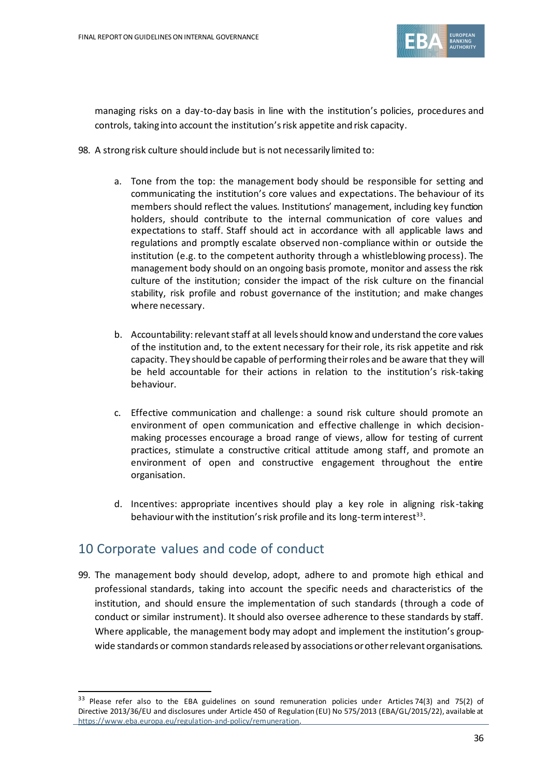

managing risks on a day-to-day basis in line with the institution's policies, procedures and controls, taking into account the institution's risk appetite and risk capacity.

- 98. A strong risk culture should include but is not necessarily limited to:
	- a. Tone from the top: the management body should be responsible for setting and communicating the institution's core values and expectations. The behaviour of its members should reflect the values. Institutions' management, including key function holders, should contribute to the internal communication of core values and expectations to staff. Staff should act in accordance with all applicable laws and regulations and promptly escalate observed non-compliance within or outside the institution (e.g. to the competent authority through a whistleblowing process). The management body should on an ongoing basis promote, monitor and assess the risk culture of the institution; consider the impact of the risk culture on the financial stability, risk profile and robust governance of the institution; and make changes where necessary.
	- b. Accountability: relevant staff at all levels should know and understand the core values of the institution and, to the extent necessary for their role, its risk appetite and risk capacity. They should be capable of performing their roles and be aware that they will be held accountable for their actions in relation to the institution's risk-taking behaviour.
	- c. Effective communication and challenge: a sound risk culture should promote an environment of open communication and effective challenge in which decisionmaking processes encourage a broad range of views, allow for testing of current practices, stimulate a constructive critical attitude among staff, and promote an environment of open and constructive engagement throughout the entire organisation.
	- d. Incentives: appropriate incentives should play a key role in aligning risk-taking behaviour with the institution's risk profile and its long-term interest $^{33}$ .

#### 10 Corporate values and code of conduct

99. The management body should develop, adopt, adhere to and promote high ethical and professional standards, taking into account the specific needs and characteristics of the institution, and should ensure the implementation of such standards (through a code of conduct or similar instrument). It should also oversee adherence to these standards by staff. Where applicable, the management body may adopt and implement the institution's groupwide standards or common standards released by associations or other relevant organisations.

<sup>&</sup>lt;sup>33</sup> Please refer also to the EBA guidelines on sound remuneration policies under Articles 74(3) and 75(2) of Directive 2013/36/EU and disclosures under Article 450 of Regulation (EU) No 575/2013 (EBA/GL/2015/22), available at [https://www.eba.europa.eu/regulation-and-policy/remuneration.](https://www.eba.europa.eu/regulation-and-policy/remuneration)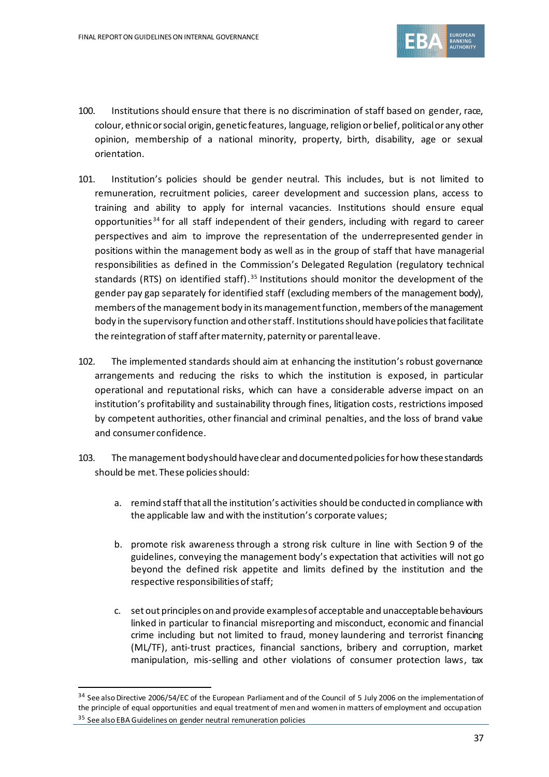

- 100. Institutions should ensure that there is no discrimination of staff based on gender, race, colour, ethnic or social origin, genetic features, language, religion or belief, political or any other opinion, membership of a national minority, property, birth, disability, age or sexual orientation.
- 101. Institution's policies should be gender neutral. This includes, but is not limited to remuneration, recruitment policies, career development and succession plans, access to training and ability to apply for internal vacancies. Institutions should ensure equal opportunities<sup>34</sup> for all staff independent of their genders, including with regard to career perspectives and aim to improve the representation of the underrepresented gender in positions within the management body as well as in the group of staff that have managerial responsibilities as defined in the Commission's Delegated Regulation (regulatory technical standards (RTS) on identified staff).<sup>35</sup> Institutions should monitor the development of the gender pay gap separately for identified staff (excluding members of the management body), members of the management body in its management function, members of the management body in the supervisory function and other staff. Institutions should have policies that facilitate the reintegration of staff after maternity, paternity or parental leave.
- 102. The implemented standards should aim at enhancing the institution's robust governance arrangements and reducing the risks to which the institution is exposed, in particular operational and reputational risks, which can have a considerable adverse impact on an institution's profitability and sustainability through fines, litigation costs, restrictions imposed by competent authorities, other financial and criminal penalties, and the loss of brand value and consumer confidence.
- 103. The management body should have clear and documentedpolicies for how these standards should be met. These policies should:
	- a. remind staffthat all the institution's activities should be conducted in compliance with the applicable law and with the institution's corporate values;
	- b. promote risk awareness through a strong risk culture in line with Section 9 of the guidelines, conveying the management body's expectation that activities will not go beyond the defined risk appetite and limits defined by the institution and the respective responsibilities of staff;
	- c. set out principles on and provide examples of acceptable and unacceptable behaviours linked in particular to financial misreporting and misconduct, economic and financial crime including but not limited to fraud, money laundering and terrorist financing (ML/TF), anti-trust practices, financial sanctions, bribery and corruption, market manipulation, mis-selling and other violations of consumer protection laws, tax

<sup>&</sup>lt;sup>34</sup> See also Directive 2006/54/EC of the European Parliament and of the Council of 5 July 2006 on the implementation of the principle of equal opportunities and equal treatment of men and women in matters of employment and occupation 35 See also EBA Guidelines on gender neutral remuneration policies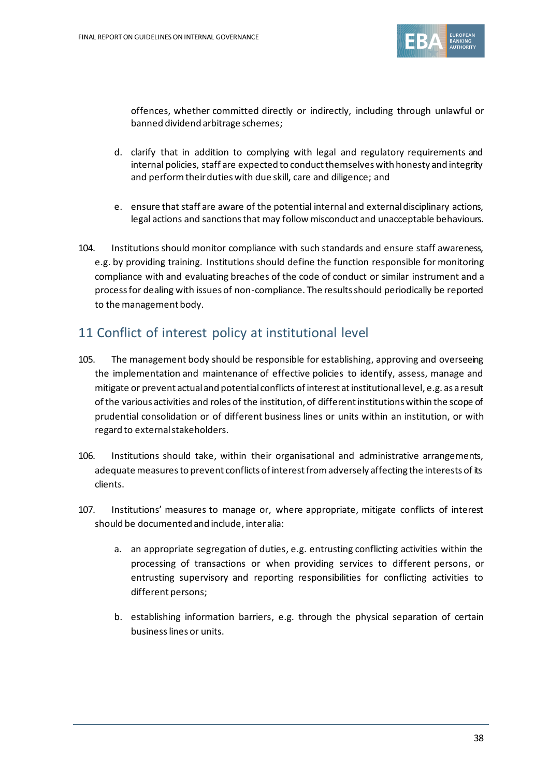

offences, whether committed directly or indirectly, including through unlawful or banned dividend arbitrage schemes;

- d. clarify that in addition to complying with legal and regulatory requirements and internal policies, staff are expected to conduct themselves with honesty and integrity and perform their duties with due skill, care and diligence; and
- e. ensure that staff are aware of the potential internal and external disciplinary actions, legal actions and sanctions that may follow misconduct and unacceptable behaviours.
- 104. Institutions should monitor compliance with such standards and ensure staff awareness, e.g. by providing training. Institutions should define the function responsible for monitoring compliance with and evaluating breaches of the code of conduct or similar instrument and a process for dealing with issues of non-compliance. The results should periodically be reported to the management body.

# 11 Conflict of interest policy at institutional level

- 105. The management body should be responsible for establishing, approving and overseeing the implementation and maintenance of effective policies to identify, assess, manage and mitigate or prevent actual and potential conflicts of interest at institutional level, e.g. as a result of the various activities and roles of the institution, of different institutions within the scope of prudential consolidation or of different business lines or units within an institution, or with regard to external stakeholders.
- 106. Institutions should take, within their organisational and administrative arrangements, adequate measures to prevent conflicts of interest from adversely affecting the interests of its clients.
- 107. Institutions' measures to manage or, where appropriate, mitigate conflicts of interest should be documented and include, inter alia:
	- a. an appropriate segregation of duties, e.g. entrusting conflicting activities within the processing of transactions or when providing services to different persons, or entrusting supervisory and reporting responsibilities for conflicting activities to different persons;
	- b. establishing information barriers, e.g. through the physical separation of certain businesslines or units.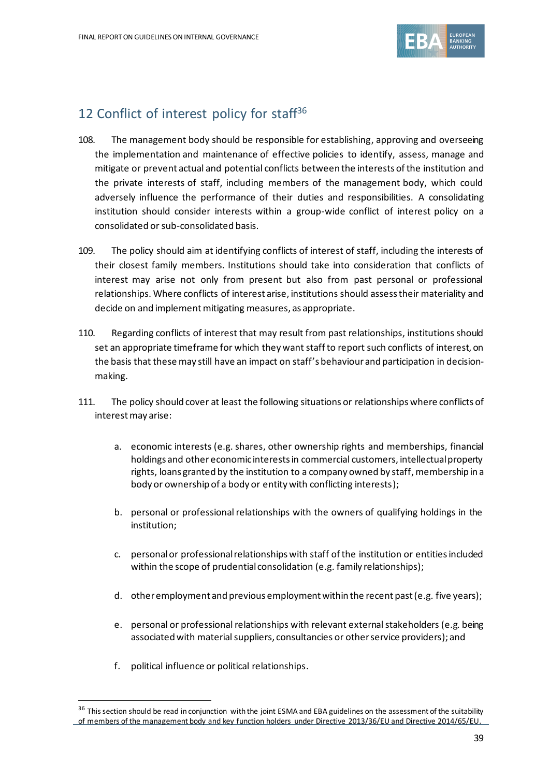

# 12 Conflict of interest policy for staff<sup>36</sup>

- 108. The management body should be responsible for establishing, approving and overseeing the implementation and maintenance of effective policies to identify, assess, manage and mitigate or prevent actual and potential conflicts between the interests of the institution and the private interests of staff, including members of the management body, which could adversely influence the performance of their duties and responsibilities. A consolidating institution should consider interests within a group-wide conflict of interest policy on a consolidated or sub-consolidated basis.
- 109. The policy should aim at identifying conflicts of interest of staff, including the interests of their closest family members. Institutions should take into consideration that conflicts of interest may arise not only from present but also from past personal or professional relationships. Where conflicts of interest arise, institutions should assess their materiality and decide on and implement mitigating measures, as appropriate.
- 110. Regarding conflicts of interest that may result from past relationships, institutions should set an appropriate timeframe for which they want staff to report such conflicts of interest, on the basis that these may still have an impact on staff's behaviour and participation in decisionmaking.
- 111. The policy should cover at least the following situations or relationships where conflicts of interestmay arise:
	- a. economic interests (e.g. shares, other ownership rights and memberships, financial holdings and other economic interests in commercial customers, intellectual property rights, loans granted by the institution to a company owned by staff, membership in a body or ownership of a body or entity with conflicting interests);
	- b. personal or professional relationships with the owners of qualifying holdings in the institution;
	- c. personalor professional relationships with staff of the institution or entities included within the scope of prudential consolidation (e.g. family relationships);
	- d. other employment and previous employment within the recent past (e.g. five years);
	- e. personal or professional relationships with relevant external stakeholders (e.g. being associated with material suppliers, consultancies or other service providers); and
	- f. political influence or political relationships.

<sup>&</sup>lt;sup>36</sup> This section should be read in conjunction with the joint ESMA and EBA guidelines on the assessment of the suitability of members of the management body and key function holders under Directive 2013/36/EU and Directive 2014/65/EU.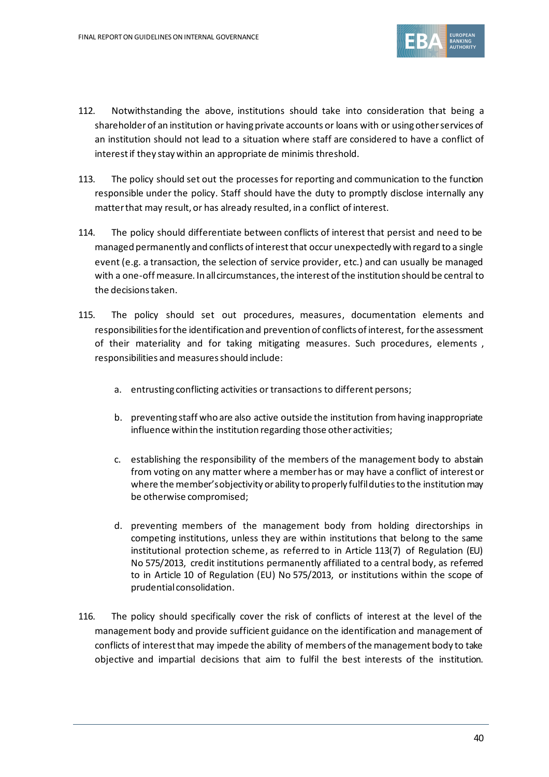

- 112. Notwithstanding the above, institutions should take into consideration that being a shareholder of an institution or having private accounts or loans with or using other services of an institution should not lead to a situation where staff are considered to have a conflict of interest if they stay within an appropriate de minimis threshold.
- 113. The policy should set out the processes for reporting and communication to the function responsible under the policy. Staff should have the duty to promptly disclose internally any matter that may result, or has already resulted, in a conflict of interest.
- 114. The policy should differentiate between conflicts of interest that persist and need to be managed permanently and conflicts of interest that occur unexpectedly with regard to a single event (e.g. a transaction, the selection of service provider, etc.) and can usually be managed with a one-off measure. In all circumstances, the interest of the institution should be central to the decisions taken.
- 115. The policy should set out procedures, measures, documentation elements and responsibilities for the identification and prevention of conflicts of interest, for the assessment of their materiality and for taking mitigating measures. Such procedures, elements , responsibilities and measures should include:
	- a. entrusting conflicting activities or transactions to different persons;
	- b. preventing staff who are also active outside the institution from having inappropriate influence within the institution regarding those other activities;
	- c. establishing the responsibility of the members of the management body to abstain from voting on any matter where a member has or may have a conflict of interest or where the member's objectivity or ability to properly fulfil duties to the institutionmay be otherwise compromised;
	- d. preventing members of the management body from holding directorships in competing institutions, unless they are within institutions that belong to the same institutional protection scheme, as referred to in Article 113(7) of Regulation (EU) No 575/2013, credit institutions permanently affiliated to a central body, as referred to in Article 10 of Regulation (EU) No 575/2013, or institutions within the scope of prudential consolidation.
- 116. The policy should specifically cover the risk of conflicts of interest at the level of the management body and provide sufficient guidance on the identification and management of conflicts of interest that may impede the ability of members of the management body to take objective and impartial decisions that aim to fulfil the best interests of the institution.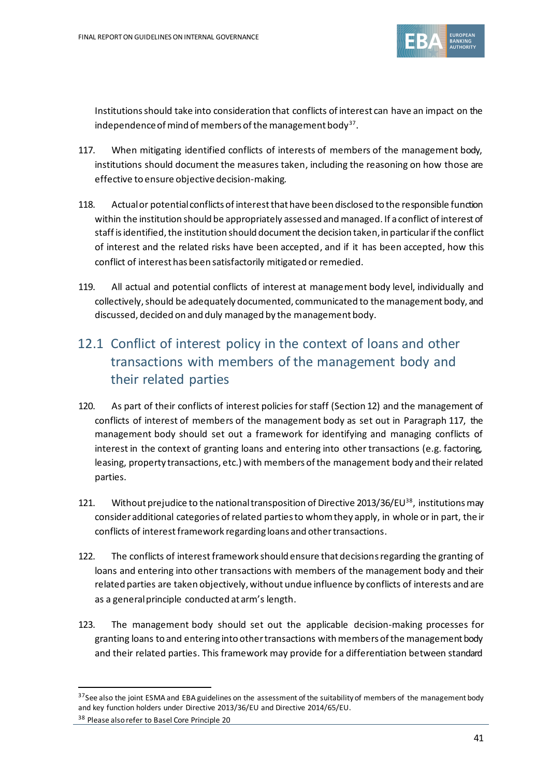

Institutions should take into consideration that conflicts of interest can have an impact on the independence of mind of members of the management body $^{\mathsf{37}}$ .

- 117. When mitigating identified conflicts of interests of members of the management body, institutions should document the measures taken, including the reasoning on how those are effective to ensure objective decision-making.
- 118. Actual or potential conflicts of interest that have been disclosed to the responsible function within the institution should be appropriately assessed and managed. If a conflict of interest of staff is identified, the institution should document the decision taken, in particularif the conflict of interest and the related risks have been accepted, and if it has been accepted, how this conflict of interest has been satisfactorily mitigated or remedied.
- 119. All actual and potential conflicts of interest at management body level, individually and collectively, should be adequately documented, communicated to the management body, and discussed, decided on and duly managed by the management body.

# 12.1 Conflict of interest policy in the context of loans and other transactions with members of the management body and their related parties

- 120. As part of their conflicts of interest policies for staff (Section 12) and the management of conflicts of interest of members of the management body as set out in Paragraph 117, the management body should set out a framework for identifying and managing conflicts of interest in the context of granting loans and entering into other transactions (e.g. factoring, leasing, property transactions, etc.) with members of the management body and their related parties.
- 121. Without prejudice to the national transposition of Directive 2013/36/EU<sup>38</sup>, institutions may consider additional categories of related parties to whom they apply, in whole or in part, the ir conflicts of interest framework regarding loans and other transactions.
- 122. The conflicts of interest framework should ensure that decisions regarding the granting of loans and entering into other transactions with members of the management body and their related parties are taken objectively, without undue influence by conflicts of interests and are as a general principle conducted at arm's length.
- 123. The management body should set out the applicable decision-making processes for granting loans to and entering into other transactions with members of the management body and their related parties. This framework may provide for a differentiation between standard

<sup>&</sup>lt;sup>37</sup> See also the joint ESMA and EBA guidelines on the assessment of the suitability of members of the management body and key function holders under Directive 2013/36/EU and Directive 2014/65/EU.

<sup>38</sup> Please also refer to Basel Core Principle 20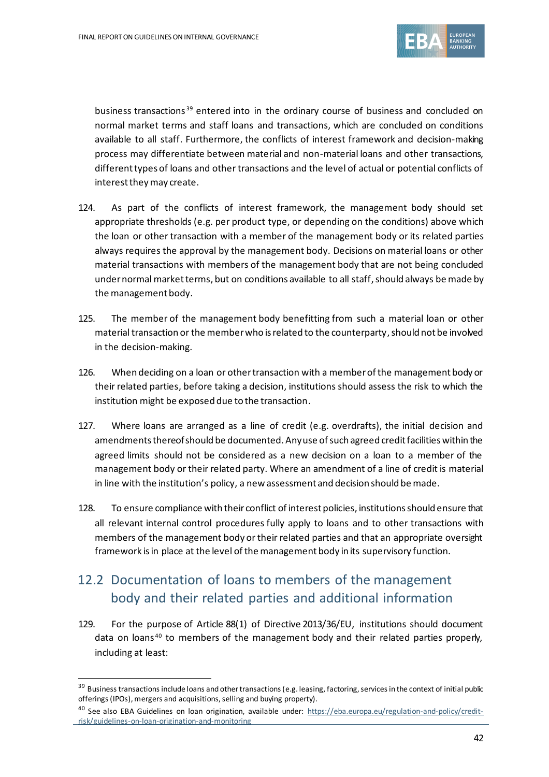

business transactions<sup>39</sup> entered into in the ordinary course of business and concluded on normal market terms and staff loans and transactions, which are concluded on conditions available to all staff. Furthermore, the conflicts of interest framework and decision-making process may differentiate between material and non-material loans and other transactions, different types of loans and other transactions and the level of actual or potential conflicts of interest they may create.

- 124. As part of the conflicts of interest framework, the management body should set appropriate thresholds (e.g. per product type, or depending on the conditions) above which the loan or other transaction with a member of the management body or its related parties always requires the approval by the management body. Decisions on material loans or other material transactions with members of the management body that are not being concluded under normal market terms, but on conditions available to all staff, should always be made by the management body.
- 125. The member of the management body benefitting from such a material loan or other material transaction or the member who is related to the counterparty, should not be involved in the decision-making.
- 126. When deciding on a loan or other transaction with a member of the management body or their related parties, before taking a decision, institutions should assess the risk to which the institution might be exposed due to the transaction.
- 127. Where loans are arranged as a line of credit (e.g. overdrafts), the initial decision and amendments thereof should be documented. Any use of such agreed credit facilities within the agreed limits should not be considered as a new decision on a loan to a member of the management body or their related party. Where an amendment of a line of credit is material in line with the institution's policy, a new assessment and decision should be made.
- 128. To ensure compliance with their conflict of interest policies, institutions should ensure that all relevant internal control procedures fully apply to loans and to other transactions with members of the management body or their related parties and that an appropriate oversight framework is in place at the level of the management body in its supervisory function.

# 12.2 Documentation of loans to members of the management body and their related parties and additional information

129. For the purpose of Article 88(1) of Directive 2013/36/EU, institutions should document data on loans<sup>40</sup> to members of the management body and their related parties properly, including at least:

<sup>&</sup>lt;sup>39</sup> Business transactions include loans and other transactions (e.g. leasing, factoring, services in the context of initial public offerings (IPOs), mergers and acquisitions, selling and buying property).

<sup>&</sup>lt;sup>40</sup> See also EBA Guidelines on loan origination, available under: [https://eba.europa.eu/regulation-and-policy/credit](https://eba.europa.eu/regulation-and-policy/credit-risk/guidelines-on-loan-origination-and-monitoring)[risk/guidelines-on-loan-origination-and-monitoring](https://eba.europa.eu/regulation-and-policy/credit-risk/guidelines-on-loan-origination-and-monitoring)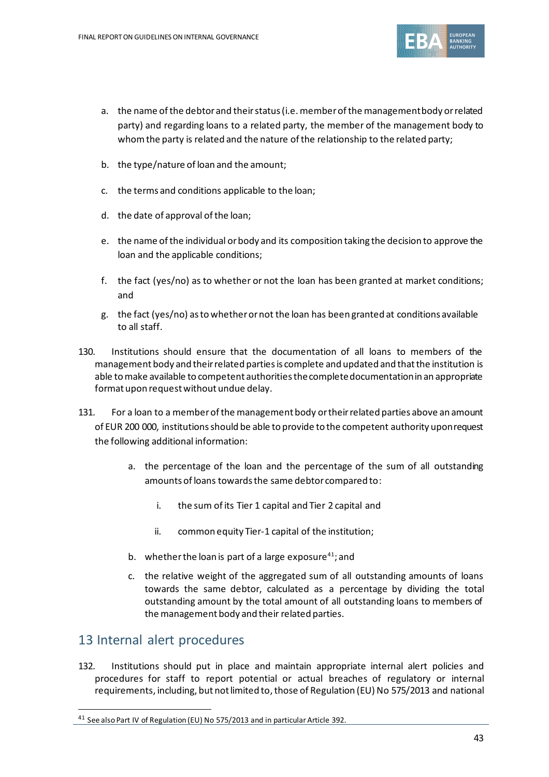

- a. the name of the debtor and theirstatus (i.e. member of the management body or related party) and regarding loans to a related party, the member of the management body to whom the party is related and the nature of the relationship to the related party;
- b. the type/nature of loan and the amount;
- c. the terms and conditions applicable to the loan;
- d. the date of approval of the loan;
- e. the name of the individual or body and its composition taking the decision to approve the loan and the applicable conditions;
- f. the fact (yes/no) as to whether or not the loan has been granted at market conditions; and
- g. the fact (yes/no) as to whether or not the loan has been granted at conditions available to all staff.
- 130. Institutions should ensure that the documentation of all loans to members of the management body and their related parties is complete and updated and that the institution is able to make available to competent authorities the complete documentation in an appropriate format upon request without undue delay.
- 131. For a loan to a member of the management body or their related parties above an amount of EUR 200 000, institutions should be able to provide to the competent authority upon request the following additional information:
	- a. the percentage of the loan and the percentage of the sum of all outstanding amounts of loans towards the same debtor compared to:
		- i. the sum of its Tier 1 capital and Tier 2 capital and
		- ii. common equity Tier-1 capital of the institution;
	- b. whether the loan is part of a large exposure $41$ ; and
	- c. the relative weight of the aggregated sum of all outstanding amounts of loans towards the same debtor, calculated as a percentage by dividing the total outstanding amount by the total amount of all outstanding loans to members of the management body and their related parties.

#### 13 Internal alert procedures

132. Institutions should put in place and maintain appropriate internal alert policies and procedures for staff to report potential or actual breaches of regulatory or internal requirements, including, but not limited to, those of Regulation (EU) No 575/2013 and national

<sup>&</sup>lt;sup>41</sup> See also Part IV of Regulation (EU) No 575/2013 and in particular Article 392.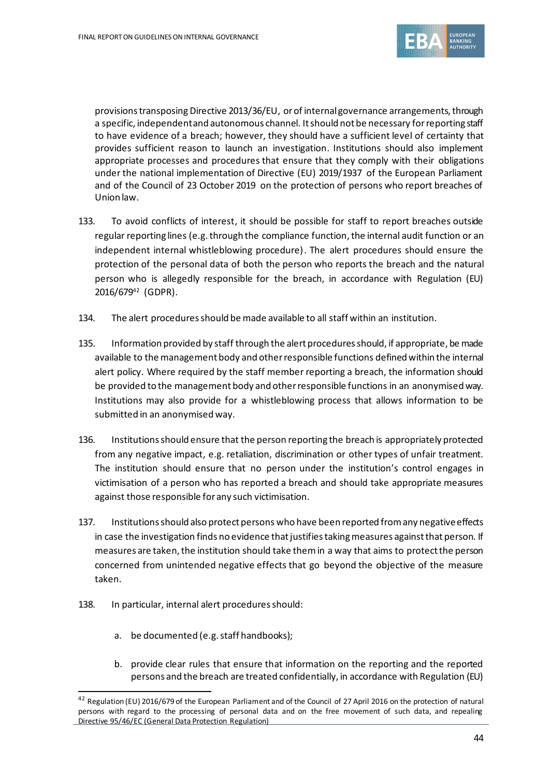

provisions transposing Directive 2013/36/EU, or of internal governance arrangements, through a specific, independent and autonomous channel. It should not be necessary for reporting staff to have evidence of a breach; however, they should have a sufficient level of certainty that provides sufficient reason to launch an investigation. Institutions should also implement appropriate processes and procedures that ensure that they comply with their obligations under the national implementation of Directive (EU) 2019/1937 of the European Parliament and of the Council of 23 October 2019 on the protection of persons who report breaches of Union law.

- 133. To avoid conflicts of interest, it should be possible for staff to report breaches outside regular reporting lines (e.g. through the compliance function, the internal audit function or an independent internal whistleblowing procedure). The alert procedures should ensure the protection of the personal data of both the person who reports the breach and the natural person who is allegedly responsible for the breach, in accordance with Regulation (EU) 2016/679<sup>42</sup> (GDPR).
- 134. The alert procedures should be made available to all staff within an institution.
- 135. Information provided by staff through the alert proceduresshould, if appropriate, be made available to the management body and other responsible functions defined within the internal alert policy. Where required by the staff member reporting a breach, the information should be provided to the management body and other responsible functions in an anonymised way. Institutions may also provide for a whistleblowing process that allows information to be submitted in an anonymised way.
- 136. Institutionsshould ensure that the person reporting the breach is appropriately protected from any negative impact, e.g. retaliation, discrimination or other types of unfair treatment. The institution should ensure that no person under the institution's control engages in victimisation of a person who has reported a breach and should take appropriate measures against those responsible for any such victimisation.
- 137. Institutions should also protect persons who have been reported from any negative effects in case the investigation finds no evidence that justifies taking measures against that person. If measures are taken, the institution should take themin a way that aims to protect the person concerned from unintended negative effects that go beyond the objective of the measure taken.
- 138. In particular, internal alert procedures should:
	- a. be documented (e.g. staff handbooks);
	- b. provide clear rules that ensure that information on the reporting and the reported persons and the breach are treated confidentially, in accordance with Regulation (EU)

<sup>&</sup>lt;sup>42</sup> Regulation (EU) 2016/679 of the European Parliament and of the Council of 27 April 2016 on the protection of natural persons with regard to the processing of personal data and on the free movement of such data, and repealing Directive 95/46/EC (General Data Protection Regulation)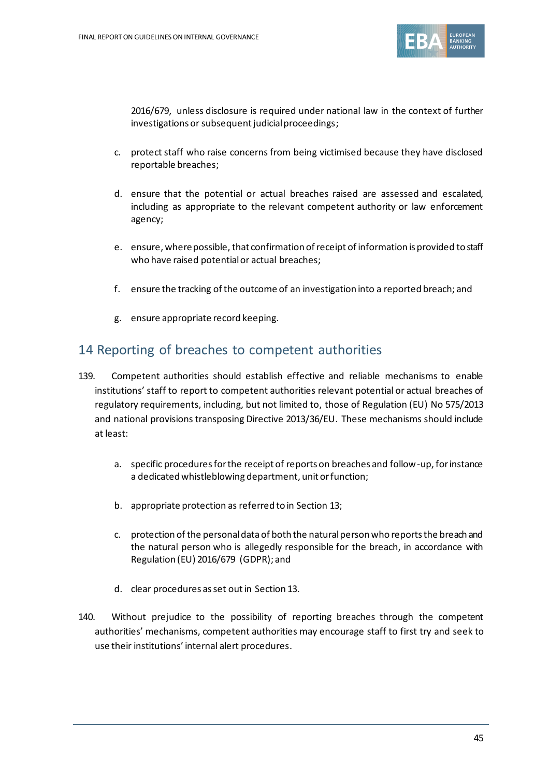

2016/679, unless disclosure is required under national law in the context of further investigations or subsequent judicial proceedings;

- c. protect staff who raise concerns from being victimised because they have disclosed reportable breaches;
- d. ensure that the potential or actual breaches raised are assessed and escalated, including as appropriate to the relevant competent authority or law enforcement agency;
- e. ensure, where possible, that confirmation of receipt of information is provided to staff who have raised potential or actual breaches;
- f. ensure the tracking ofthe outcome of an investigation into a reported breach; and
- g. ensure appropriate record keeping.

#### 14 Reporting of breaches to competent authorities

- 139. Competent authorities should establish effective and reliable mechanisms to enable institutions' staff to report to competent authorities relevant potential or actual breaches of regulatory requirements, including, but not limited to, those of Regulation (EU) No 575/2013 and national provisions transposing Directive 2013/36/EU. These mechanisms should include at least:
	- a. specific procedures for the receipt of reports on breaches and follow-up, for instance a dedicated whistleblowing department, unit or function;
	- b. appropriate protection as referred to in Section 13;
	- c. protection of the personal data of both the natural person who reports the breach and the natural person who is allegedly responsible for the breach, in accordance with Regulation (EU) 2016/679 (GDPR); and
	- d. clear procedures as set out in Section 13.
- 140. Without prejudice to the possibility of reporting breaches through the competent authorities' mechanisms, competent authorities may encourage staff to first try and seek to use their institutions' internal alert procedures.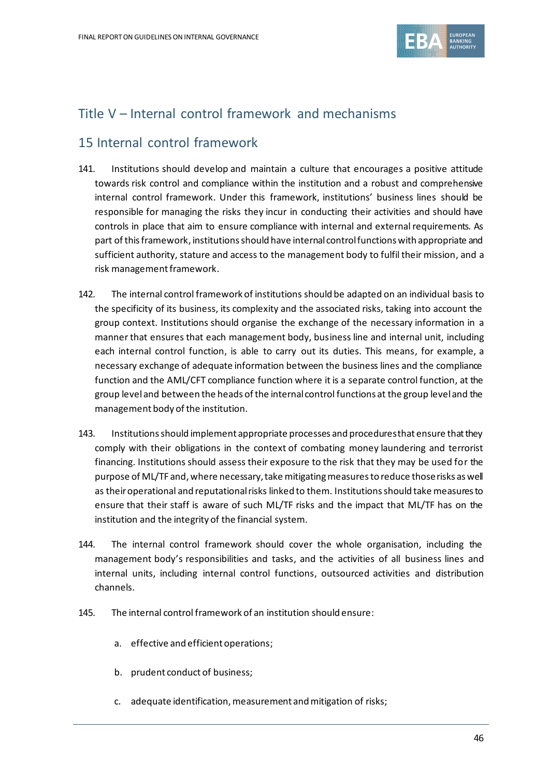

# Title V – Internal control framework and mechanisms

### 15 Internal control framework

- 141. Institutions should develop and maintain a culture that encourages a positive attitude towards risk control and compliance within the institution and a robust and comprehensive internal control framework. Under this framework, institutions' business lines should be responsible for managing the risks they incur in conducting their activities and should have controls in place that aim to ensure compliance with internal and external requirements. As part of this framework, institutions should have internal control functions with appropriate and sufficient authority, stature and access to the management body to fulfil their mission, and a risk management framework.
- 142. The internal control framework of institutions should be adapted on an individual basis to the specificity of its business, its complexity and the associated risks, taking into account the group context. Institutions should organise the exchange of the necessary information in a manner that ensures that each management body, business line and internal unit, including each internal control function, is able to carry out its duties. This means, for example, a necessary exchange of adequate information between the business lines and the compliance function and the AML/CFT compliance function where it is a separate control function, at the group leveland between the heads of the internal control functions at the group level and the management body of the institution.
- 143. Institutions should implement appropriate processes and procedures that ensure that they comply with their obligations in the context of combating money laundering and terrorist financing. Institutions should assess their exposure to the risk that they may be used for the purpose of ML/TF and, where necessary, take mitigating measures to reduce those risks as well as their operational and reputational risks linked to them. Institutions should take measures to ensure that their staff is aware of such ML/TF risks and the impact that ML/TF has on the institution and the integrity of the financial system.
- 144. The internal control framework should cover the whole organisation, including the management body's responsibilities and tasks, and the activities of all business lines and internal units, including internal control functions, outsourced activities and distribution channels.
- 145. The internal control framework of an institution should ensure:
	- a. effective and efficient operations;
	- b. prudent conduct of business;
	- c. adequate identification, measurement and mitigation of risks;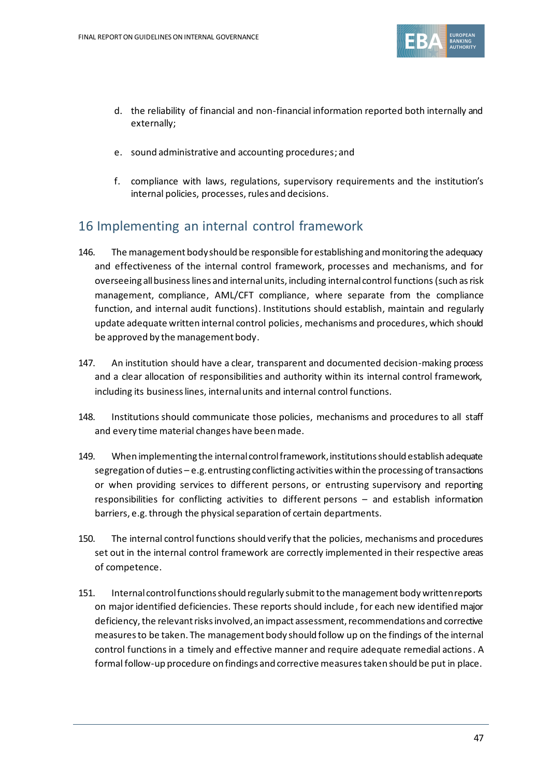

- d. the reliability of financial and non-financial information reported both internally and externally;
- e. sound administrative and accounting procedures; and
- f. compliance with laws, regulations, supervisory requirements and the institution's internal policies, processes, rules and decisions.

# 16 Implementing an internal control framework

- 146. The management bodyshould be responsible for establishing and monitoring the adequacy and effectiveness of the internal control framework, processes and mechanisms, and for overseeing all businesslines and internalunits, including internal control functions(such as risk management, compliance, AML/CFT compliance, where separate from the compliance function, and internal audit functions). Institutions should establish, maintain and regularly update adequate written internal control policies, mechanisms and procedures, which should be approved by the management body.
- 147. An institution should have a clear, transparent and documented decision-making process and a clear allocation of responsibilities and authority within its internal control framework, including its business lines, internal units and internal control functions.
- 148. Institutions should communicate those policies, mechanisms and procedures to all staff and every time material changes have been made.
- 149. When implementing the internal control framework, institutions should establish adequate segregation of duties – e.g. entrusting conflicting activities within the processing of transactions or when providing services to different persons, or entrusting supervisory and reporting responsibilities for conflicting activities to different persons – and establish information barriers, e.g. through the physical separation of certain departments.
- 150. The internal control functions should verify that the policies, mechanisms and procedures set out in the internal control framework are correctly implemented in their respective areas of competence.
- 151. Internal control functions should regularly submit to the management body written reports on major identified deficiencies. These reports should include, for each new identified major deficiency, the relevant risks involved, an impact assessment, recommendations and corrective measures to be taken. The management body should follow up on the findings of the internal control functions in a timely and effective manner and require adequate remedial actions. A formal follow-up procedure on findings and corrective measures taken should be put in place.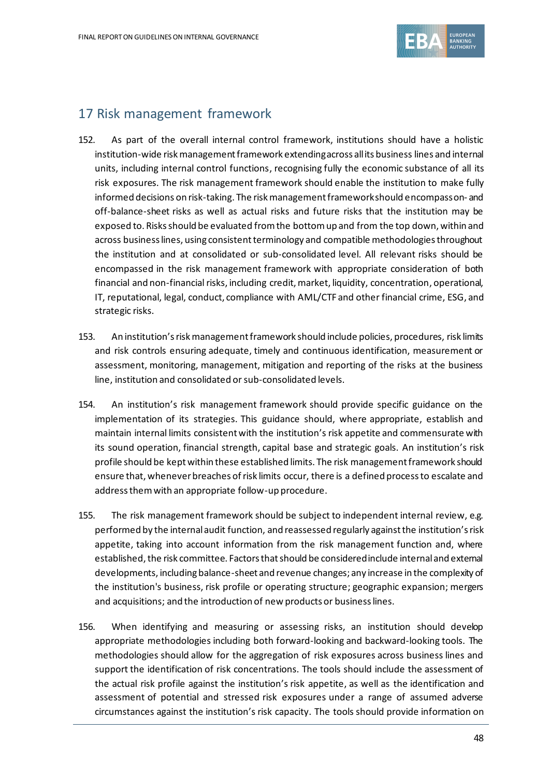

### 17 Risk management framework

- 152. As part of the overall internal control framework, institutions should have a holistic institution-wide risk management framework extending across all its business lines and internal units, including internal control functions, recognising fully the economic substance of all its risk exposures. The risk management framework should enable the institution to make fully informed decisions on risk-taking. The risk management framework should encompass on- and off-balance-sheet risks as well as actual risks and future risks that the institution may be exposed to. Risks should be evaluated from the bottom up and from the top down, within and across business lines, using consistent terminology and compatible methodologies throughout the institution and at consolidated or sub-consolidated level. All relevant risks should be encompassed in the risk management framework with appropriate consideration of both financial and non-financial risks, including credit, market, liquidity, concentration, operational, IT, reputational, legal, conduct, compliance with AML/CTF and other financial crime, ESG, and strategic risks.
- 153. An institution's risk management framework should include policies, procedures, risk limits and risk controls ensuring adequate, timely and continuous identification, measurement or assessment, monitoring, management, mitigation and reporting of the risks at the business line, institution and consolidated or sub-consolidated levels.
- 154. An institution's risk management framework should provide specific guidance on the implementation of its strategies. This guidance should, where appropriate, establish and maintain internal limits consistent with the institution's risk appetite and commensurate with its sound operation, financial strength, capital base and strategic goals. An institution's risk profile should be kept within these established limits. The risk management framework should ensure that, whenever breaches of risk limits occur, there is a defined process to escalate and address them with an appropriate follow-up procedure.
- 155. The risk management framework should be subject to independent internal review, e.g. performed by the internal audit function, and reassessed regularly against the institution's risk appetite, taking into account information from the risk management function and, where established, the risk committee. Factors that should be considered include internal and external developments, including balance-sheet and revenue changes; any increase in the complexity of the institution's business, risk profile or operating structure; geographic expansion; mergers and acquisitions; and the introduction of new products or business lines.
- 156. When identifying and measuring or assessing risks, an institution should develop appropriate methodologies including both forward-looking and backward-looking tools. The methodologies should allow for the aggregation of risk exposures across business lines and support the identification of risk concentrations. The tools should include the assessment of the actual risk profile against the institution's risk appetite, as well as the identification and assessment of potential and stressed risk exposures under a range of assumed adverse circumstances against the institution's risk capacity. The tools should provide information on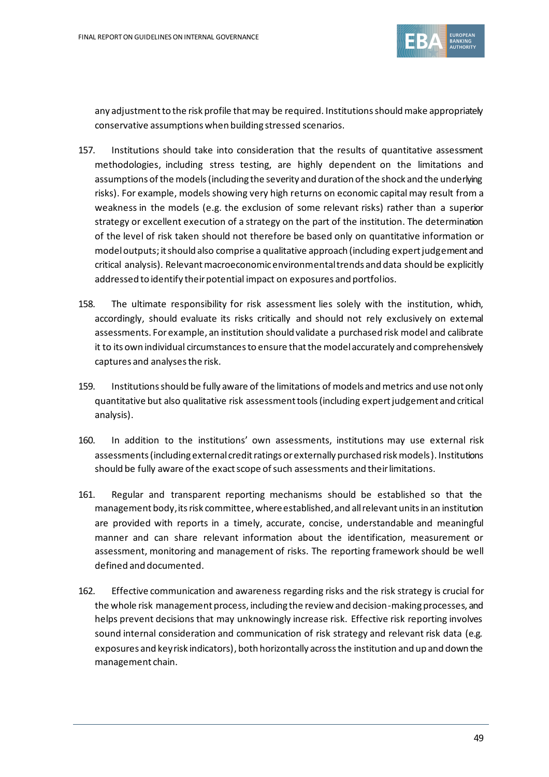

any adjustment to the risk profile that may be required. Institutions should make appropriately conservative assumptions when building stressed scenarios.

- 157. Institutions should take into consideration that the results of quantitative assessment methodologies, including stress testing, are highly dependent on the limitations and assumptions of the models (including the severity and duration of the shock and the underlying risks). For example, models showing very high returns on economic capital may result from a weakness in the models (e.g. the exclusion of some relevant risks) rather than a superior strategy or excellent execution of a strategy on the part of the institution. The determination of the level of risk taken should not therefore be based only on quantitative information or model outputs;itshould also comprise a qualitative approach (including expert judgement and critical analysis). Relevant macroeconomic environmentaltrends and data should be explicitly addressed to identify their potential impact on exposures and portfolios.
- 158. The ultimate responsibility for risk assessment lies solely with the institution, which, accordingly, should evaluate its risks critically and should not rely exclusively on external assessments. For example, an institution should validate a purchased risk model and calibrate it to its own individual circumstances to ensure that the model accurately and comprehensively captures and analyses the risk.
- 159. Institutions should be fully aware of the limitations of models and metrics and use not only quantitative but also qualitative risk assessment tools (including expert judgement and critical analysis).
- 160. In addition to the institutions' own assessments, institutions may use external risk assessments (including external credit ratings or externally purchased risk models). Institutions should be fully aware of the exact scope of such assessments and their limitations.
- 161. Regular and transparent reporting mechanisms should be established so that the management body, its risk committee, where established,and all relevant units in an institution are provided with reports in a timely, accurate, concise, understandable and meaningful manner and can share relevant information about the identification, measurement or assessment, monitoring and management of risks. The reporting framework should be well defined and documented.
- 162. Effective communication and awareness regarding risks and the risk strategy is crucial for the whole risk management process, including the review and decision-making processes, and helps prevent decisions that may unknowingly increase risk. Effective risk reporting involves sound internal consideration and communication of risk strategy and relevant risk data (e.g. exposures and key risk indicators), both horizontally across the institution and up and down the management chain.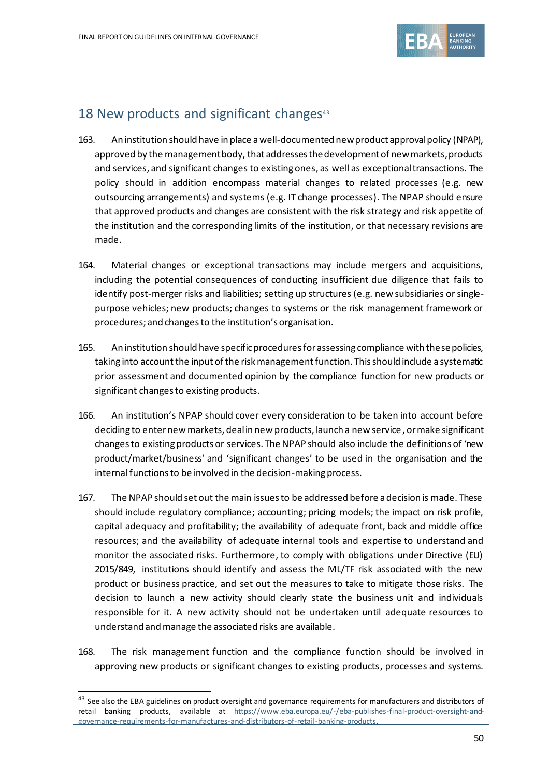

## 18 New products and significant changes $43$

- 163. An institution should have in place a well-documented new product approval policy (NPAP), approved by the management body, that addresses the development of new markets, products and services, and significant changes to existing ones, as well as exceptional transactions. The policy should in addition encompass material changes to related processes (e.g. new outsourcing arrangements) and systems (e.g. IT change processes). The NPAP should ensure that approved products and changes are consistent with the risk strategy and risk appetite of the institution and the corresponding limits of the institution, or that necessary revisions are made.
- 164. Material changes or exceptional transactions may include mergers and acquisitions, including the potential consequences of conducting insufficient due diligence that fails to identify post-merger risks and liabilities; setting up structures (e.g. new subsidiaries or singlepurpose vehicles; new products; changes to systems or the risk management framework or procedures; and changes to the institution's organisation.
- 165. An institution should have specific procedures for assessing compliance with thesepolicies, taking into account the input of the risk management function. This should include a systematic prior assessment and documented opinion by the compliance function for new products or significant changes to existing products.
- 166. An institution's NPAP should cover every consideration to be taken into account before deciding to enter new markets, deal in new products, launch a new service, or make significant changes to existing products or services. The NPAP should also include the definitions of 'new product/market/business' and 'significant changes' to be used in the organisation and the internal functions to be involved in the decision-making process.
- 167. The NPAP should set out the main issues to be addressed before a decision is made. These should include regulatory compliance; accounting; pricing models; the impact on risk profile, capital adequacy and profitability; the availability of adequate front, back and middle office resources; and the availability of adequate internal tools and expertise to understand and monitor the associated risks. Furthermore, to comply with obligations under Directive (EU) 2015/849, institutions should identify and assess the ML/TF risk associated with the new product or business practice, and set out the measures to take to mitigate those risks. The decision to launch a new activity should clearly state the business unit and individuals responsible for it. A new activity should not be undertaken until adequate resources to understand and manage the associated risks are available.
- 168. The risk management function and the compliance function should be involved in approving new products or significant changes to existing products, processes and systems.

<sup>&</sup>lt;sup>43</sup> See also the EBA guidelines on product oversight and governance requirements for manufacturers and distributors of retail banking products, available at [https://www.eba.europa.eu/-/eba-publishes-final-product-oversight-and](https://www.eba.europa.eu/-/eba-publishes-final-product-oversight-and-governance-requirements-for-manufactures-and-distributors-of-retail-banking-products)[governance-requirements-for-manufactures-and-distributors-of-retail-banking-products.](https://www.eba.europa.eu/-/eba-publishes-final-product-oversight-and-governance-requirements-for-manufactures-and-distributors-of-retail-banking-products)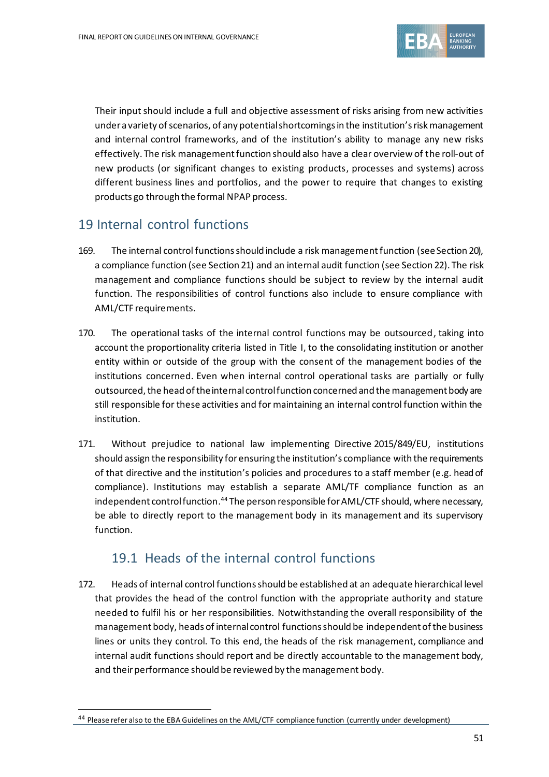

Their input should include a full and objective assessment of risks arising from new activities under a variety of scenarios, of any potential shortcomings in the institution's risk management and internal control frameworks, and of the institution's ability to manage any new risks effectively. The risk management function should also have a clear overview of the roll-out of new products (or significant changes to existing products, processes and systems) across different business lines and portfolios, and the power to require that changes to existing products go through the formal NPAP process.

# 19 Internal control functions

- 169. The internal control functions should include a risk management function (see Section 20), a compliance function (see Section 21) and an internal audit function (see Section 22). The risk management and compliance functions should be subject to review by the internal audit function. The responsibilities of control functions also include to ensure compliance with AML/CTF requirements.
- 170. The operational tasks of the internal control functions may be outsourced, taking into account the proportionality criteria listed in Title I, to the consolidating institution or another entity within or outside of the group with the consent of the management bodies of the institutions concerned. Even when internal control operational tasks are partially or fully outsourced, the head of the internal control function concerned and the management body are still responsible for these activities and for maintaining an internal control function within the institution.
- 171. Without prejudice to national law implementing Directive 2015/849/EU, institutions should assign the responsibility for ensuring the institution's compliance with the requirements of that directive and the institution's policies and procedures to a staff member (e.g. head of compliance). Institutions may establish a separate AML/TF compliance function as an independent control function. <sup>44</sup> The person responsible for AML/CTF should, where necessary, be able to directly report to the management body in its management and its supervisory function.

# 19.1 Heads of the internal control functions

172. Heads of internal control functionsshould be established at an adequate hierarchical level that provides the head of the control function with the appropriate authority and stature needed to fulfil his or her responsibilities. Notwithstanding the overall responsibility of the management body, heads of internal control functions should be independent of the business lines or units they control. To this end, the heads of the risk management, compliance and internal audit functions should report and be directly accountable to the management body, and their performance should be reviewed by the management body.

<sup>&</sup>lt;sup>44</sup> Please refer also to the EBA Guidelines on the AML/CTF compliance function (currently under development)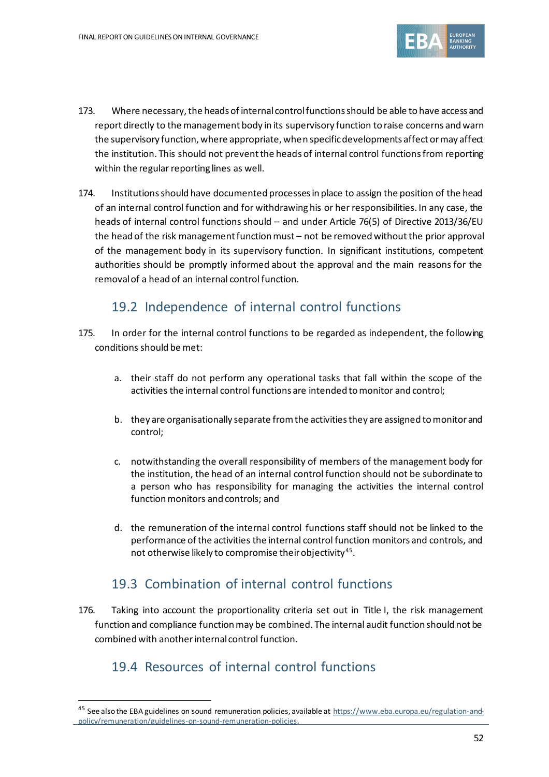

- 173. Where necessary, the heads of internal control functions should be able to have access and report directly to the management body in its supervisory function to raise concerns and warn the supervisory function, where appropriate, when specific developments affect or may affect the institution. This should not prevent the heads of internal control functionsfrom reporting within the regular reporting lines as well.
- 174. Institutions should have documented processes in place to assign the position of the head of an internal control function and for withdrawing his or her responsibilities. In any case, the heads of internal control functions should – and under Article 76(5) of Directive 2013/36/EU the head of the risk management function must – not be removed without the prior approval of the management body in its supervisory function. In significant institutions, competent authorities should be promptly informed about the approval and the main reasons for the removal of a head of an internal control function.

# 19.2 Independence of internal control functions

- 175. In order for the internal control functions to be regarded as independent, the following conditions should be met:
	- a. their staff do not perform any operational tasks that fall within the scope of the activities the internal control functions are intended to monitor and control;
	- b. they are organisationally separate from the activities they are assigned to monitor and control;
	- c. notwithstanding the overall responsibility of members of the management body for the institution, the head of an internal control function should not be subordinate to a person who has responsibility for managing the activities the internal control function monitors and controls; and
	- d. the remuneration of the internal control functions staff should not be linked to the performance of the activities the internal control function monitors and controls, and not otherwise likely to compromise their objectivity $^{45}\cdot$

# 19.3 Combination of internal control functions

176. Taking into account the proportionality criteria set out in Title I, the risk management function and compliance function may be combined. The internal audit function should not be combined with another internal control function.

# 19.4 Resources of internal control functions

<sup>&</sup>lt;sup>45</sup> See also the EBA guidelines on sound remuneration policies, available a[t https://www.eba.europa.eu/regulation-and](https://www.eba.europa.eu/regulation-and-policy/remuneration/guidelines-on-sound-remuneration-policies)[policy/remuneration/guidelines-on-sound-remuneration-policies.](https://www.eba.europa.eu/regulation-and-policy/remuneration/guidelines-on-sound-remuneration-policies)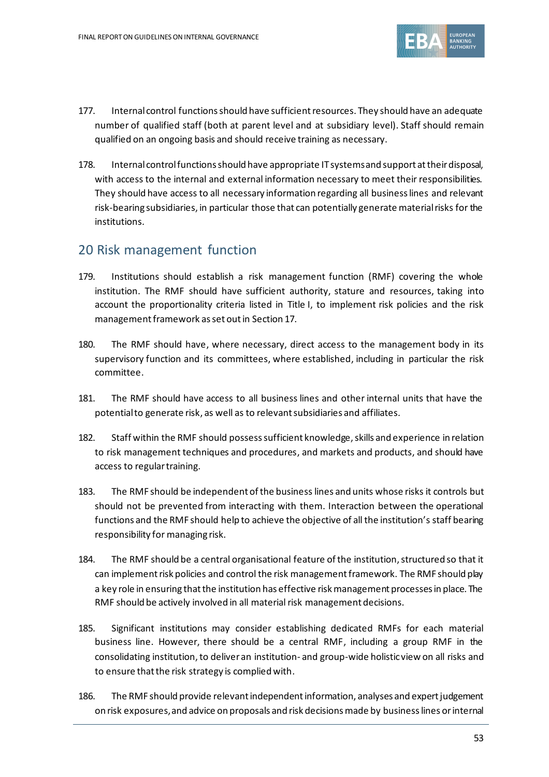

- 177. Internal control functions should have sufficient resources. They should have an adequate number of qualified staff (both at parent level and at subsidiary level). Staff should remain qualified on an ongoing basis and should receive training as necessary.
- 178. Internal control functions should have appropriate IT systems and support at their disposal, with access to the internal and external information necessary to meet their responsibilities. They should have access to all necessary information regarding all business lines and relevant risk-bearing subsidiaries, in particular those that can potentially generate material risks for the institutions.

## 20 Risk management function

- 179. Institutions should establish a risk management function (RMF) covering the whole institution. The RMF should have sufficient authority, stature and resources, taking into account the proportionality criteria listed in Title I, to implement risk policies and the risk management framework as set out in Section 17.
- 180. The RMF should have, where necessary, direct access to the management body in its supervisory function and its committees, where established, including in particular the risk committee.
- 181. The RMF should have access to all business lines and other internal units that have the potential to generate risk, as well as to relevant subsidiaries and affiliates.
- 182. Staff within the RMF should possess sufficient knowledge, skills and experience in relation to risk management techniques and procedures, and markets and products, and should have access to regular training.
- 183. The RMF should be independent of the business lines and units whose risks it controls but should not be prevented from interacting with them. Interaction between the operational functions and the RMF should help to achieve the objective of all the institution's staff bearing responsibility for managing risk.
- 184. The RMF should be a central organisational feature of the institution, structured so that it can implement risk policies and control the risk management framework. The RMF should play a key role in ensuring that the institution has effective risk management processes in place. The RMF should be actively involved in all material risk management decisions.
- 185. Significant institutions may consider establishing dedicated RMFs for each material business line. However, there should be a central RMF, including a group RMF in the consolidating institution,to deliver an institution- and group-wide holistic view on all risks and to ensure that the risk strategy is complied with.
- 186. The RMF should provide relevant independent information, analyses and expert judgement on risk exposures, and advice on proposals and risk decisions made by businesslines or internal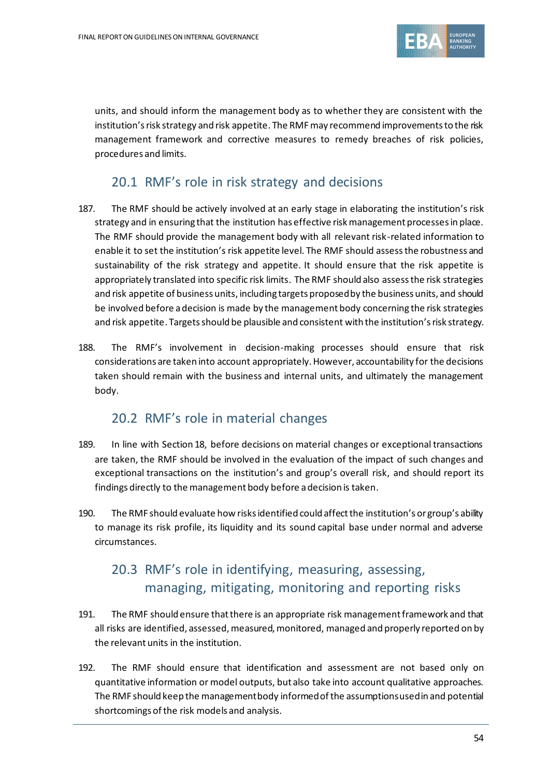

units, and should inform the management body as to whether they are consistent with the institution's risk strategy and risk appetite. The RMF may recommend improvements to the risk management framework and corrective measures to remedy breaches of risk policies, procedures and limits.

## 20.1 RMF's role in risk strategy and decisions

- 187. The RMF should be actively involved at an early stage in elaborating the institution's risk strategy and in ensuring that the institution has effective risk management processes in place. The RMF should provide the management body with all relevant risk-related information to enable it to set the institution's risk appetite level. The RMF should assess the robustness and sustainability of the risk strategy and appetite. It should ensure that the risk appetite is appropriately translated into specific risk limits. The RMF should also assess the risk strategies and risk appetite of business units, including targets proposed by the business units, and should be involved before a decision is made by the management body concerning the risk strategies and risk appetite. Targets should be plausible and consistent with the institution's risk strategy.
- 188. The RMF's involvement in decision-making processes should ensure that risk considerations are taken into account appropriately. However, accountability for the decisions taken should remain with the business and internal units, and ultimately the management body.

#### 20.2 RMF's role in material changes

- 189. In line with Section 18, before decisions on material changes or exceptional transactions are taken, the RMF should be involved in the evaluation of the impact of such changes and exceptional transactions on the institution's and group's overall risk, and should report its findings directly to the management body before a decision is taken.
- 190. The RMF should evaluate how risks identified could affect the institution's or group's ability to manage its risk profile, its liquidity and its sound capital base under normal and adverse circumstances.

# 20.3 RMF's role in identifying, measuring, assessing, managing, mitigating, monitoring and reporting risks

- 191. The RMF should ensure that there is an appropriate risk management framework and that all risks are identified, assessed, measured, monitored, managed and properly reported on by the relevant units in the institution.
- 192. The RMF should ensure that identification and assessment are not based only on quantitative information or model outputs, but also take into account qualitative approaches. The RMF should keep the management body informed of the assumptions used in and potential shortcomings of the risk models and analysis.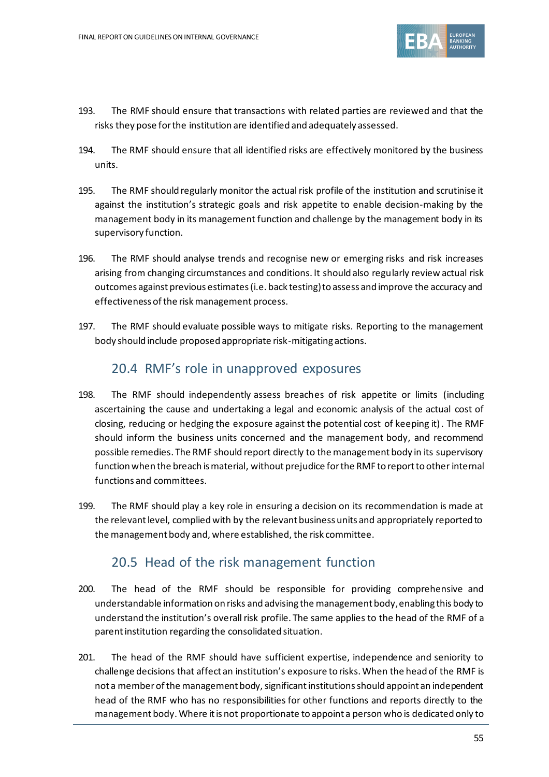

- 193. The RMF should ensure that transactions with related parties are reviewed and that the risks they pose for the institution are identified and adequately assessed.
- 194. The RMF should ensure that all identified risks are effectively monitored by the business units.
- 195. The RMF should regularly monitor the actual risk profile of the institution and scrutinise it against the institution's strategic goals and risk appetite to enable decision-making by the management body in its management function and challenge by the management body in its supervisory function.
- 196. The RMF should analyse trends and recognise new or emerging risks and risk increases arising from changing circumstances and conditions. It should also regularly review actual risk outcomes against previous estimates (i.e. back testing) to assess and improve the accuracy and effectiveness of the risk management process.
- 197. The RMF should evaluate possible ways to mitigate risks. Reporting to the management body should include proposed appropriate risk-mitigating actions.

# 20.4 RMF's role in unapproved exposures

- 198. The RMF should independently assess breaches of risk appetite or limits (including ascertaining the cause and undertaking a legal and economic analysis of the actual cost of closing, reducing or hedging the exposure against the potential cost of keeping it). The RMF should inform the business units concerned and the management body, and recommend possible remedies. The RMF should report directly to the management body in its supervisory function when the breach is material, without prejudice for the RMF to report to otherinternal functions and committees.
- 199. The RMF should play a key role in ensuring a decision on its recommendation is made at the relevant level, complied with by the relevant business units and appropriately reported to the management body and, where established, the risk committee.

#### 20.5 Head of the risk management function

- 200. The head of the RMF should be responsible for providing comprehensive and understandable information on risks and advising the management body, enabling this body to understand the institution's overall risk profile. The same applies to the head of the RMF of a parent institution regarding the consolidated situation.
- 201. The head of the RMF should have sufficient expertise, independence and seniority to challenge decisions that affect an institution's exposure to risks. When the head of the RMF is not a member of the management body, significant institutionsshould appoint an independent head of the RMF who has no responsibilities for other functions and reports directly to the management body. Where it is not proportionate to appoint a person who is dedicated only to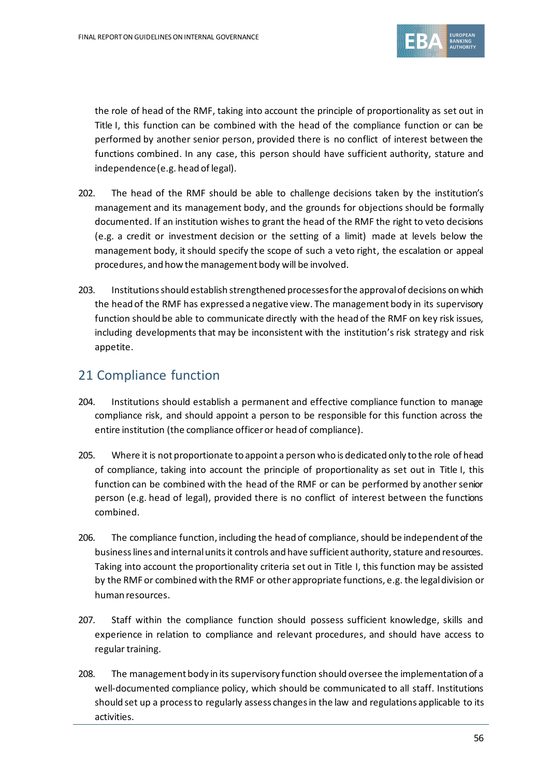

the role of head of the RMF, taking into account the principle of proportionality as set out in Title I, this function can be combined with the head of the compliance function or can be performed by another senior person, provided there is no conflict of interest between the functions combined. In any case, this person should have sufficient authority, stature and independence (e.g. head of legal).

- 202. The head of the RMF should be able to challenge decisions taken by the institution's management and its management body, and the grounds for objections should be formally documented. If an institution wishes to grant the head of the RMF the right to veto decisions (e.g. a credit or investment decision or the setting of a limit) made at levels below the management body, it should specify the scope of such a veto right, the escalation or appeal procedures, and how the management body will be involved.
- 203. Institutionsshould establish strengthened processesfor the approval of decisions on which the head of the RMF has expressed a negative view. The management body in its supervisory function should be able to communicate directly with the head of the RMF on key risk issues, including developments that may be inconsistent with the institution's risk strategy and risk appetite.

# 21 Compliance function

- 204. Institutions should establish a permanent and effective compliance function to manage compliance risk, and should appoint a person to be responsible for this function across the entire institution (the compliance officer or head of compliance).
- 205. Where it is not proportionate to appoint a person who is dedicated only to the role of head of compliance, taking into account the principle of proportionality as set out in Title I, this function can be combined with the head of the RMF or can be performed by another senior person (e.g. head of legal), provided there is no conflict of interest between the functions combined.
- 206. The compliance function, including the head of compliance, should be independent of the business lines and internal units it controls and have sufficient authority, stature and resources. Taking into account the proportionality criteria set out in Title I, this function may be assisted by the RMF or combined with the RMF or other appropriate functions, e.g. the legal division or human resources.
- 207. Staff within the compliance function should possess sufficient knowledge, skills and experience in relation to compliance and relevant procedures, and should have access to regular training.
- 208. The management body in its supervisory function should oversee the implementation of a well-documented compliance policy, which should be communicated to all staff. Institutions should set up a process to regularly assess changes in the law and regulations applicable to its activities.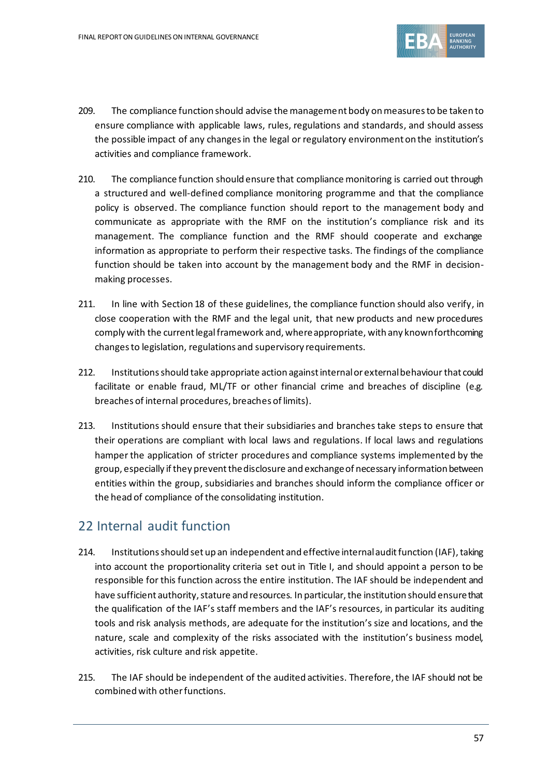

- 209. The compliance function should advise the management body on measures to be taken to ensure compliance with applicable laws, rules, regulations and standards, and should assess the possible impact of any changes in the legal or regulatory environment on the institution's activities and compliance framework.
- 210. The compliance function should ensure that compliance monitoring is carried out through a structured and well-defined compliance monitoring programme and that the compliance policy is observed. The compliance function should report to the management body and communicate as appropriate with the RMF on the institution's compliance risk and its management. The compliance function and the RMF should cooperate and exchange information as appropriate to perform their respective tasks. The findings of the compliance function should be taken into account by the management body and the RMF in decisionmaking processes.
- 211. In line with Section 18 of these guidelines, the compliance function should also verify, in close cooperation with the RMF and the legal unit, that new products and new procedures comply with the current legal framework and, where appropriate, with any known forthcoming changes to legislation, regulations and supervisory requirements.
- 212. Institutions should take appropriate action against internal or external behaviour that could facilitate or enable fraud, ML/TF or other financial crime and breaches of discipline (e.g. breaches of internal procedures, breaches of limits).
- 213. Institutions should ensure that their subsidiaries and branches take steps to ensure that their operations are compliant with local laws and regulations. If local laws and regulations hamper the application of stricter procedures and compliance systems implemented by the group, especially if they prevent the disclosure and exchange of necessary information between entities within the group, subsidiaries and branches should inform the compliance officer or the head of compliance of the consolidating institution.

# 22 Internal audit function

- 214. Institutions should set up an independent and effective internal audit function (IAF), taking into account the proportionality criteria set out in Title I, and should appoint a person to be responsible for this function across the entire institution. The IAF should be independent and have sufficient authority, stature and resources. In particular, the institution should ensure that the qualification of the IAF's staff members and the IAF's resources, in particular its auditing tools and risk analysis methods, are adequate for the institution's size and locations, and the nature, scale and complexity of the risks associated with the institution's business model, activities, risk culture and risk appetite.
- 215. The IAF should be independent of the audited activities. Therefore, the IAF should not be combined with other functions.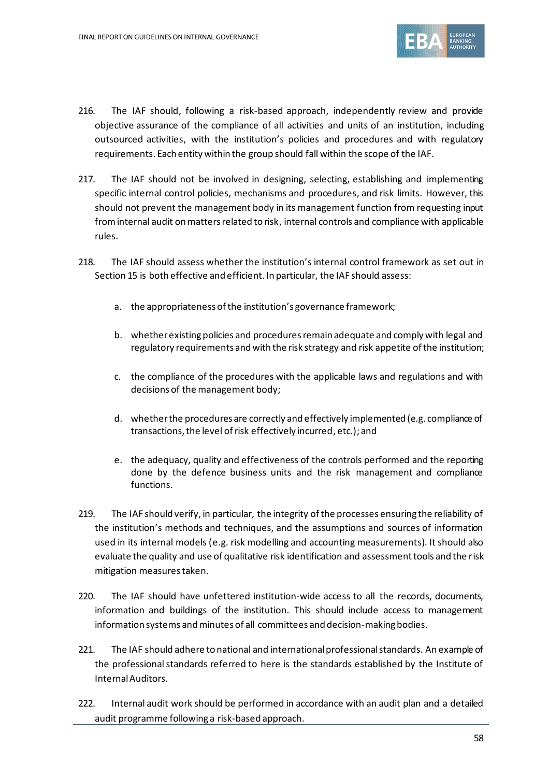

- 216. The IAF should, following a risk-based approach, independently review and provide objective assurance of the compliance of all activities and units of an institution, including outsourced activities, with the institution's policies and procedures and with regulatory requirements. Each entity within the group should fall within the scope of the IAF.
- 217. The IAF should not be involved in designing, selecting, establishing and implementing specific internal control policies, mechanisms and procedures, and risk limits. However, this should not prevent the management body in its management function from requesting input from internal audit on matters related to risk, internal controls and compliance with applicable rules.
- 218. The IAF should assess whether the institution's internal control framework as set out in Section 15 is both effective and efficient. In particular, the IAF should assess:
	- a. the appropriateness of the institution's governance framework;
	- b. whether existing policies and procedures remain adequate and comply with legal and regulatory requirements and with the risk strategy and risk appetite of the institution;
	- c. the compliance of the procedures with the applicable laws and regulations and with decisions of the management body;
	- d. whether the procedures are correctly and effectively implemented (e.g. compliance of transactions, the level of risk effectively incurred, etc.); and
	- e. the adequacy, quality and effectiveness of the controls performed and the reporting done by the defence business units and the risk management and compliance functions.
- 219. The IAF should verify, in particular, the integrity of the processes ensuring the reliability of the institution's methods and techniques, and the assumptions and sources of information used in its internal models (e.g. risk modelling and accounting measurements). It should also evaluate the quality and use of qualitative risk identification and assessment tools and the risk mitigation measures taken.
- 220. The IAF should have unfettered institution-wide access to all the records, documents, information and buildings of the institution. This should include access to management information systems and minutes of all committees and decision-making bodies.
- 221. The IAF should adhere to national and international professional standards. An example of the professional standards referred to here is the standards established by the Institute of Internal Auditors.
- 222. Internal audit work should be performed in accordance with an audit plan and a detailed audit programme following a risk-based approach.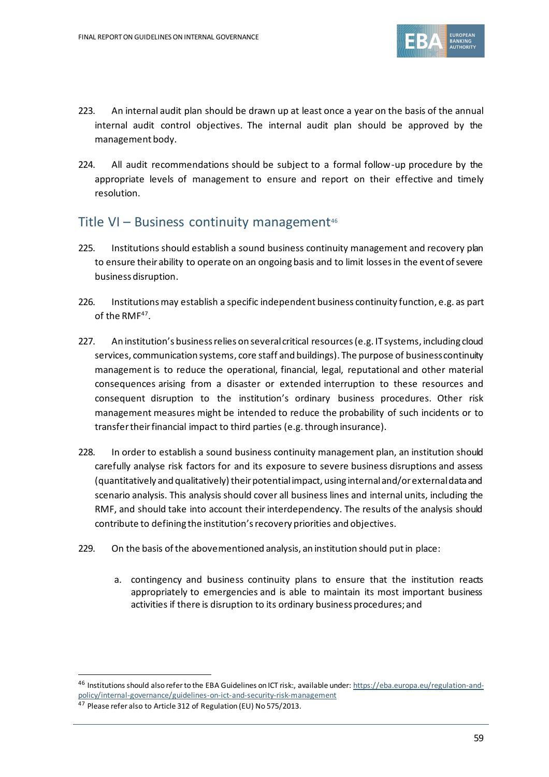

- 223. An internal audit plan should be drawn up at least once a year on the basis of the annual internal audit control objectives. The internal audit plan should be approved by the management body.
- 224. All audit recommendations should be subject to a formal follow-up procedure by the appropriate levels of management to ensure and report on their effective and timely resolution.

## Title VI – Business continuity management $46$

- 225. Institutions should establish a sound business continuity management and recovery plan to ensure their ability to operate on an ongoing basis and to limit losses in the event of severe business disruption.
- 226. Institutions may establish a specific independent business continuity function, e.g. as part of the RMF<sup>47</sup>.
- 227. An institution's business relies on several critical resources (e.g. IT systems, including cloud services, communication systems, core staff and buildings). The purpose of business continuity management is to reduce the operational, financial, legal, reputational and other material consequences arising from a disaster or extended interruption to these resources and consequent disruption to the institution's ordinary business procedures. Other risk management measures might be intended to reduce the probability of such incidents or to transfer their financial impact to third parties (e.g. through insurance).
- 228. In order to establish a sound business continuity management plan, an institution should carefully analyse risk factors for and its exposure to severe business disruptions and assess (quantitatively and qualitatively) their potential impact, using internal and/or external data and scenario analysis. This analysis should cover all business lines and internal units, including the RMF, and should take into account their interdependency. The results of the analysis should contribute to defining the institution's recovery priorities and objectives.
- 229. On the basis of the abovementioned analysis, an institution should put in place:
	- a. contingency and business continuity plans to ensure that the institution reacts appropriately to emergencies and is able to maintain its most important business activities if there is disruption to its ordinary business procedures; and

<sup>46</sup> Institutions should also refer to the EBA Guidelines on ICT risk:, available under[: https://eba.europa.eu/regulation-and](https://eba.europa.eu/regulation-and-policy/internal-governance/guidelines-on-ict-and-security-risk-management)[policy/internal-governance/guidelines-on-ict-and-security-risk-management](https://eba.europa.eu/regulation-and-policy/internal-governance/guidelines-on-ict-and-security-risk-management)

<sup>47</sup> Please refer also to Article 312 of Regulation (EU) No 575/2013.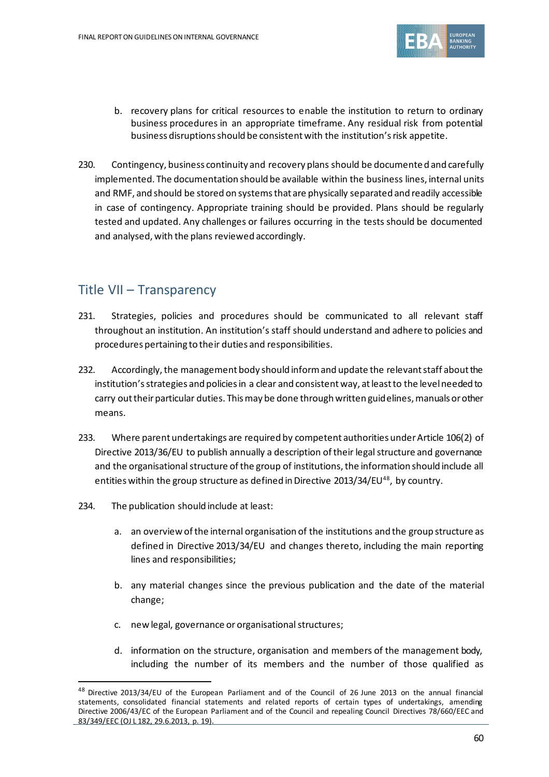

- b. recovery plans for critical resources to enable the institution to return to ordinary business procedures in an appropriate timeframe. Any residual risk from potential business disruptions should be consistent with the institution's risk appetite.
- 230. Contingency, business continuity and recovery plans should be documented and carefully implemented. The documentation should be available within the business lines, internal units and RMF, and should be stored on systems that are physically separated and readily accessible in case of contingency. Appropriate training should be provided. Plans should be regularly tested and updated. Any challenges or failures occurring in the tests should be documented and analysed, with the plans reviewed accordingly.

# Title VII – Transparency

- 231. Strategies, policies and procedures should be communicated to all relevant staff throughout an institution. An institution's staff should understand and adhere to policies and procedures pertaining to their duties and responsibilities.
- 232. Accordingly, the management body should inform and update the relevant staff about the institution's strategies and policies in a clear and consistent way, at least to the level needed to carry out their particular duties. This may be done through written guidelines, manuals or other means.
- 233. Where parent undertakings are required by competent authorities under Article 106(2) of Directive 2013/36/EU to publish annually a description of their legal structure and governance and the organisational structure of the group of institutions, the information should include all entities within the group structure as defined in Directive 2013/34/EU<sup>48</sup>, by country.
- 234. The publication should include at least:
	- a. an overview of the internal organisation of the institutions and the group structure as defined in Directive 2013/34/EU and changes thereto, including the main reporting lines and responsibilities;
	- b. any material changes since the previous publication and the date of the material change;
	- c. new legal, governance or organisational structures;
	- d. information on the structure, organisation and members of the management body, including the number of its members and the number of those qualified as

<sup>48</sup> Directive 2013/34/EU of the European Parliament and of the Council of 26 June 2013 on the annual financial statements, consolidated financial statements and related reports of certain types of undertakings, amending Directive 2006/43/EC of the European Parliament and of the Council and repealing Council Directives 78/660/EEC and 83/349/EEC (OJ L 182, 29.6.2013, p. 19).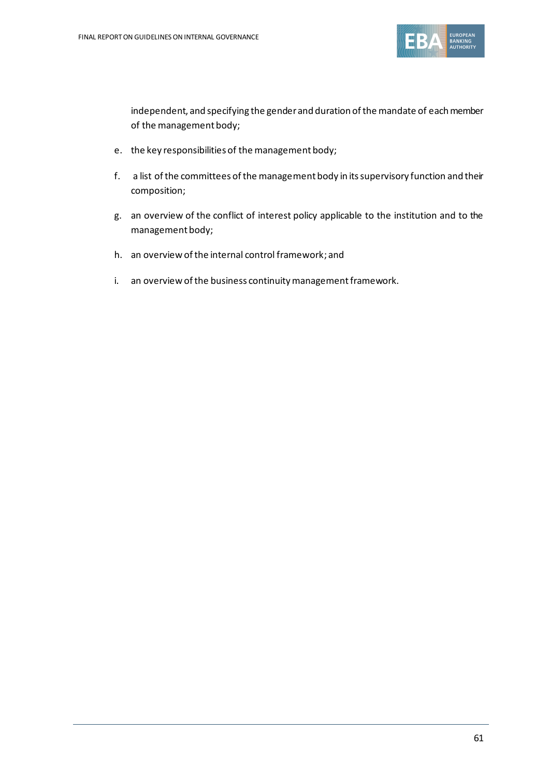

independent, and specifying the gender and duration of the mandate of each member of the management body;

- e. the key responsibilities of the management body;
- f. a list of the committees of the management body in its supervisory function and their composition;
- g. an overview of the conflict of interest policy applicable to the institution and to the management body;
- h. an overview of the internal control framework; and
- i. an overview of the business continuity management framework.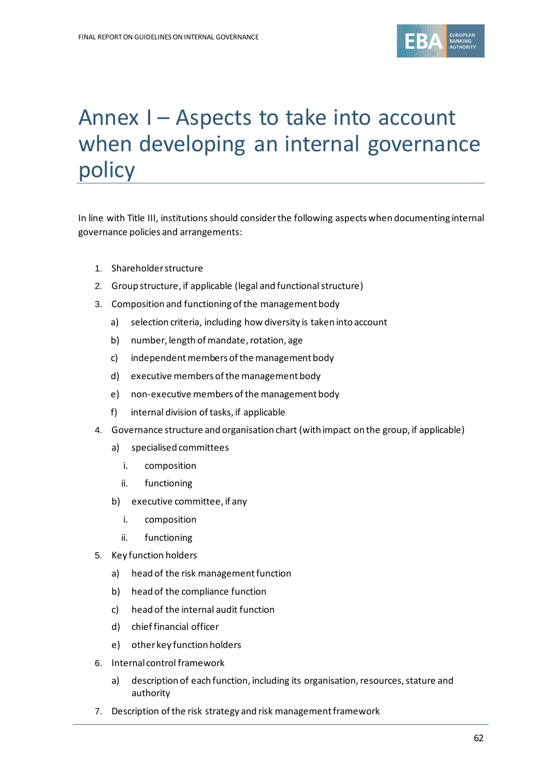

# Annex I – Aspects to take into account when developing an internal governance policy

In line with Title III, institutions should consider the following aspects when documenting internal governance policies and arrangements:

- 1. Shareholder structure
- 2. Group structure, if applicable (legal and functional structure)
- 3. Composition and functioning of the management body
	- a) selection criteria, including how diversity is taken into account
	- b) number, length of mandate, rotation, age
	- c) independent members of the management body
	- d) executive members of the management body
	- e) non-executive members of the management body
	- f) internal division of tasks, if applicable
- 4. Governance structure and organisation chart (with impact on the group, if applicable)
	- a) specialised committees
		- i. composition
		- ii. functioning
	- b) executive committee, if any
		- i. composition
		- ii. functioning
- 5. Key function holders
	- a) head of the risk management function
	- b) head of the compliance function
	- c) head of the internal audit function
	- d) chief financial officer
	- e) other key function holders
- 6. Internal control framework
	- a) description of each function, including its organisation, resources, stature and authority
- 7. Description of the risk strategy and risk management framework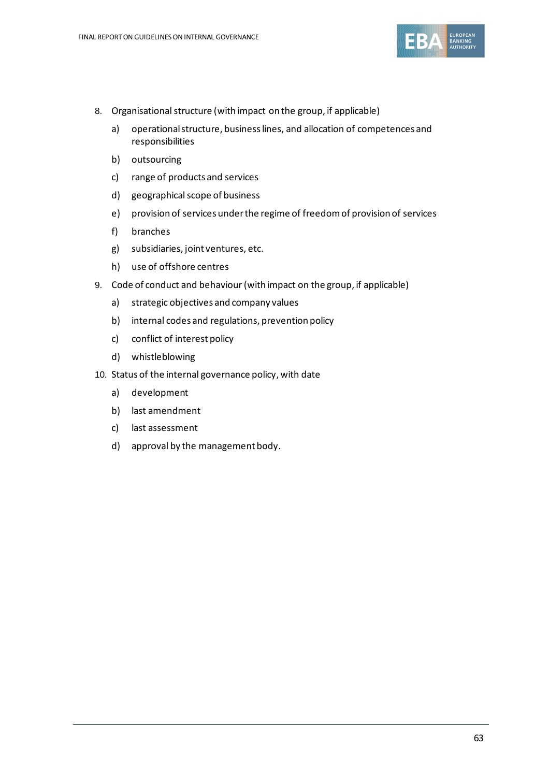

- 8. Organisational structure (with impact on the group, if applicable)
	- a) operational structure, business lines, and allocation of competences and responsibilities
	- b) outsourcing
	- c) range of products and services
	- d) geographical scope of business
	- e) provision of services under the regime of freedom of provision of services
	- f) branches
	- g) subsidiaries, joint ventures, etc.
	- h) use of offshore centres
- 9. Code of conduct and behaviour(with impact on the group, if applicable)
	- a) strategic objectives and company values
	- b) internal codes and regulations, prevention policy
	- c) conflict of interest policy
	- d) whistleblowing
- 10. Status of the internal governance policy, with date
	- a) development
	- b) last amendment
	- c) last assessment
	- d) approval by the management body.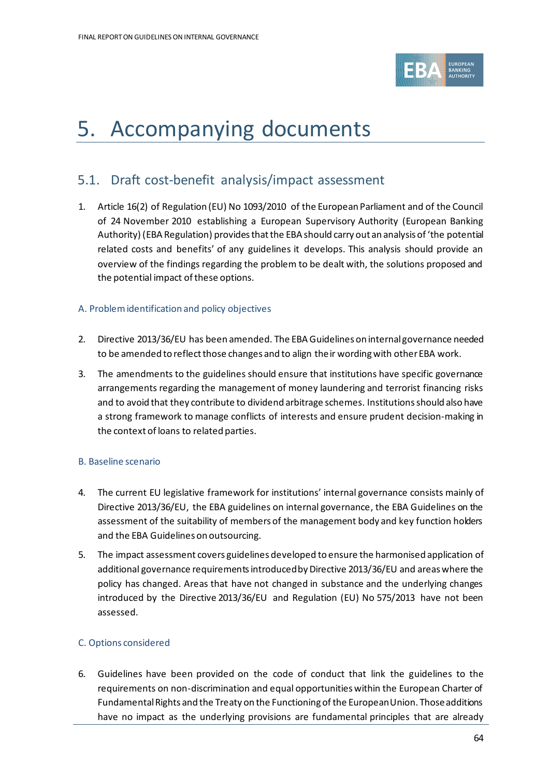

# 5. Accompanying documents

# 5.1. Draft cost-benefit analysis/impact assessment

1. Article 16(2) of Regulation (EU) No 1093/2010 of the European Parliament and of the Council of 24 November 2010 establishing a European Supervisory Authority (European Banking Authority) (EBA Regulation) provides that the EBA should carry out an analysis of 'the potential related costs and benefits' of any guidelines it develops. This analysis should provide an overview of the findings regarding the problem to be dealt with, the solutions proposed and the potential impact of these options.

#### A. Problem identification and policy objectives

- 2. Directive 2013/36/EU has been amended. The EBA Guidelines on internal governance needed to be amended to reflect those changes and to align their wording with other EBA work.
- 3. The amendments to the guidelines should ensure that institutions have specific governance arrangements regarding the management of money laundering and terrorist financing risks and to avoid that they contribute to dividend arbitrage schemes. Institutions should also have a strong framework to manage conflicts of interests and ensure prudent decision-making in the context of loans to related parties.

#### B. Baseline scenario

- 4. The current EU legislative framework for institutions' internal governance consists mainly of Directive 2013/36/EU, the EBA guidelines on internal governance, the EBA Guidelines on the assessment of the suitability of members of the management body and key function holders and the EBA Guidelines on outsourcing.
- 5. The impact assessment covers guidelines developed to ensure the harmonised application of additional governance requirementsintroduced by Directive 2013/36/EU and areas where the policy has changed. Areas that have not changed in substance and the underlying changes introduced by the Directive 2013/36/EU and Regulation (EU) No 575/2013 have not been assessed.

#### C. Options considered

6. Guidelines have been provided on the code of conduct that link the guidelines to the requirements on non-discrimination and equal opportunities within the European Charter of Fundamental Rights and the Treaty on the Functioning of the European Union. Those additions have no impact as the underlying provisions are fundamental principles that are already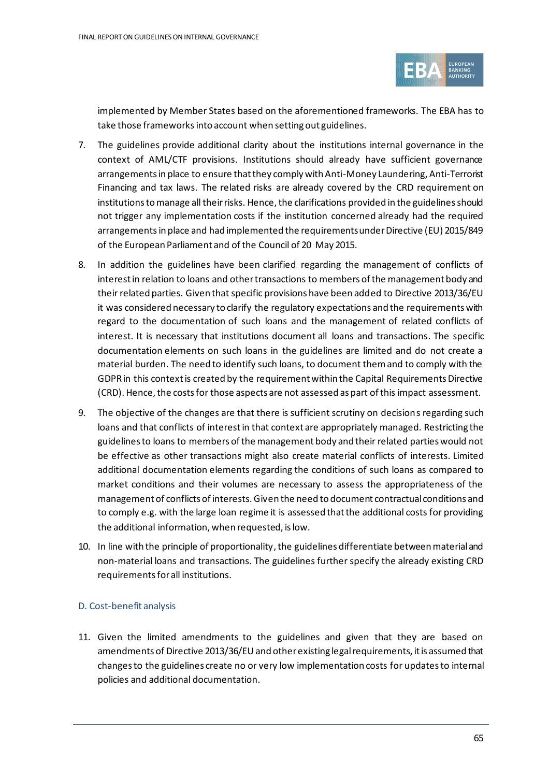

implemented by Member States based on the aforementioned frameworks. The EBA has to take those frameworks into account when setting out guidelines.

- 7. The guidelines provide additional clarity about the institutions internal governance in the context of AML/CTF provisions. Institutions should already have sufficient governance arrangements in place to ensure that they comply with Anti-Money Laundering, Anti-Terrorist Financing and tax laws. The related risks are already covered by the CRD requirement on institutions to manage all their risks. Hence, the clarifications provided in the guidelines should not trigger any implementation costs if the institution concerned already had the required arrangementsin place and had implemented the requirements under Directive (EU) 2015/849 of the European Parliament and of the Council of 20 May 2015.
- 8. In addition the guidelines have been clarified regarding the management of conflicts of interest in relation to loans and other transactions to members of the management body and their related parties. Given that specific provisions have been added to Directive 2013/36/EU it was considered necessary to clarify the regulatory expectations and the requirements with regard to the documentation of such loans and the management of related conflicts of interest. It is necessary that institutions document all loans and transactions. The specific documentation elements on such loans in the guidelines are limited and do not create a material burden. The need to identify such loans, to document them and to comply with the GDPR in this context is created by the requirement within the Capital Requirements Directive (CRD). Hence, the costs for those aspects are not assessed as part of this impact assessment.
- 9. The objective of the changes are that there is sufficient scrutiny on decisions regarding such loans and that conflicts of interest in that context are appropriately managed. Restricting the guidelines to loans to members of the management body and their related parties would not be effective as other transactions might also create material conflicts of interests. Limited additional documentation elements regarding the conditions of such loans as compared to market conditions and their volumes are necessary to assess the appropriateness of the management of conflicts of interests. Given the need to document contractual conditions and to comply e.g. with the large loan regime it is assessed that the additional costs for providing the additional information, when requested, is low.
- 10. In line with the principle of proportionality, the guidelines differentiate between material and non-material loans and transactions. The guidelines further specify the already existing CRD requirements for all institutions.

#### D. Cost-benefit analysis

11. Given the limited amendments to the guidelines and given that they are based on amendments of Directive 2013/36/EU and other existing legal requirements, it is assumed that changes to the guidelines create no or very low implementation costs for updates to internal policies and additional documentation.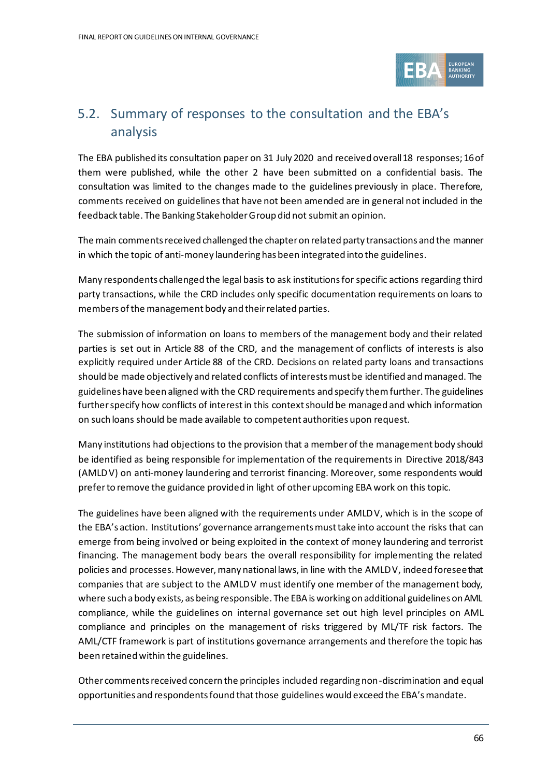

# 5.2. Summary of responses to the consultation and the EBA's analysis

The EBA published its consultation paper on 31 July 2020 and received overall 18 responses; 16 of them were published, while the other 2 have been submitted on a confidential basis. The consultation was limited to the changes made to the guidelines previously in place. Therefore, comments received on guidelines that have not been amended are in general not included in the feedback table. The Banking Stakeholder Group did not submit an opinion.

The main comments received challenged the chapter on related party transactions and the manner in which the topic of anti-money laundering has been integrated into the guidelines.

Many respondents challenged the legal basis to ask institutions for specific actions regarding third party transactions, while the CRD includes only specific documentation requirements on loans to members of the management body and their related parties.

The submission of information on loans to members of the management body and their related parties is set out in Article 88 of the CRD, and the management of conflicts of interests is also explicitly required under Article 88 of the CRD. Decisions on related party loans and transactions should be made objectively and related conflicts of interests must be identified and managed. The guidelines have been aligned with the CRD requirements and specify them further. The guidelines further specify how conflicts of interest in this context should be managed and which information on such loans should be made available to competent authorities upon request.

Many institutions had objections to the provision that a member of the management body should be identified as being responsible for implementation of the requirements in Directive 2018/843 (AMLDV) on anti-money laundering and terrorist financing. Moreover, some respondents would prefer to remove the guidance provided in light of other upcoming EBA work on this topic.

The guidelines have been aligned with the requirements under AMLDV, which is in the scope of the EBA's action. Institutions' governance arrangements must take into account the risks that can emerge from being involved or being exploited in the context of money laundering and terrorist financing. The management body bears the overall responsibility for implementing the related policies and processes. However, many national laws, in line with the AMLDV, indeed foresee that companies that are subject to the AMLDV must identify one member of the management body, where such a body exists, as being responsible. The EBA is working on additional guidelines on AML compliance, while the guidelines on internal governance set out high level principles on AML compliance and principles on the management of risks triggered by ML/TF risk factors. The AML/CTF framework is part of institutions governance arrangements and therefore the topic has been retained within the guidelines.

Other comments received concern the principles included regarding non-discrimination and equal opportunities and respondents found that those guidelines would exceed the EBA's mandate.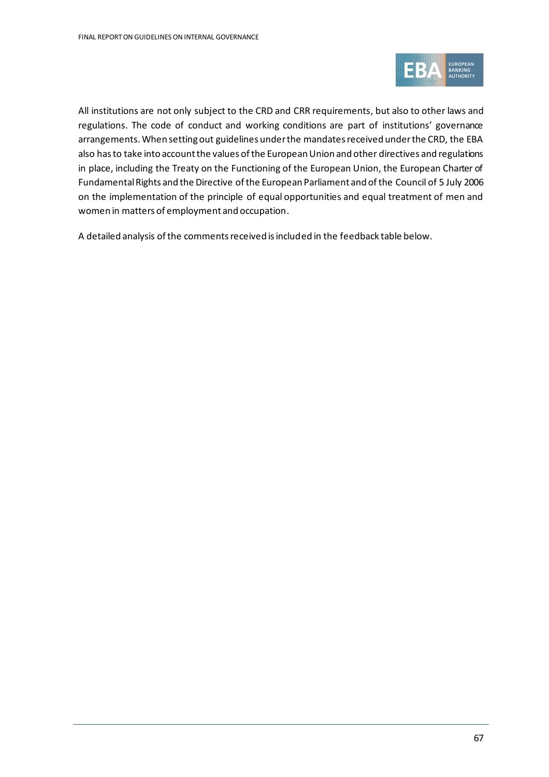

All institutions are not only subject to the CRD and CRR requirements, but also to other laws and regulations. The code of conduct and working conditions are part of institutions' governance arrangements. When setting out guidelines under the mandates received under the CRD, the EBA also has to take into account the values of the European Union and other directives and regulations in place, including the Treaty on the Functioning of the European Union, the European Charter of Fundamental Rights and the Directive of the European Parliament and of the Council of 5 July 2006 on the implementation of the principle of equal opportunities and equal treatment of men and women in matters of employment and occupation.

A detailed analysis of the comments received is included in the feedback table below.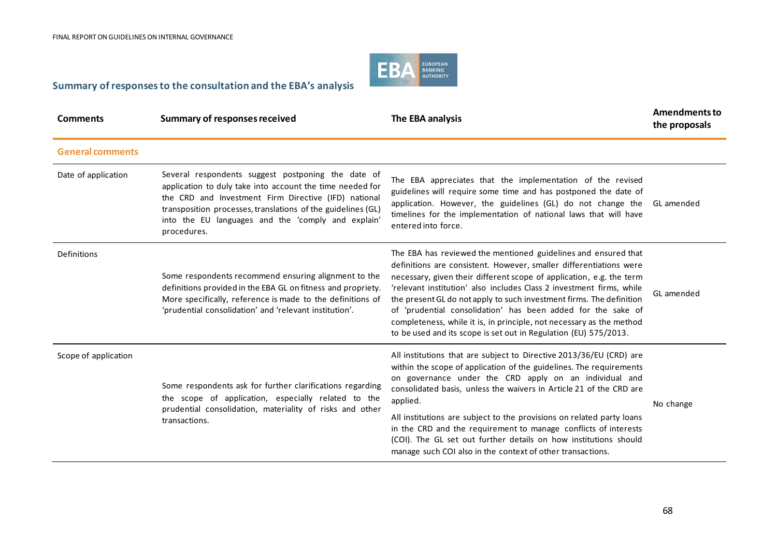

#### **Summary of responses to the consultation and the EBA's analysis**

| <b>Comments</b>         | <b>Summary of responses received</b>                                                                                                                                                                                                                                                                         | The EBA analysis                                                                                                                                                                                                                                                                                                                                                                                                                                                                                                                                                         | <b>Amendments to</b><br>the proposals |
|-------------------------|--------------------------------------------------------------------------------------------------------------------------------------------------------------------------------------------------------------------------------------------------------------------------------------------------------------|--------------------------------------------------------------------------------------------------------------------------------------------------------------------------------------------------------------------------------------------------------------------------------------------------------------------------------------------------------------------------------------------------------------------------------------------------------------------------------------------------------------------------------------------------------------------------|---------------------------------------|
| <b>General comments</b> |                                                                                                                                                                                                                                                                                                              |                                                                                                                                                                                                                                                                                                                                                                                                                                                                                                                                                                          |                                       |
| Date of application     | Several respondents suggest postponing the date of<br>application to duly take into account the time needed for<br>the CRD and Investment Firm Directive (IFD) national<br>transposition processes, translations of the guidelines (GL)<br>into the EU languages and the 'comply and explain'<br>procedures. | The EBA appreciates that the implementation of the revised<br>guidelines will require some time and has postponed the date of<br>application. However, the guidelines (GL) do not change the<br>timelines for the implementation of national laws that will have<br>entered into force.                                                                                                                                                                                                                                                                                  | GL amended                            |
| <b>Definitions</b>      | Some respondents recommend ensuring alignment to the<br>definitions provided in the EBA GL on fitness and propriety.<br>More specifically, reference is made to the definitions of<br>'prudential consolidation' and 'relevant institution'.                                                                 | The EBA has reviewed the mentioned guidelines and ensured that<br>definitions are consistent. However, smaller differentiations were<br>necessary, given their different scope of application, e.g. the term<br>'relevant institution' also includes Class 2 investment firms, while<br>the present GL do not apply to such investment firms. The definition<br>of 'prudential consolidation' has been added for the sake of<br>completeness, while it is, in principle, not necessary as the method<br>to be used and its scope is set out in Regulation (EU) 575/2013. | GL amended                            |
| Scope of application    | Some respondents ask for further clarifications regarding<br>the scope of application, especially related to the<br>prudential consolidation, materiality of risks and other<br>transactions.                                                                                                                | All institutions that are subject to Directive 2013/36/EU (CRD) are<br>within the scope of application of the guidelines. The requirements<br>on governance under the CRD apply on an individual and<br>consolidated basis, unless the waivers in Article 21 of the CRD are<br>applied.<br>All institutions are subject to the provisions on related party loans<br>in the CRD and the requirement to manage conflicts of interests<br>(COI). The GL set out further details on how institutions should<br>manage such COI also in the context of other transactions.    | No change                             |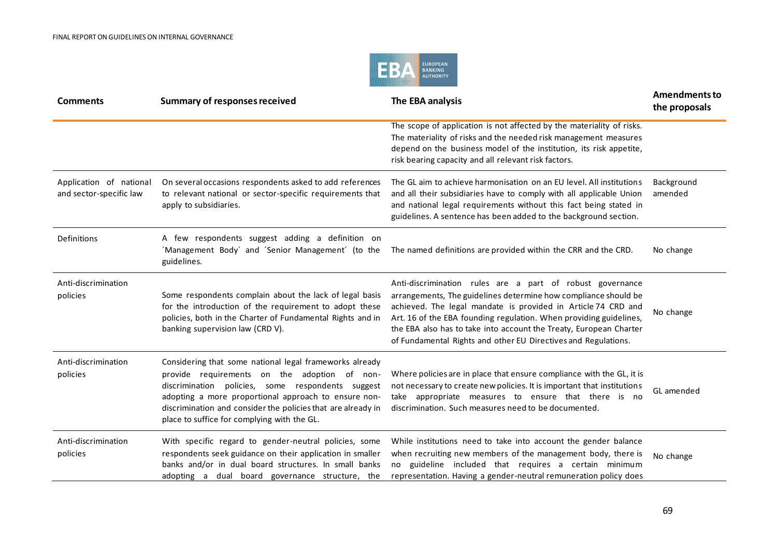

| <b>Comments</b>                                    | <b>Summary of responses received</b>                                                                                                                                                                                                                                                                                                | The EBA analysis                                                                                                                                                                                                                                                                                                                                                                                            | <b>Amendments to</b><br>the proposals |
|----------------------------------------------------|-------------------------------------------------------------------------------------------------------------------------------------------------------------------------------------------------------------------------------------------------------------------------------------------------------------------------------------|-------------------------------------------------------------------------------------------------------------------------------------------------------------------------------------------------------------------------------------------------------------------------------------------------------------------------------------------------------------------------------------------------------------|---------------------------------------|
|                                                    |                                                                                                                                                                                                                                                                                                                                     | The scope of application is not affected by the materiality of risks.<br>The materiality of risks and the needed risk management measures<br>depend on the business model of the institution, its risk appetite,<br>risk bearing capacity and all relevant risk factors.                                                                                                                                    |                                       |
| Application of national<br>and sector-specific law | On several occasions respondents asked to add references<br>to relevant national or sector-specific requirements that<br>apply to subsidiaries.                                                                                                                                                                                     | The GL aim to achieve harmonisation on an EU level. All institutions<br>and all their subsidiaries have to comply with all applicable Union<br>and national legal requirements without this fact being stated in<br>guidelines. A sentence has been added to the background section.                                                                                                                        | Background<br>amended                 |
| Definitions                                        | A few respondents suggest adding a definition on<br>'Management Body' and 'Senior Management' (to the<br>guidelines.                                                                                                                                                                                                                | The named definitions are provided within the CRR and the CRD.                                                                                                                                                                                                                                                                                                                                              | No change                             |
| Anti-discrimination<br>policies                    | Some respondents complain about the lack of legal basis<br>for the introduction of the requirement to adopt these<br>policies, both in the Charter of Fundamental Rights and in<br>banking supervision law (CRD V).                                                                                                                 | Anti-discrimination rules are a part of robust governance<br>arrangements, The guidelines determine how compliance should be<br>achieved. The legal mandate is provided in Article 74 CRD and<br>Art. 16 of the EBA founding regulation. When providing guidelines,<br>the EBA also has to take into account the Treaty, European Charter<br>of Fundamental Rights and other EU Directives and Regulations. | No change                             |
| Anti-discrimination<br>policies                    | Considering that some national legal frameworks already<br>provide requirements on the adoption of non-<br>discrimination policies, some respondents suggest<br>adopting a more proportional approach to ensure non-<br>discrimination and consider the policies that are already in<br>place to suffice for complying with the GL. | Where policies are in place that ensure compliance with the GL, it is<br>not necessary to create new policies. It is important that institutions<br>take appropriate measures to ensure that there is no<br>discrimination. Such measures need to be documented.                                                                                                                                            | GL amended                            |
| Anti-discrimination<br>policies                    | With specific regard to gender-neutral policies, some<br>respondents seek guidance on their application in smaller<br>banks and/or in dual board structures. In small banks<br>adopting a dual board governance structure, the                                                                                                      | While institutions need to take into account the gender balance<br>when recruiting new members of the management body, there is<br>guideline included that requires a certain minimum<br>no<br>representation. Having a gender-neutral remuneration policy does                                                                                                                                             | No change                             |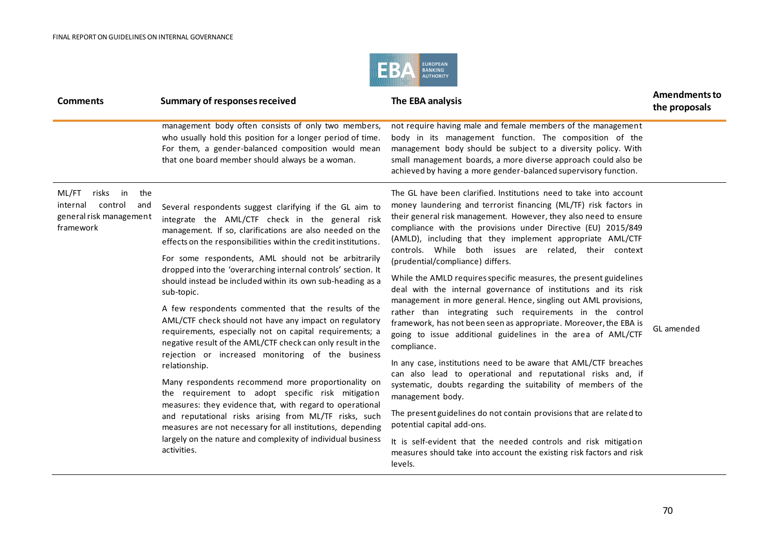

| <b>Comments</b>                                                                                   | <b>Summary of responses received</b>                                                                                                                                                                                                                                                                                                                                     | The EBA analysis                                                                                                                                                                                                                                                                                                                                                                                                                                                                                                                                                                                                                                                                                                                                                                                                                                               | <b>Amendments to</b><br>the proposals |
|---------------------------------------------------------------------------------------------------|--------------------------------------------------------------------------------------------------------------------------------------------------------------------------------------------------------------------------------------------------------------------------------------------------------------------------------------------------------------------------|----------------------------------------------------------------------------------------------------------------------------------------------------------------------------------------------------------------------------------------------------------------------------------------------------------------------------------------------------------------------------------------------------------------------------------------------------------------------------------------------------------------------------------------------------------------------------------------------------------------------------------------------------------------------------------------------------------------------------------------------------------------------------------------------------------------------------------------------------------------|---------------------------------------|
|                                                                                                   | management body often consists of only two members,<br>who usually hold this position for a longer period of time.<br>For them, a gender-balanced composition would mean<br>that one board member should always be a woman.                                                                                                                                              | not require having male and female members of the management<br>body in its management function. The composition of the<br>management body should be subject to a diversity policy. With<br>small management boards, a more diverse approach could also be<br>achieved by having a more gender-balanced supervisory function.                                                                                                                                                                                                                                                                                                                                                                                                                                                                                                                                  |                                       |
| ML/FT<br>risks<br>in<br>the<br>internal<br>control<br>and<br>general risk management<br>framework | Several respondents suggest clarifying if the GL aim to<br>integrate the AML/CTF check in the general risk<br>management. If so, clarifications are also needed on the<br>effects on the responsibilities within the credit institutions.                                                                                                                                | The GL have been clarified. Institutions need to take into account<br>money laundering and terrorist financing (ML/TF) risk factors in<br>their general risk management. However, they also need to ensure<br>compliance with the provisions under Directive (EU) 2015/849<br>(AMLD), including that they implement appropriate AML/CTF<br>controls. While both issues are related, their context<br>(prudential/compliance) differs.<br>While the AMLD requires specific measures, the present guidelines<br>deal with the internal governance of institutions and its risk<br>management in more general. Hence, singling out AML provisions,<br>rather than integrating such requirements in the control<br>framework, has not been seen as appropriate. Moreover, the EBA is<br>going to issue additional guidelines in the area of AML/CTF<br>compliance. |                                       |
|                                                                                                   | For some respondents, AML should not be arbitrarily<br>dropped into the 'overarching internal controls' section. It<br>should instead be included within its own sub-heading as a<br>sub-topic.                                                                                                                                                                          |                                                                                                                                                                                                                                                                                                                                                                                                                                                                                                                                                                                                                                                                                                                                                                                                                                                                |                                       |
|                                                                                                   | A few respondents commented that the results of the<br>AML/CTF check should not have any impact on regulatory<br>requirements, especially not on capital requirements; a<br>negative result of the AML/CTF check can only result in the                                                                                                                                  |                                                                                                                                                                                                                                                                                                                                                                                                                                                                                                                                                                                                                                                                                                                                                                                                                                                                | GL amended                            |
|                                                                                                   | rejection or increased monitoring of the business<br>relationship.                                                                                                                                                                                                                                                                                                       | In any case, institutions need to be aware that AML/CTF breaches<br>can also lead to operational and reputational risks and, if<br>systematic, doubts regarding the suitability of members of the<br>management body.                                                                                                                                                                                                                                                                                                                                                                                                                                                                                                                                                                                                                                          |                                       |
|                                                                                                   | Many respondents recommend more proportionality on<br>the requirement to adopt specific risk mitigation<br>measures: they evidence that, with regard to operational<br>and reputational risks arising from ML/TF risks, such<br>measures are not necessary for all institutions, depending<br>largely on the nature and complexity of individual business<br>activities. |                                                                                                                                                                                                                                                                                                                                                                                                                                                                                                                                                                                                                                                                                                                                                                                                                                                                |                                       |
|                                                                                                   |                                                                                                                                                                                                                                                                                                                                                                          | The present guidelines do not contain provisions that are related to<br>potential capital add-ons.                                                                                                                                                                                                                                                                                                                                                                                                                                                                                                                                                                                                                                                                                                                                                             |                                       |
|                                                                                                   |                                                                                                                                                                                                                                                                                                                                                                          | It is self-evident that the needed controls and risk mitigation<br>measures should take into account the existing risk factors and risk<br>levels.                                                                                                                                                                                                                                                                                                                                                                                                                                                                                                                                                                                                                                                                                                             |                                       |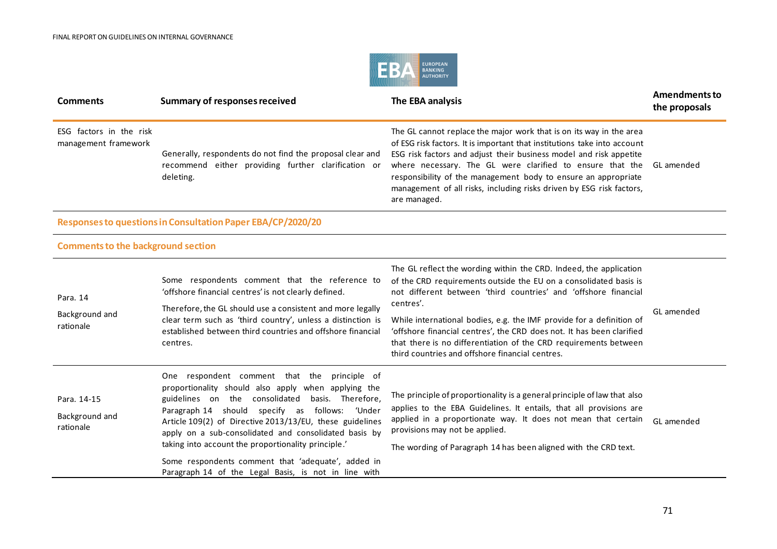

| <b>Comments</b>                                 | <b>Summary of responses received</b>                                                                                                                                                                                                                                                                                                                                                                                                                                                                   | The EBA analysis                                                                                                                                                                                                                                                                                                                                                                                                                                                                                | <b>Amendments to</b><br>the proposals |
|-------------------------------------------------|--------------------------------------------------------------------------------------------------------------------------------------------------------------------------------------------------------------------------------------------------------------------------------------------------------------------------------------------------------------------------------------------------------------------------------------------------------------------------------------------------------|-------------------------------------------------------------------------------------------------------------------------------------------------------------------------------------------------------------------------------------------------------------------------------------------------------------------------------------------------------------------------------------------------------------------------------------------------------------------------------------------------|---------------------------------------|
| ESG factors in the risk<br>management framework | Generally, respondents do not find the proposal clear and<br>recommend either providing further clarification or<br>deleting.                                                                                                                                                                                                                                                                                                                                                                          | The GL cannot replace the major work that is on its way in the area<br>of ESG risk factors. It is important that institutions take into account<br>ESG risk factors and adjust their business model and risk appetite<br>where necessary. The GL were clarified to ensure that the<br>responsibility of the management body to ensure an appropriate<br>management of all risks, including risks driven by ESG risk factors,<br>are managed.                                                    | GL amended                            |
|                                                 | Responses to questions in Consultation Paper EBA/CP/2020/20                                                                                                                                                                                                                                                                                                                                                                                                                                            |                                                                                                                                                                                                                                                                                                                                                                                                                                                                                                 |                                       |
| <b>Comments to the background section</b>       |                                                                                                                                                                                                                                                                                                                                                                                                                                                                                                        |                                                                                                                                                                                                                                                                                                                                                                                                                                                                                                 |                                       |
| Para. 14<br>Background and<br>rationale         | Some respondents comment that the reference to<br>'offshore financial centres' is not clearly defined.<br>Therefore, the GL should use a consistent and more legally<br>clear term such as 'third country', unless a distinction is<br>established between third countries and offshore financial<br>centres.                                                                                                                                                                                          | The GL reflect the wording within the CRD. Indeed, the application<br>of the CRD requirements outside the EU on a consolidated basis is<br>not different between 'third countries' and 'offshore financial<br>centres'.<br>While international bodies, e.g. the IMF provide for a definition of<br>'offshore financial centres', the CRD does not. It has been clarified<br>that there is no differentiation of the CRD requirements between<br>third countries and offshore financial centres. | GL amended                            |
| Para. 14-15<br>Background and<br>rationale      | One respondent comment that the principle of<br>proportionality should also apply when applying the<br>guidelines on the consolidated<br>basis. Therefore,<br>Paragraph 14 should specify as follows: 'Under<br>Article 109(2) of Directive 2013/13/EU, these guidelines<br>apply on a sub-consolidated and consolidated basis by<br>taking into account the proportionality principle.'<br>Some respondents comment that 'adequate', added in<br>Paragraph 14 of the Legal Basis, is not in line with | The principle of proportionality is a general principle of law that also<br>applies to the EBA Guidelines. It entails, that all provisions are<br>applied in a proportionate way. It does not mean that certain<br>provisions may not be applied.<br>The wording of Paragraph 14 has been aligned with the CRD text.                                                                                                                                                                            | GL amended                            |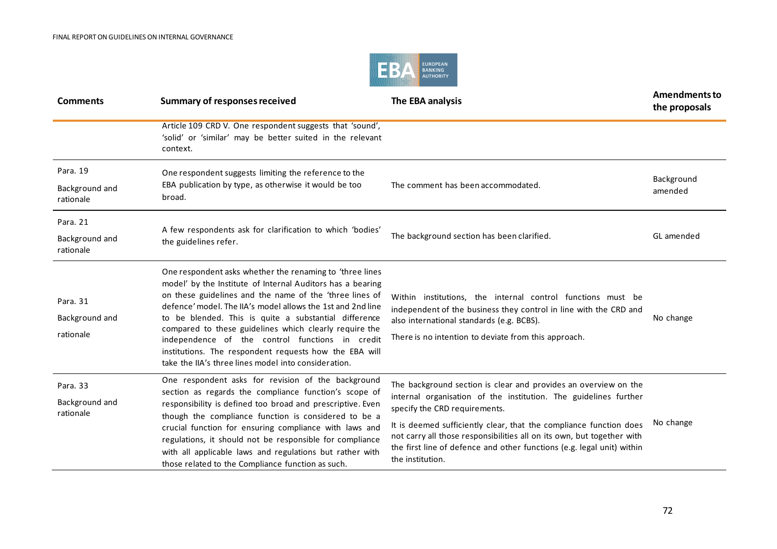

| <b>Comments</b>                         | <b>Summary of responses received</b>                                                                                                                                                                                                                                                                                                                                                                                                                                                                                                     | The EBA analysis                                                                                                                                                                                                                                                                                                                                                                                                   | <b>Amendments to</b><br>the proposals |
|-----------------------------------------|------------------------------------------------------------------------------------------------------------------------------------------------------------------------------------------------------------------------------------------------------------------------------------------------------------------------------------------------------------------------------------------------------------------------------------------------------------------------------------------------------------------------------------------|--------------------------------------------------------------------------------------------------------------------------------------------------------------------------------------------------------------------------------------------------------------------------------------------------------------------------------------------------------------------------------------------------------------------|---------------------------------------|
|                                         | Article 109 CRD V. One respondent suggests that 'sound',<br>'solid' or 'similar' may be better suited in the relevant<br>context.                                                                                                                                                                                                                                                                                                                                                                                                        |                                                                                                                                                                                                                                                                                                                                                                                                                    |                                       |
| Para, 19                                | One respondent suggests limiting the reference to the                                                                                                                                                                                                                                                                                                                                                                                                                                                                                    |                                                                                                                                                                                                                                                                                                                                                                                                                    |                                       |
| Background and<br>rationale             | EBA publication by type, as otherwise it would be too<br>broad.                                                                                                                                                                                                                                                                                                                                                                                                                                                                          | The comment has been accommodated.                                                                                                                                                                                                                                                                                                                                                                                 | Background<br>amended                 |
| Para. 21                                |                                                                                                                                                                                                                                                                                                                                                                                                                                                                                                                                          |                                                                                                                                                                                                                                                                                                                                                                                                                    |                                       |
| Background and<br>rationale             | A few respondents ask for clarification to which 'bodies'<br>the guidelines refer.                                                                                                                                                                                                                                                                                                                                                                                                                                                       | The background section has been clarified.                                                                                                                                                                                                                                                                                                                                                                         | GL amended                            |
| Para. 31<br>Background and<br>rationale | One respondent asks whether the renaming to 'three lines<br>model' by the Institute of Internal Auditors has a bearing<br>on these guidelines and the name of the 'three lines of<br>defence' model. The IIA's model allows the 1st and 2nd line<br>to be blended. This is quite a substantial difference<br>compared to these guidelines which clearly require the<br>independence of the control functions in credit<br>institutions. The respondent requests how the EBA will<br>take the IIA's three lines model into consideration. | Within institutions, the internal control functions must be<br>independent of the business they control in line with the CRD and<br>also international standards (e.g. BCBS).<br>There is no intention to deviate from this approach.                                                                                                                                                                              | No change                             |
| Para. 33<br>Background and<br>rationale | One respondent asks for revision of the background<br>section as regards the compliance function's scope of<br>responsibility is defined too broad and prescriptive. Even<br>though the compliance function is considered to be a<br>crucial function for ensuring compliance with laws and<br>regulations, it should not be responsible for compliance<br>with all applicable laws and regulations but rather with<br>those related to the Compliance function as such.                                                                 | The background section is clear and provides an overview on the<br>internal organisation of the institution. The guidelines further<br>specify the CRD requirements.<br>It is deemed sufficiently clear, that the compliance function does<br>not carry all those responsibilities all on its own, but together with<br>the first line of defence and other functions (e.g. legal unit) within<br>the institution. | No change                             |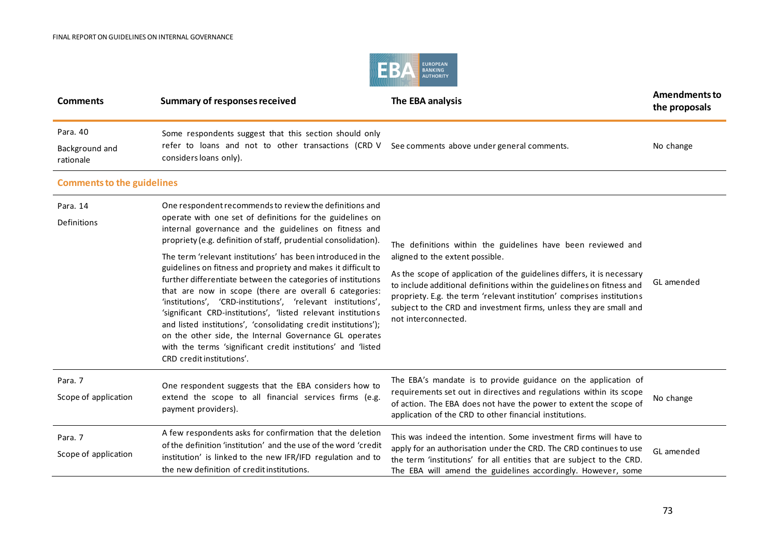

| <b>Comments</b>                                              | <b>Summary of responses received</b>                                                                                                                                                                                                                                                                                                                                                                                                                                                                                                                                                                                                                                                                                                                                                                                                                                  | The EBA analysis                                                                                                                                                                                                                                                                                                                                                                                                           | <b>Amendments to</b><br>the proposals |
|--------------------------------------------------------------|-----------------------------------------------------------------------------------------------------------------------------------------------------------------------------------------------------------------------------------------------------------------------------------------------------------------------------------------------------------------------------------------------------------------------------------------------------------------------------------------------------------------------------------------------------------------------------------------------------------------------------------------------------------------------------------------------------------------------------------------------------------------------------------------------------------------------------------------------------------------------|----------------------------------------------------------------------------------------------------------------------------------------------------------------------------------------------------------------------------------------------------------------------------------------------------------------------------------------------------------------------------------------------------------------------------|---------------------------------------|
| Para, 40<br>Background and<br>rationale                      | Some respondents suggest that this section should only<br>refer to loans and not to other transactions (CRD V<br>considers loans only).                                                                                                                                                                                                                                                                                                                                                                                                                                                                                                                                                                                                                                                                                                                               | See comments above under general comments.                                                                                                                                                                                                                                                                                                                                                                                 | No change                             |
| <b>Comments to the guidelines</b><br>Para. 14<br>Definitions | One respondent recommends to review the definitions and<br>operate with one set of definitions for the guidelines on<br>internal governance and the guidelines on fitness and<br>propriety (e.g. definition of staff, prudential consolidation).<br>The term 'relevant institutions' has been introduced in the<br>guidelines on fitness and propriety and makes it difficult to<br>further differentiate between the categories of institutions<br>that are now in scope (there are overall 6 categories:<br>'institutions', 'CRD-institutions', 'relevant institutions',<br>'significant CRD-institutions', 'listed relevant institutions<br>and listed institutions', 'consolidating credit institutions');<br>on the other side, the Internal Governance GL operates<br>with the terms 'significant credit institutions' and 'listed<br>CRD credit institutions'. | The definitions within the guidelines have been reviewed and<br>aligned to the extent possible.<br>As the scope of application of the guidelines differs, it is necessary<br>to include additional definitions within the guidelines on fitness and<br>propriety. E.g. the term 'relevant institution' comprises institutions<br>subject to the CRD and investment firms, unless they are small and<br>not interconnected. | GL amended                            |
| Para. 7<br>Scope of application                              | One respondent suggests that the EBA considers how to<br>extend the scope to all financial services firms (e.g.<br>payment providers).                                                                                                                                                                                                                                                                                                                                                                                                                                                                                                                                                                                                                                                                                                                                | The EBA's mandate is to provide guidance on the application of<br>requirements set out in directives and regulations within its scope<br>of action. The EBA does not have the power to extent the scope of<br>application of the CRD to other financial institutions.                                                                                                                                                      | No change                             |
| Para. 7<br>Scope of application                              | A few respondents asks for confirmation that the deletion<br>of the definition 'institution' and the use of the word 'credit<br>institution' is linked to the new IFR/IFD regulation and to<br>the new definition of credit institutions.                                                                                                                                                                                                                                                                                                                                                                                                                                                                                                                                                                                                                             | This was indeed the intention. Some investment firms will have to<br>apply for an authorisation under the CRD. The CRD continues to use<br>the term 'institutions' for all entities that are subject to the CRD.<br>The EBA will amend the guidelines accordingly. However, some                                                                                                                                           | GL amended                            |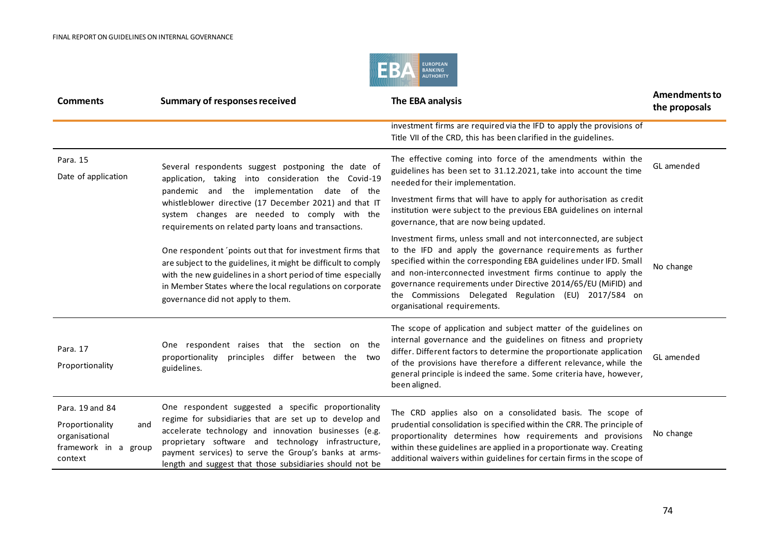

| <b>Comments</b>                                                                                | <b>Summary of responses received</b>                                                                                                                                                                                                                                                                                                               | The EBA analysis                                                                                                                                                                                                                                                                                                                                                                                                                    | <b>Amendments to</b><br>the proposals |
|------------------------------------------------------------------------------------------------|----------------------------------------------------------------------------------------------------------------------------------------------------------------------------------------------------------------------------------------------------------------------------------------------------------------------------------------------------|-------------------------------------------------------------------------------------------------------------------------------------------------------------------------------------------------------------------------------------------------------------------------------------------------------------------------------------------------------------------------------------------------------------------------------------|---------------------------------------|
|                                                                                                |                                                                                                                                                                                                                                                                                                                                                    | investment firms are required via the IFD to apply the provisions of<br>Title VII of the CRD, this has been clarified in the guidelines.                                                                                                                                                                                                                                                                                            |                                       |
| Para. 15<br>Date of application                                                                | Several respondents suggest postponing the date of<br>application, taking into consideration the Covid-19<br>pandemic and the implementation date of the<br>whistleblower directive (17 December 2021) and that IT<br>system changes are needed to comply with the<br>requirements on related party loans and transactions.                        | The effective coming into force of the amendments within the<br>guidelines has been set to 31.12.2021, take into account the time<br>needed for their implementation.                                                                                                                                                                                                                                                               | GL amended                            |
|                                                                                                |                                                                                                                                                                                                                                                                                                                                                    | Investment firms that will have to apply for authorisation as credit<br>institution were subject to the previous EBA guidelines on internal<br>governance, that are now being updated.                                                                                                                                                                                                                                              |                                       |
|                                                                                                | One respondent 'points out that for investment firms that<br>are subject to the guidelines, it might be difficult to comply<br>with the new guidelines in a short period of time especially<br>in Member States where the local regulations on corporate<br>governance did not apply to them.                                                      | Investment firms, unless small and not interconnected, are subject<br>to the IFD and apply the governance requirements as further<br>specified within the corresponding EBA guidelines under IFD. Small<br>and non-interconnected investment firms continue to apply the<br>governance requirements under Directive 2014/65/EU (MiFID) and<br>the Commissions Delegated Regulation (EU) 2017/584 on<br>organisational requirements. | No change                             |
| Para. 17<br>Proportionality                                                                    | One respondent raises that the section on the<br>principles differ between the<br>proportionality<br>two<br>guidelines.                                                                                                                                                                                                                            | The scope of application and subject matter of the guidelines on<br>internal governance and the guidelines on fitness and propriety<br>differ. Different factors to determine the proportionate application<br>of the provisions have therefore a different relevance, while the<br>general principle is indeed the same. Some criteria have, however,<br>been aligned.                                                             | GL amended                            |
| Para, 19 and 84<br>Proportionality<br>and<br>organisational<br>framework in a group<br>context | One respondent suggested a specific proportionality<br>regime for subsidiaries that are set up to develop and<br>accelerate technology and innovation businesses (e.g.<br>proprietary software and technology infrastructure,<br>payment services) to serve the Group's banks at arms-<br>length and suggest that those subsidiaries should not be | The CRD applies also on a consolidated basis. The scope of<br>prudential consolidation is specified within the CRR. The principle of<br>proportionality determines how requirements and provisions<br>within these guidelines are applied in a proportionate way. Creating<br>additional waivers within guidelines for certain firms in the scope of                                                                                | No change                             |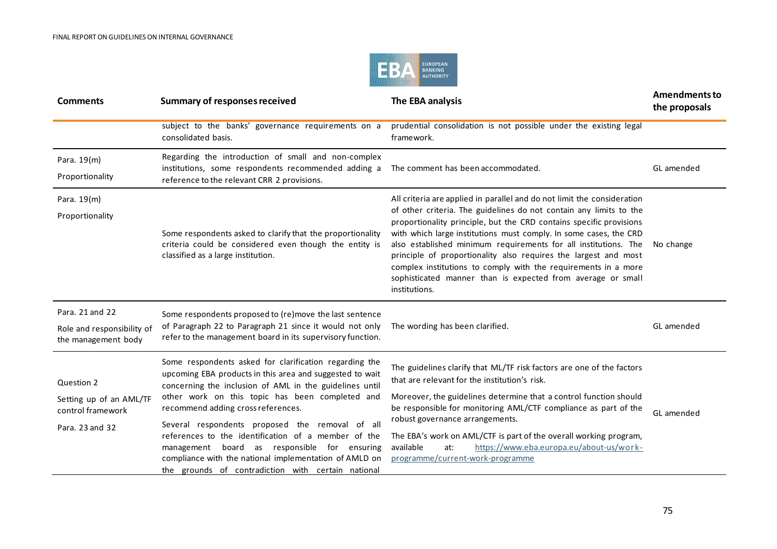

| <b>Comments</b>                                                               | <b>Summary of responses received</b>                                                                                                                                                                                                                                                                                                                                                                                                                                                                                                                | The EBA analysis                                                                                                                                                                                                                                                                                                                                                                                                                                                                                                                                                                  | <b>Amendments to</b><br>the proposals |
|-------------------------------------------------------------------------------|-----------------------------------------------------------------------------------------------------------------------------------------------------------------------------------------------------------------------------------------------------------------------------------------------------------------------------------------------------------------------------------------------------------------------------------------------------------------------------------------------------------------------------------------------------|-----------------------------------------------------------------------------------------------------------------------------------------------------------------------------------------------------------------------------------------------------------------------------------------------------------------------------------------------------------------------------------------------------------------------------------------------------------------------------------------------------------------------------------------------------------------------------------|---------------------------------------|
|                                                                               | subject to the banks' governance requirements on a<br>consolidated basis.                                                                                                                                                                                                                                                                                                                                                                                                                                                                           | prudential consolidation is not possible under the existing legal<br>framework.                                                                                                                                                                                                                                                                                                                                                                                                                                                                                                   |                                       |
| Para. 19(m)<br>Proportionality                                                | Regarding the introduction of small and non-complex<br>institutions, some respondents recommended adding a<br>reference to the relevant CRR 2 provisions.                                                                                                                                                                                                                                                                                                                                                                                           | The comment has been accommodated.                                                                                                                                                                                                                                                                                                                                                                                                                                                                                                                                                | GL amended                            |
| Para. 19(m)<br>Proportionality                                                | Some respondents asked to clarify that the proportionality<br>criteria could be considered even though the entity is<br>classified as a large institution.                                                                                                                                                                                                                                                                                                                                                                                          | All criteria are applied in parallel and do not limit the consideration<br>of other criteria. The guidelines do not contain any limits to the<br>proportionality principle, but the CRD contains specific provisions<br>with which large institutions must comply. In some cases, the CRD<br>also established minimum requirements for all institutions. The<br>principle of proportionality also requires the largest and most<br>complex institutions to comply with the requirements in a more<br>sophisticated manner than is expected from average or small<br>institutions. | No change                             |
| Para, 21 and 22<br>Role and responsibility of<br>the management body          | Some respondents proposed to (re)move the last sentence<br>of Paragraph 22 to Paragraph 21 since it would not only<br>refer to the management board in its supervisory function.                                                                                                                                                                                                                                                                                                                                                                    | The wording has been clarified.                                                                                                                                                                                                                                                                                                                                                                                                                                                                                                                                                   | GL amended                            |
| Question 2<br>Setting up of an AML/TF<br>control framework<br>Para. 23 and 32 | Some respondents asked for clarification regarding the<br>upcoming EBA products in this area and suggested to wait<br>concerning the inclusion of AML in the guidelines until<br>other work on this topic has been completed and<br>recommend adding cross references.<br>Several respondents proposed the removal of all<br>references to the identification of a member of the<br>board as responsible for ensuring<br>management<br>compliance with the national implementation of AMLD on<br>the grounds of contradiction with certain national | The guidelines clarify that ML/TF risk factors are one of the factors<br>that are relevant for the institution's risk.<br>Moreover, the guidelines determine that a control function should<br>be responsible for monitoring AML/CTF compliance as part of the<br>robust governance arrangements.<br>The EBA's work on AML/CTF is part of the overall working program,<br>https://www.eba.europa.eu/about-us/work-<br>available<br>at:<br>programme/current-work-programme                                                                                                        | GL amended                            |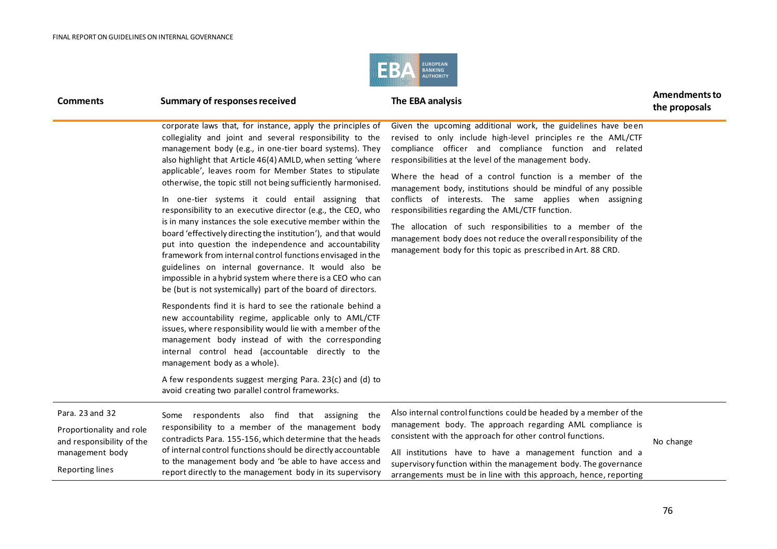

| <b>Comments</b>                                                                                                       | <b>Summary of responses received</b>                                                                                                                                                                                                                                                                                                                                                                                                                                                                                                                                                                                                                                                                                                                                                                                                                                                                                                                                                                                                                                                                                                                                                                                                                                                                                                                                                        | The EBA analysis                                                                                                                                                                                                                                                                                                                                                                                                                                                                                                                                                                                                                                                                                | <b>Amendments to</b><br>the proposals |
|-----------------------------------------------------------------------------------------------------------------------|---------------------------------------------------------------------------------------------------------------------------------------------------------------------------------------------------------------------------------------------------------------------------------------------------------------------------------------------------------------------------------------------------------------------------------------------------------------------------------------------------------------------------------------------------------------------------------------------------------------------------------------------------------------------------------------------------------------------------------------------------------------------------------------------------------------------------------------------------------------------------------------------------------------------------------------------------------------------------------------------------------------------------------------------------------------------------------------------------------------------------------------------------------------------------------------------------------------------------------------------------------------------------------------------------------------------------------------------------------------------------------------------|-------------------------------------------------------------------------------------------------------------------------------------------------------------------------------------------------------------------------------------------------------------------------------------------------------------------------------------------------------------------------------------------------------------------------------------------------------------------------------------------------------------------------------------------------------------------------------------------------------------------------------------------------------------------------------------------------|---------------------------------------|
|                                                                                                                       | corporate laws that, for instance, apply the principles of<br>collegiality and joint and several responsibility to the<br>management body (e.g., in one-tier board systems). They<br>also highlight that Article 46(4) AMLD, when setting 'where<br>applicable', leaves room for Member States to stipulate<br>otherwise, the topic still not being sufficiently harmonised.<br>In one-tier systems it could entail assigning that<br>responsibility to an executive director (e.g., the CEO, who<br>is in many instances the sole executive member within the<br>board 'effectively directing the institution'), and that would<br>put into question the independence and accountability<br>framework from internal control functions envisaged in the<br>guidelines on internal governance. It would also be<br>impossible in a hybrid system where there is a CEO who can<br>be (but is not systemically) part of the board of directors.<br>Respondents find it is hard to see the rationale behind a<br>new accountability regime, applicable only to AML/CTF<br>issues, where responsibility would lie with a member of the<br>management body instead of with the corresponding<br>internal control head (accountable directly to the<br>management body as a whole).<br>A few respondents suggest merging Para. 23(c) and (d) to<br>avoid creating two parallel control frameworks. | Given the upcoming additional work, the guidelines have been<br>revised to only include high-level principles re the AML/CTF<br>compliance officer and compliance function and related<br>responsibilities at the level of the management body.<br>Where the head of a control function is a member of the<br>management body, institutions should be mindful of any possible<br>conflicts of interests. The same applies when assigning<br>responsibilities regarding the AML/CTF function.<br>The allocation of such responsibilities to a member of the<br>management body does not reduce the overall responsibility of the<br>management body for this topic as prescribed in Art. 88 CRD. |                                       |
| Para, 23 and 32<br>Proportionality and role<br>and responsibility of the<br>management body<br><b>Reporting lines</b> | Some respondents also find that assigning the<br>responsibility to a member of the management body<br>contradicts Para. 155-156, which determine that the heads<br>of internal control functions should be directly accountable<br>to the management body and 'be able to have access and<br>report directly to the management body in its supervisory                                                                                                                                                                                                                                                                                                                                                                                                                                                                                                                                                                                                                                                                                                                                                                                                                                                                                                                                                                                                                                      | Also internal control functions could be headed by a member of the<br>management body. The approach regarding AML compliance is<br>consistent with the approach for other control functions.<br>All institutions have to have a management function and a<br>supervisory function within the management body. The governance<br>arrangements must be in line with this approach, hence, reporting                                                                                                                                                                                                                                                                                               | No change                             |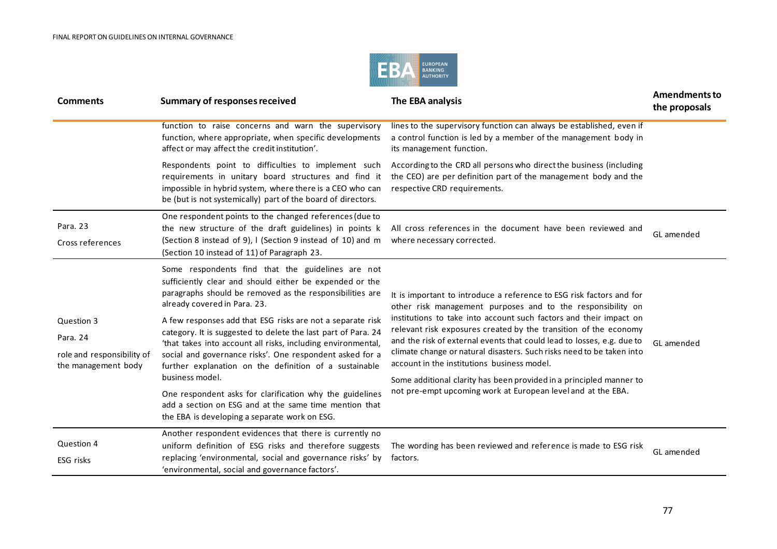

| <b>Comments</b>                                                             | <b>Summary of responses received</b>                                                                                                                                                                                                                                                                              | The EBA analysis                                                                                                                                                                                                                                                                                                                                                                                                                                                                | <b>Amendments to</b><br>the proposals |
|-----------------------------------------------------------------------------|-------------------------------------------------------------------------------------------------------------------------------------------------------------------------------------------------------------------------------------------------------------------------------------------------------------------|---------------------------------------------------------------------------------------------------------------------------------------------------------------------------------------------------------------------------------------------------------------------------------------------------------------------------------------------------------------------------------------------------------------------------------------------------------------------------------|---------------------------------------|
|                                                                             | function to raise concerns and warn the supervisory<br>function, where appropriate, when specific developments<br>affect or may affect the credit institution'.                                                                                                                                                   | lines to the supervisory function can always be established, even if<br>a control function is led by a member of the management body in<br>its management function.                                                                                                                                                                                                                                                                                                             |                                       |
|                                                                             | Respondents point to difficulties to implement such<br>requirements in unitary board structures and find it<br>impossible in hybrid system, where there is a CEO who can<br>be (but is not systemically) part of the board of directors.                                                                          | According to the CRD all persons who direct the business (including<br>the CEO) are per definition part of the management body and the<br>respective CRD requirements.                                                                                                                                                                                                                                                                                                          |                                       |
| Para. 23<br>Cross references                                                | One respondent points to the changed references (due to<br>the new structure of the draft guidelines) in points k<br>(Section 8 instead of 9), I (Section 9 instead of 10) and m<br>(Section 10 instead of 11) of Paragraph 23.                                                                                   | All cross references in the document have been reviewed and<br>where necessary corrected.                                                                                                                                                                                                                                                                                                                                                                                       | GL amended                            |
|                                                                             | Some respondents find that the guidelines are not<br>sufficiently clear and should either be expended or the<br>paragraphs should be removed as the responsibilities are<br>already covered in Para. 23.                                                                                                          | It is important to introduce a reference to ESG risk factors and for<br>other risk management purposes and to the responsibility on                                                                                                                                                                                                                                                                                                                                             |                                       |
| Question 3<br>Para. 24<br>role and responsibility of<br>the management body | A few responses add that ESG risks are not a separate risk<br>category. It is suggested to delete the last part of Para. 24<br>'that takes into account all risks, including environmental,<br>social and governance risks'. One respondent asked for a<br>further explanation on the definition of a sustainable | institutions to take into account such factors and their impact on<br>relevant risk exposures created by the transition of the economy<br>and the risk of external events that could lead to losses, e.g. due to<br>climate change or natural disasters. Such risks need to be taken into<br>account in the institutions business model.<br>Some additional clarity has been provided in a principled manner to<br>not pre-empt upcoming work at European level and at the EBA. | GL amended                            |
|                                                                             | business model.<br>One respondent asks for clarification why the guidelines<br>add a section on ESG and at the same time mention that<br>the EBA is developing a separate work on ESG.                                                                                                                            |                                                                                                                                                                                                                                                                                                                                                                                                                                                                                 |                                       |
| Question 4<br>ESG risks                                                     | Another respondent evidences that there is currently no<br>uniform definition of ESG risks and therefore suggests<br>replacing 'environmental, social and governance risks' by<br>'environmental, social and governance factors'.                                                                                 | The wording has been reviewed and reference is made to ESG risk<br>factors.                                                                                                                                                                                                                                                                                                                                                                                                     | GL amended                            |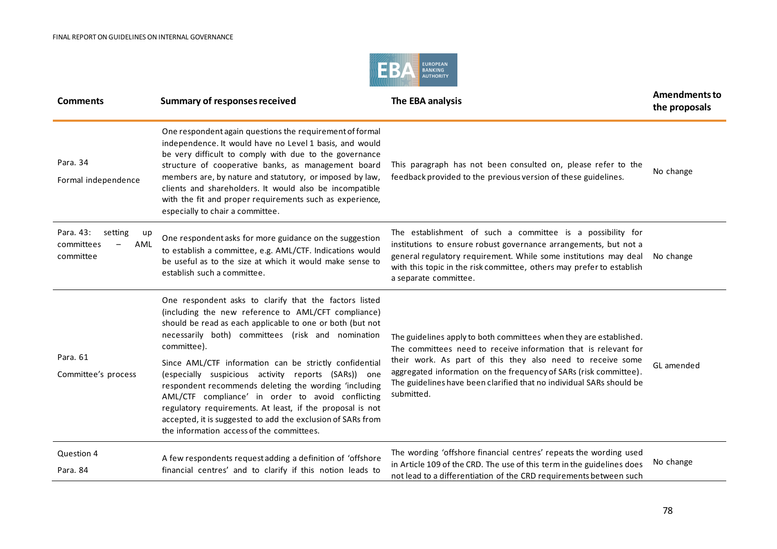

| <b>Comments</b>                                              | <b>Summary of responses received</b>                                                                                                                                                                                                                                                                                                                                                                                                                                                                                                                                                                                                                   | The EBA analysis                                                                                                                                                                                                                                                                                                                                               | <b>Amendments to</b><br>the proposals |
|--------------------------------------------------------------|--------------------------------------------------------------------------------------------------------------------------------------------------------------------------------------------------------------------------------------------------------------------------------------------------------------------------------------------------------------------------------------------------------------------------------------------------------------------------------------------------------------------------------------------------------------------------------------------------------------------------------------------------------|----------------------------------------------------------------------------------------------------------------------------------------------------------------------------------------------------------------------------------------------------------------------------------------------------------------------------------------------------------------|---------------------------------------|
| Para, 34<br>Formal independence                              | One respondent again questions the requirement of formal<br>independence. It would have no Level 1 basis, and would<br>be very difficult to comply with due to the governance<br>structure of cooperative banks, as management board<br>members are, by nature and statutory, or imposed by law,<br>clients and shareholders. It would also be incompatible<br>with the fit and proper requirements such as experience,<br>especially to chair a committee.                                                                                                                                                                                            | This paragraph has not been consulted on, please refer to the<br>feedback provided to the previous version of these guidelines.                                                                                                                                                                                                                                | No change                             |
| Para, 43:<br>setting<br>up<br>committees<br>AML<br>committee | One respondent asks for more guidance on the suggestion<br>to establish a committee, e.g. AML/CTF. Indications would<br>be useful as to the size at which it would make sense to<br>establish such a committee.                                                                                                                                                                                                                                                                                                                                                                                                                                        | The establishment of such a committee is a possibility for<br>institutions to ensure robust governance arrangements, but not a<br>general regulatory requirement. While some institutions may deal<br>with this topic in the risk committee, others may prefer to establish<br>a separate committee.                                                           | No change                             |
| Para, 61<br>Committee's process                              | One respondent asks to clarify that the factors listed<br>(including the new reference to AML/CFT compliance)<br>should be read as each applicable to one or both (but not<br>necessarily both) committees (risk and nomination<br>committee).<br>Since AML/CTF information can be strictly confidential<br>(especially suspicious activity reports (SARs)) one<br>respondent recommends deleting the wording 'including<br>AML/CTF compliance' in order to avoid conflicting<br>regulatory requirements. At least, if the proposal is not<br>accepted, it is suggested to add the exclusion of SARs from<br>the information access of the committees. | The guidelines apply to both committees when they are established.<br>The committees need to receive information that is relevant for<br>their work. As part of this they also need to receive some<br>aggregated information on the frequency of SARs (risk committee).<br>The guidelines have been clarified that no individual SARs should be<br>submitted. | GL amended                            |
| Question 4<br>Para, 84                                       | A few respondents request adding a definition of 'offshore<br>financial centres' and to clarify if this notion leads to                                                                                                                                                                                                                                                                                                                                                                                                                                                                                                                                | The wording 'offshore financial centres' repeats the wording used<br>in Article 109 of the CRD. The use of this term in the guidelines does<br>not lead to a differentiation of the CRD requirements between such                                                                                                                                              | No change                             |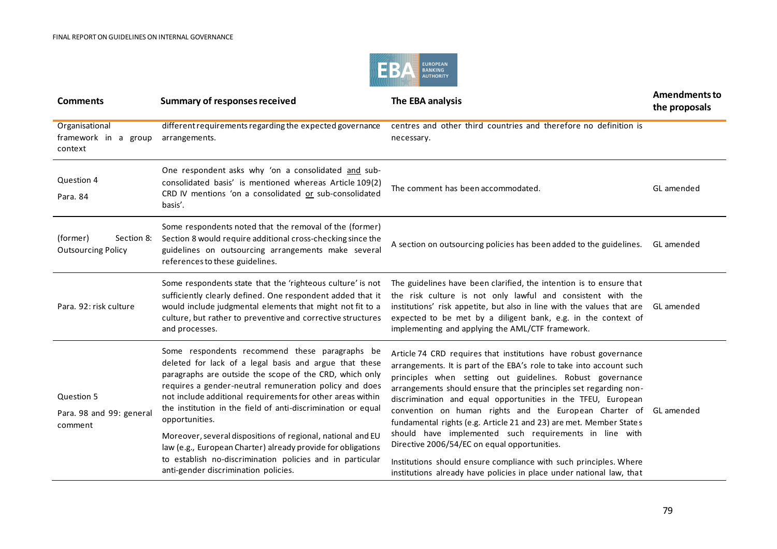

| <b>Comments</b>                                     | <b>Summary of responses received</b>                                                                                                                                                                                                                                                                                                                                                                                                                                                                         | The EBA analysis                                                                                                                                                                                                                                                                                                                                                                                                                                                                                                                                                                     | <b>Amendments to</b><br>the proposals |
|-----------------------------------------------------|--------------------------------------------------------------------------------------------------------------------------------------------------------------------------------------------------------------------------------------------------------------------------------------------------------------------------------------------------------------------------------------------------------------------------------------------------------------------------------------------------------------|--------------------------------------------------------------------------------------------------------------------------------------------------------------------------------------------------------------------------------------------------------------------------------------------------------------------------------------------------------------------------------------------------------------------------------------------------------------------------------------------------------------------------------------------------------------------------------------|---------------------------------------|
| Organisational<br>framework in a group<br>context   | different requirements regarding the expected governance<br>arrangements.                                                                                                                                                                                                                                                                                                                                                                                                                                    | centres and other third countries and therefore no definition is<br>necessary.                                                                                                                                                                                                                                                                                                                                                                                                                                                                                                       |                                       |
| Question 4<br>Para. 84                              | One respondent asks why 'on a consolidated and sub-<br>consolidated basis' is mentioned whereas Article 109(2)<br>CRD IV mentions 'on a consolidated or sub-consolidated<br>basis'.                                                                                                                                                                                                                                                                                                                          | The comment has been accommodated.                                                                                                                                                                                                                                                                                                                                                                                                                                                                                                                                                   | GL amended                            |
| (former)<br>Section 8:<br><b>Outsourcing Policy</b> | Some respondents noted that the removal of the (former)<br>Section 8 would require additional cross-checking since the<br>guidelines on outsourcing arrangements make several<br>references to these guidelines.                                                                                                                                                                                                                                                                                             | A section on outsourcing policies has been added to the guidelines.                                                                                                                                                                                                                                                                                                                                                                                                                                                                                                                  | GL amended                            |
| Para. 92: risk culture                              | Some respondents state that the 'righteous culture' is not<br>sufficiently clearly defined. One respondent added that it<br>would include judgmental elements that might not fit to a<br>culture, but rather to preventive and corrective structures<br>and processes.                                                                                                                                                                                                                                       | The guidelines have been clarified, the intention is to ensure that<br>the risk culture is not only lawful and consistent with the<br>institutions' risk appetite, but also in line with the values that are<br>expected to be met by a diligent bank, e.g. in the context of<br>implementing and applying the AML/CTF framework.                                                                                                                                                                                                                                                    | GL amended                            |
| Question 5<br>Para. 98 and 99: general<br>comment   | Some respondents recommend these paragraphs be<br>deleted for lack of a legal basis and argue that these<br>paragraphs are outside the scope of the CRD, which only<br>requires a gender-neutral remuneration policy and does<br>not include additional requirements for other areas within<br>the institution in the field of anti-discrimination or equal<br>opportunities.<br>Moreover, several dispositions of regional, national and EU<br>law (e.g., European Charter) already provide for obligations | Article 74 CRD requires that institutions have robust governance<br>arrangements. It is part of the EBA's role to take into account such<br>principles when setting out guidelines. Robust governance<br>arrangements should ensure that the principles set regarding non-<br>discrimination and equal opportunities in the TFEU, European<br>convention on human rights and the European Charter of<br>fundamental rights (e.g. Article 21 and 23) are met. Member States<br>should have implemented such requirements in line with<br>Directive 2006/54/EC on equal opportunities. | GL amended                            |
|                                                     | to establish no-discrimination policies and in particular<br>anti-gender discrimination policies.                                                                                                                                                                                                                                                                                                                                                                                                            | Institutions should ensure compliance with such principles. Where<br>institutions already have policies in place under national law, that                                                                                                                                                                                                                                                                                                                                                                                                                                            |                                       |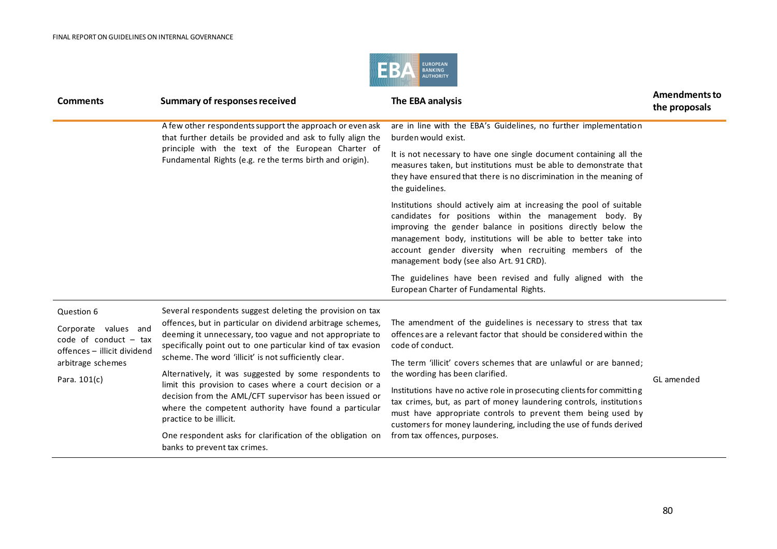

| <b>Comments</b>                                                                | <b>Summary of responses received</b>                                                                                                                                                                                                      | The EBA analysis                                                                                                                                                                                                                                                                                                                                                       | <b>Amendments to</b><br>the proposals |
|--------------------------------------------------------------------------------|-------------------------------------------------------------------------------------------------------------------------------------------------------------------------------------------------------------------------------------------|------------------------------------------------------------------------------------------------------------------------------------------------------------------------------------------------------------------------------------------------------------------------------------------------------------------------------------------------------------------------|---------------------------------------|
|                                                                                | A few other respondents support the approach or even ask<br>that further details be provided and ask to fully align the                                                                                                                   | are in line with the EBA's Guidelines, no further implementation<br>burden would exist.                                                                                                                                                                                                                                                                                |                                       |
|                                                                                | principle with the text of the European Charter of<br>Fundamental Rights (e.g. re the terms birth and origin).                                                                                                                            | It is not necessary to have one single document containing all the<br>measures taken, but institutions must be able to demonstrate that<br>they have ensured that there is no discrimination in the meaning of<br>the guidelines.                                                                                                                                      |                                       |
|                                                                                |                                                                                                                                                                                                                                           | Institutions should actively aim at increasing the pool of suitable<br>candidates for positions within the management body. By<br>improving the gender balance in positions directly below the<br>management body, institutions will be able to better take into<br>account gender diversity when recruiting members of the<br>management body (see also Art. 91 CRD). |                                       |
|                                                                                |                                                                                                                                                                                                                                           | The guidelines have been revised and fully aligned with the<br>European Charter of Fundamental Rights.                                                                                                                                                                                                                                                                 |                                       |
| Question 6                                                                     | Several respondents suggest deleting the provision on tax                                                                                                                                                                                 |                                                                                                                                                                                                                                                                                                                                                                        |                                       |
| Corporate values and<br>code of conduct $-$ tax<br>offences - illicit dividend | offences, but in particular on dividend arbitrage schemes,<br>deeming it unnecessary, too vague and not appropriate to<br>specifically point out to one particular kind of tax evasion                                                    | The amendment of the guidelines is necessary to stress that tax<br>offences are a relevant factor that should be considered within the<br>code of conduct.                                                                                                                                                                                                             |                                       |
| arbitrage schemes                                                              | scheme. The word 'illicit' is not sufficiently clear.                                                                                                                                                                                     | The term 'illicit' covers schemes that are unlawful or are banned;                                                                                                                                                                                                                                                                                                     |                                       |
| Para. 101(c)                                                                   | Alternatively, it was suggested by some respondents to<br>limit this provision to cases where a court decision or a                                                                                                                       | the wording has been clarified.                                                                                                                                                                                                                                                                                                                                        | GL amended                            |
|                                                                                | decision from the AML/CFT supervisor has been issued or<br>where the competent authority have found a particular<br>practice to be illicit.<br>One respondent asks for clarification of the obligation on<br>banks to prevent tax crimes. | Institutions have no active role in prosecuting clients for committing<br>tax crimes, but, as part of money laundering controls, institutions<br>must have appropriate controls to prevent them being used by<br>customers for money laundering, including the use of funds derived                                                                                    |                                       |
|                                                                                |                                                                                                                                                                                                                                           | from tax offences, purposes.                                                                                                                                                                                                                                                                                                                                           |                                       |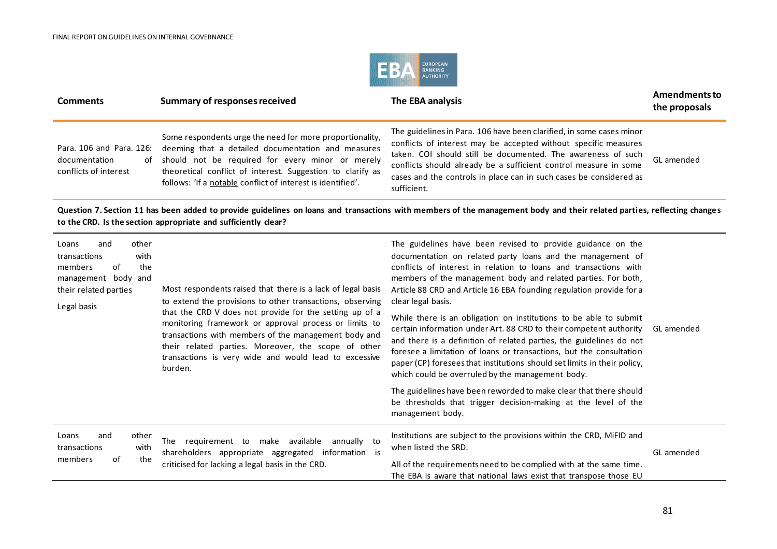

| <b>Comments</b>                                                                                                                                                                                                                           | Summary of responses received                                                                                                                                                                                                                                                                                                                                                                                                   | The EBA analysis                                                                                                                                                                                                                                                                                                                                                                                                                                                                                                                                                                                                                                                                                                                                                                     | <b>Amendments to</b><br>the proposals |  |
|-------------------------------------------------------------------------------------------------------------------------------------------------------------------------------------------------------------------------------------------|---------------------------------------------------------------------------------------------------------------------------------------------------------------------------------------------------------------------------------------------------------------------------------------------------------------------------------------------------------------------------------------------------------------------------------|--------------------------------------------------------------------------------------------------------------------------------------------------------------------------------------------------------------------------------------------------------------------------------------------------------------------------------------------------------------------------------------------------------------------------------------------------------------------------------------------------------------------------------------------------------------------------------------------------------------------------------------------------------------------------------------------------------------------------------------------------------------------------------------|---------------------------------------|--|
| Para. 106 and Para. 126:<br>documentation<br>of<br>conflicts of interest                                                                                                                                                                  | Some respondents urge the need for more proportionality,<br>deeming that a detailed documentation and measures<br>should not be required for every minor or merely<br>theoretical conflict of interest. Suggestion to clarify as<br>follows: 'If a notable conflict of interest is identified'.                                                                                                                                 | The guidelines in Para. 106 have been clarified, in some cases minor<br>conflicts of interest may be accepted without specific measures<br>taken. COI should still be documented. The awareness of such<br>conflicts should already be a sufficient control measure in some<br>cases and the controls in place can in such cases be considered as<br>sufficient.                                                                                                                                                                                                                                                                                                                                                                                                                     | GI amended                            |  |
| Question 7. Section 11 has been added to provide guidelines on loans and transactions with members of the management body and their related parties, reflecting changes<br>to the CRD. Is the section appropriate and sufficiently clear? |                                                                                                                                                                                                                                                                                                                                                                                                                                 |                                                                                                                                                                                                                                                                                                                                                                                                                                                                                                                                                                                                                                                                                                                                                                                      |                                       |  |
| other<br>Loans<br>and<br>with<br>transactions<br>members<br>of<br>the<br>management body and<br>their related parties<br>Legal basis                                                                                                      | Most respondents raised that there is a lack of legal basis<br>to extend the provisions to other transactions, observing<br>that the CRD V does not provide for the setting up of a<br>monitoring framework or approval process or limits to<br>transactions with members of the management body and<br>their related parties. Moreover, the scope of other<br>transactions is very wide and would lead to excessive<br>burden. | The guidelines have been revised to provide guidance on the<br>documentation on related party loans and the management of<br>conflicts of interest in relation to loans and transactions with<br>members of the management body and related parties. For both,<br>Article 88 CRD and Article 16 EBA founding regulation provide for a<br>clear legal basis.<br>While there is an obligation on institutions to be able to submit<br>certain information under Art. 88 CRD to their competent authority<br>and there is a definition of related parties, the guidelines do not<br>foresee a limitation of loans or transactions, but the consultation<br>paper (CP) foresees that institutions should set limits in their policy,<br>which could be overruled by the management body. | GL amended                            |  |

The guidelines have been reworded to make clear that there should be thresholds that trigger decision-making at the level of the management body.

| other<br>and<br>Loans<br>The<br>requirement to<br>make available<br>annually to<br>transactions<br>with<br>shareholders appropriate aggregated<br>information<br>the<br>members<br>ot<br>criticised for lacking a legal basis in the CRD. |  | Institutions are subject to the provisions within the CRD, MiFID and<br>when listed the SRD.<br>All of the requirements need to be complied with at the same time.<br>The EBA is aware that national laws exist that transpose those EU | GL amended |
|-------------------------------------------------------------------------------------------------------------------------------------------------------------------------------------------------------------------------------------------|--|-----------------------------------------------------------------------------------------------------------------------------------------------------------------------------------------------------------------------------------------|------------|
|-------------------------------------------------------------------------------------------------------------------------------------------------------------------------------------------------------------------------------------------|--|-----------------------------------------------------------------------------------------------------------------------------------------------------------------------------------------------------------------------------------------|------------|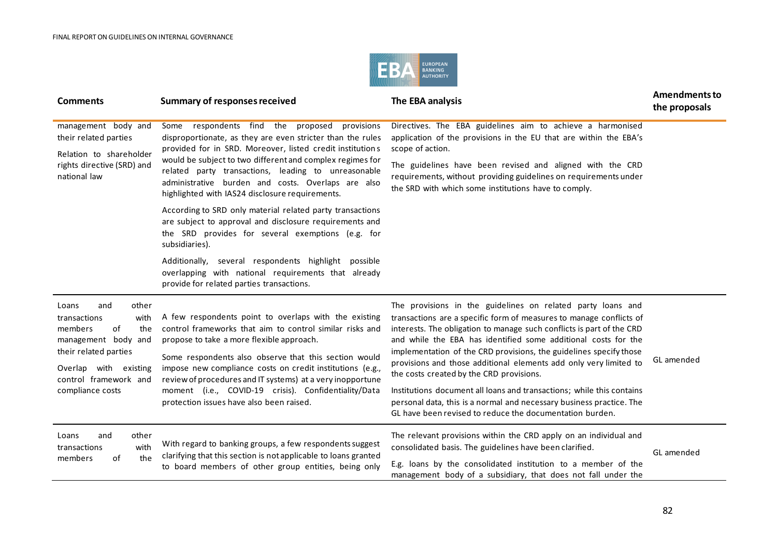

| <b>Comments</b>                                                                                                                                                                             | <b>Summary of responses received</b>                                                                                                                                                                                                                                                                                                                                                                                                                                                                                                                                                                                                                                                                                                                                   | The EBA analysis                                                                                                                                                                                                                                                                                                                                                                                                                                                                                                                                                                                                                                                                  | <b>Amendments to</b><br>the proposals |
|---------------------------------------------------------------------------------------------------------------------------------------------------------------------------------------------|------------------------------------------------------------------------------------------------------------------------------------------------------------------------------------------------------------------------------------------------------------------------------------------------------------------------------------------------------------------------------------------------------------------------------------------------------------------------------------------------------------------------------------------------------------------------------------------------------------------------------------------------------------------------------------------------------------------------------------------------------------------------|-----------------------------------------------------------------------------------------------------------------------------------------------------------------------------------------------------------------------------------------------------------------------------------------------------------------------------------------------------------------------------------------------------------------------------------------------------------------------------------------------------------------------------------------------------------------------------------------------------------------------------------------------------------------------------------|---------------------------------------|
| management body and<br>their related parties<br>Relation to shareholder<br>rights directive (SRD) and<br>national law                                                                       | respondents find the proposed<br>Some<br>provisions<br>disproportionate, as they are even stricter than the rules<br>provided for in SRD. Moreover, listed credit institutions<br>would be subject to two different and complex regimes for<br>related party transactions, leading to unreasonable<br>administrative burden and costs. Overlaps are also<br>highlighted with IAS24 disclosure requirements.<br>According to SRD only material related party transactions<br>are subject to approval and disclosure requirements and<br>the SRD provides for several exemptions (e.g. for<br>subsidiaries).<br>Additionally, several respondents highlight possible<br>overlapping with national requirements that already<br>provide for related parties transactions. | Directives. The EBA guidelines aim to achieve a harmonised<br>application of the provisions in the EU that are within the EBA's<br>scope of action.<br>The guidelines have been revised and aligned with the CRD<br>requirements, without providing guidelines on requirements under<br>the SRD with which some institutions have to comply.                                                                                                                                                                                                                                                                                                                                      |                                       |
| other<br>and<br>Loans<br>with<br>transactions<br>of<br>members<br>the<br>management body and<br>their related parties<br>Overlap with existing<br>control framework and<br>compliance costs | A few respondents point to overlaps with the existing<br>control frameworks that aim to control similar risks and<br>propose to take a more flexible approach.<br>Some respondents also observe that this section would<br>impose new compliance costs on credit institutions (e.g.,<br>review of procedures and IT systems) at a very inopportune<br>moment (i.e., COVID-19 crisis). Confidentiality/Data<br>protection issues have also been raised.                                                                                                                                                                                                                                                                                                                 | The provisions in the guidelines on related party loans and<br>transactions are a specific form of measures to manage conflicts of<br>interests. The obligation to manage such conflicts is part of the CRD<br>and while the EBA has identified some additional costs for the<br>implementation of the CRD provisions, the guidelines specify those<br>provisions and those additional elements add only very limited to<br>the costs created by the CRD provisions.<br>Institutions document all loans and transactions; while this contains<br>personal data, this is a normal and necessary business practice. The<br>GL have been revised to reduce the documentation burden. | GL amended                            |
| other<br>and<br>Loans<br>with<br>transactions<br>the<br>of<br>members                                                                                                                       | With regard to banking groups, a few respondents suggest<br>clarifying that this section is not applicable to loans granted<br>to board members of other group entities, being only                                                                                                                                                                                                                                                                                                                                                                                                                                                                                                                                                                                    | The relevant provisions within the CRD apply on an individual and<br>consolidated basis. The guidelines have been clarified.<br>E.g. loans by the consolidated institution to a member of the<br>management body of a subsidiary, that does not fall under the                                                                                                                                                                                                                                                                                                                                                                                                                    | GL amended                            |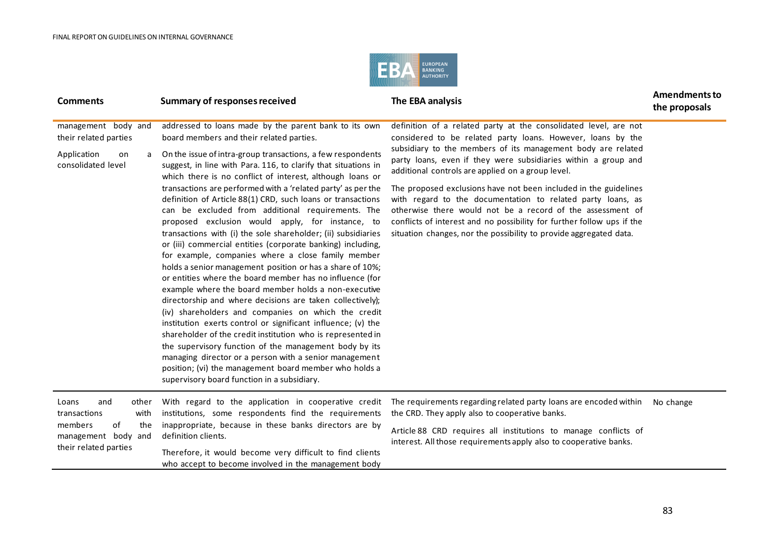

| <b>Comments</b>                                                                                                       | <b>Summary of responses received</b>                                                                                                                                                                                                                                                                                                                                                                                                                                                                                                                                                                                                                                                                                                                                                                                                                                                                                                                                                                                                                                                                                                                                                                                                                                                                                                                                                           | The EBA analysis                                                                                                                                                                                                                                                                                                                                                                                                                                                                                                                                                                                                                                                        | <b>Amendments to</b><br>the proposals |
|-----------------------------------------------------------------------------------------------------------------------|------------------------------------------------------------------------------------------------------------------------------------------------------------------------------------------------------------------------------------------------------------------------------------------------------------------------------------------------------------------------------------------------------------------------------------------------------------------------------------------------------------------------------------------------------------------------------------------------------------------------------------------------------------------------------------------------------------------------------------------------------------------------------------------------------------------------------------------------------------------------------------------------------------------------------------------------------------------------------------------------------------------------------------------------------------------------------------------------------------------------------------------------------------------------------------------------------------------------------------------------------------------------------------------------------------------------------------------------------------------------------------------------|-------------------------------------------------------------------------------------------------------------------------------------------------------------------------------------------------------------------------------------------------------------------------------------------------------------------------------------------------------------------------------------------------------------------------------------------------------------------------------------------------------------------------------------------------------------------------------------------------------------------------------------------------------------------------|---------------------------------------|
| management body and<br>their related parties<br>Application<br>on<br>a<br>consolidated level                          | addressed to loans made by the parent bank to its own<br>board members and their related parties.<br>On the issue of intra-group transactions, a few respondents<br>suggest, in line with Para. 116, to clarify that situations in<br>which there is no conflict of interest, although loans or<br>transactions are performed with a 'related party' as per the<br>definition of Article 88(1) CRD, such loans or transactions<br>can be excluded from additional requirements. The<br>proposed exclusion would apply, for instance, to<br>transactions with (i) the sole shareholder; (ii) subsidiaries<br>or (iii) commercial entities (corporate banking) including,<br>for example, companies where a close family member<br>holds a senior management position or has a share of 10%;<br>or entities where the board member has no influence (for<br>example where the board member holds a non-executive<br>directorship and where decisions are taken collectively);<br>(iv) shareholders and companies on which the credit<br>institution exerts control or significant influence; (v) the<br>shareholder of the credit institution who is represented in<br>the supervisory function of the management body by its<br>managing director or a person with a senior management<br>position; (vi) the management board member who holds a<br>supervisory board function in a subsidiary. | definition of a related party at the consolidated level, are not<br>considered to be related party loans. However, loans by the<br>subsidiary to the members of its management body are related<br>party loans, even if they were subsidiaries within a group and<br>additional controls are applied on a group level.<br>The proposed exclusions have not been included in the guidelines<br>with regard to the documentation to related party loans, as<br>otherwise there would not be a record of the assessment of<br>conflicts of interest and no possibility for further follow ups if the<br>situation changes, nor the possibility to provide aggregated data. |                                       |
| Loans<br>and<br>other<br>with<br>transactions<br>members<br>of<br>the<br>management body and<br>their related parties | With regard to the application in cooperative credit<br>institutions, some respondents find the requirements<br>inappropriate, because in these banks directors are by<br>definition clients.<br>Therefore, it would become very difficult to find clients<br>who accept to become involved in the management body                                                                                                                                                                                                                                                                                                                                                                                                                                                                                                                                                                                                                                                                                                                                                                                                                                                                                                                                                                                                                                                                             | The requirements regarding related party loans are encoded within<br>the CRD. They apply also to cooperative banks.<br>Article 88 CRD requires all institutions to manage conflicts of<br>interest. All those requirements apply also to cooperative banks.                                                                                                                                                                                                                                                                                                                                                                                                             | No change                             |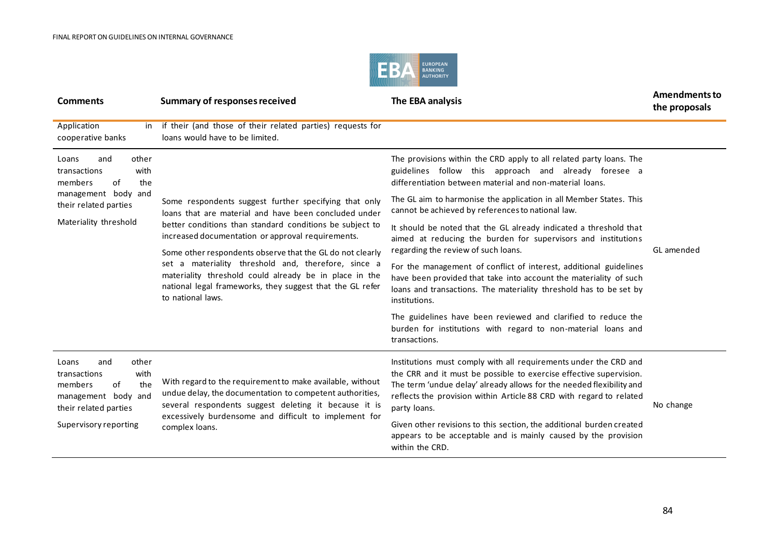

| <b>Comments</b>                                                                                                                                                                                                                                                                                                                                                                                             | <b>Summary of responses received</b>                                                                                                                                                                                                                                                                                                                                          | The EBA analysis                                                                                                                                                                                                              | <b>Amendments to</b><br>the proposals |
|-------------------------------------------------------------------------------------------------------------------------------------------------------------------------------------------------------------------------------------------------------------------------------------------------------------------------------------------------------------------------------------------------------------|-------------------------------------------------------------------------------------------------------------------------------------------------------------------------------------------------------------------------------------------------------------------------------------------------------------------------------------------------------------------------------|-------------------------------------------------------------------------------------------------------------------------------------------------------------------------------------------------------------------------------|---------------------------------------|
| Application<br>cooperative banks                                                                                                                                                                                                                                                                                                                                                                            | in if their (and those of their related parties) requests for<br>loans would have to be limited.                                                                                                                                                                                                                                                                              |                                                                                                                                                                                                                               |                                       |
| other<br>Loans<br>and<br>transactions<br>with<br>the<br>of<br>members                                                                                                                                                                                                                                                                                                                                       |                                                                                                                                                                                                                                                                                                                                                                               | The provisions within the CRD apply to all related party loans. The<br>guidelines follow this approach and already foresee a<br>differentiation between material and non-material loans.                                      |                                       |
| management body and<br>their related parties                                                                                                                                                                                                                                                                                                                                                                | Some respondents suggest further specifying that only<br>loans that are material and have been concluded under                                                                                                                                                                                                                                                                | The GL aim to harmonise the application in all Member States. This<br>cannot be achieved by references to national law.                                                                                                       |                                       |
| Materiality threshold                                                                                                                                                                                                                                                                                                                                                                                       | better conditions than standard conditions be subject to<br>increased documentation or approval requirements.<br>Some other respondents observe that the GL do not clearly<br>set a materiality threshold and, therefore, since a<br>materiality threshold could already be in place in the<br>national legal frameworks, they suggest that the GL refer<br>to national laws. | It should be noted that the GL already indicated a threshold that<br>aimed at reducing the burden for supervisors and institutions<br>regarding the review of such loans.                                                     | GL amended                            |
|                                                                                                                                                                                                                                                                                                                                                                                                             |                                                                                                                                                                                                                                                                                                                                                                               | For the management of conflict of interest, additional guidelines<br>have been provided that take into account the materiality of such<br>loans and transactions. The materiality threshold has to be set by<br>institutions. |                                       |
|                                                                                                                                                                                                                                                                                                                                                                                                             |                                                                                                                                                                                                                                                                                                                                                                               | The guidelines have been reviewed and clarified to reduce the<br>burden for institutions with regard to non-material loans and<br>transactions.                                                                               |                                       |
| other<br>Loans<br>and<br>with<br>transactions<br>With regard to the requirement to make available, without<br>of<br>the<br>members<br>undue delay, the documentation to competent authorities,<br>management body and<br>several respondents suggest deleting it because it is<br>their related parties<br>excessively burdensome and difficult to implement for<br>Supervisory reporting<br>complex loans. | Institutions must comply with all requirements under the CRD and<br>the CRR and it must be possible to exercise effective supervision.<br>The term 'undue delay' already allows for the needed flexibility and<br>reflects the provision within Article 88 CRD with regard to related<br>party loans.                                                                         | No change                                                                                                                                                                                                                     |                                       |
|                                                                                                                                                                                                                                                                                                                                                                                                             |                                                                                                                                                                                                                                                                                                                                                                               | Given other revisions to this section, the additional burden created<br>appears to be acceptable and is mainly caused by the provision<br>within the CRD.                                                                     |                                       |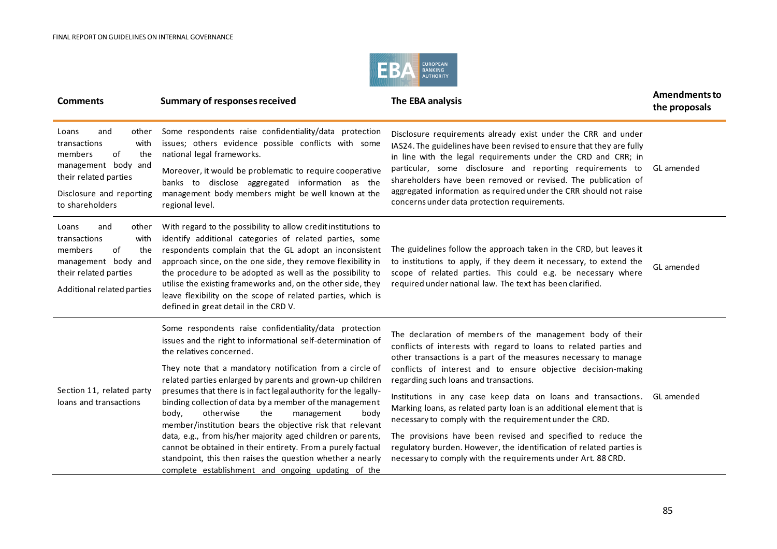

| <b>Comments</b>                                                                                                                                                      | <b>Summary of responses received</b>                                                                                                                                                                                                                                                                                                                                                                                                                                                                                                                                                                                                                                                                                                                                        | The EBA analysis                                                                                                                                                                                                                                                                                                                                                                                                                                                                                                                                                                                                                                                                                                             | <b>Amendments to</b><br>the proposals |
|----------------------------------------------------------------------------------------------------------------------------------------------------------------------|-----------------------------------------------------------------------------------------------------------------------------------------------------------------------------------------------------------------------------------------------------------------------------------------------------------------------------------------------------------------------------------------------------------------------------------------------------------------------------------------------------------------------------------------------------------------------------------------------------------------------------------------------------------------------------------------------------------------------------------------------------------------------------|------------------------------------------------------------------------------------------------------------------------------------------------------------------------------------------------------------------------------------------------------------------------------------------------------------------------------------------------------------------------------------------------------------------------------------------------------------------------------------------------------------------------------------------------------------------------------------------------------------------------------------------------------------------------------------------------------------------------------|---------------------------------------|
| Loans<br>and<br>other<br>transactions<br>with<br>of<br>members<br>the<br>management body and<br>their related parties<br>Disclosure and reporting<br>to shareholders | Some respondents raise confidentiality/data protection<br>issues; others evidence possible conflicts with some<br>national legal frameworks.<br>Moreover, it would be problematic to require cooperative<br>banks to disclose aggregated information as the<br>management body members might be well known at the<br>regional level.                                                                                                                                                                                                                                                                                                                                                                                                                                        | Disclosure requirements already exist under the CRR and under<br>IAS24. The guidelines have been revised to ensure that they are fully<br>in line with the legal requirements under the CRD and CRR; in<br>particular, some disclosure and reporting requirements to<br>shareholders have been removed or revised. The publication of<br>aggregated information as required under the CRR should not raise<br>concerns under data protection requirements.                                                                                                                                                                                                                                                                   | GL amended                            |
| and<br>other<br>Loans<br>with<br>transactions<br>of<br>members<br>the<br>management body and<br>their related parties<br>Additional related parties                  | With regard to the possibility to allow credit institutions to<br>identify additional categories of related parties, some<br>respondents complain that the GL adopt an inconsistent<br>approach since, on the one side, they remove flexibility in<br>the procedure to be adopted as well as the possibility to<br>utilise the existing frameworks and, on the other side, they<br>leave flexibility on the scope of related parties, which is<br>defined in great detail in the CRD V.                                                                                                                                                                                                                                                                                     | The guidelines follow the approach taken in the CRD, but leaves it<br>to institutions to apply, if they deem it necessary, to extend the<br>scope of related parties. This could e.g. be necessary where<br>required under national law. The text has been clarified.                                                                                                                                                                                                                                                                                                                                                                                                                                                        | GL amended                            |
| Section 11, related party<br>loans and transactions                                                                                                                  | Some respondents raise confidentiality/data protection<br>issues and the right to informational self-determination of<br>the relatives concerned.<br>They note that a mandatory notification from a circle of<br>related parties enlarged by parents and grown-up children<br>presumes that there is in fact legal authority for the legally-<br>binding collection of data by a member of the management<br>body,<br>otherwise<br>the<br>management<br>body<br>member/institution bears the objective risk that relevant<br>data, e.g., from his/her majority aged children or parents,<br>cannot be obtained in their entirety. From a purely factual<br>standpoint, this then raises the question whether a nearly<br>complete establishment and ongoing updating of the | The declaration of members of the management body of their<br>conflicts of interests with regard to loans to related parties and<br>other transactions is a part of the measures necessary to manage<br>conflicts of interest and to ensure objective decision-making<br>regarding such loans and transactions.<br>Institutions in any case keep data on loans and transactions.<br>Marking loans, as related party loan is an additional element that is<br>necessary to comply with the requirement under the CRD.<br>The provisions have been revised and specified to reduce the<br>regulatory burden. However, the identification of related parties is<br>necessary to comply with the requirements under Art. 88 CRD. | GL amended                            |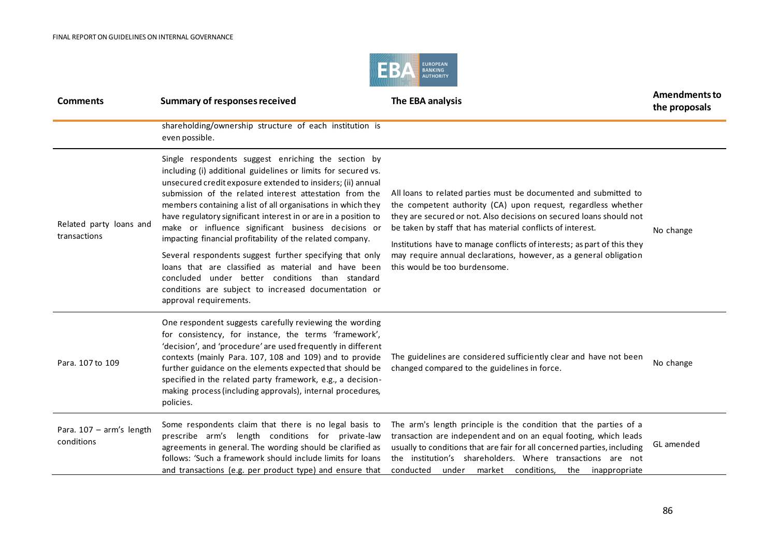

| <b>Comments</b>                         | <b>Summary of responses received</b>                                                                                                                                                                                                                                                                                                                                                                                                                                                                                                                                                                                                                                                                                                                          | The EBA analysis                                                                                                                                                                                                                                                                                                                                                                                                                                         | <b>Amendments to</b><br>the proposals |
|-----------------------------------------|---------------------------------------------------------------------------------------------------------------------------------------------------------------------------------------------------------------------------------------------------------------------------------------------------------------------------------------------------------------------------------------------------------------------------------------------------------------------------------------------------------------------------------------------------------------------------------------------------------------------------------------------------------------------------------------------------------------------------------------------------------------|----------------------------------------------------------------------------------------------------------------------------------------------------------------------------------------------------------------------------------------------------------------------------------------------------------------------------------------------------------------------------------------------------------------------------------------------------------|---------------------------------------|
|                                         | shareholding/ownership structure of each institution is<br>even possible.                                                                                                                                                                                                                                                                                                                                                                                                                                                                                                                                                                                                                                                                                     |                                                                                                                                                                                                                                                                                                                                                                                                                                                          |                                       |
| Related party loans and<br>transactions | Single respondents suggest enriching the section by<br>including (i) additional guidelines or limits for secured vs.<br>unsecured credit exposure extended to insiders; (ii) annual<br>submission of the related interest attestation from the<br>members containing a list of all organisations in which they<br>have regulatory significant interest in or are in a position to<br>make or influence significant business decisions or<br>impacting financial profitability of the related company.<br>Several respondents suggest further specifying that only<br>loans that are classified as material and have been<br>concluded under better conditions than standard<br>conditions are subject to increased documentation or<br>approval requirements. | All loans to related parties must be documented and submitted to<br>the competent authority (CA) upon request, regardless whether<br>they are secured or not. Also decisions on secured loans should not<br>be taken by staff that has material conflicts of interest.<br>Institutions have to manage conflicts of interests; as part of this they<br>may require annual declarations, however, as a general obligation<br>this would be too burdensome. | No change                             |
| Para. 107 to 109                        | One respondent suggests carefully reviewing the wording<br>for consistency, for instance, the terms 'framework',<br>'decision', and 'procedure' are used frequently in different<br>contexts (mainly Para. 107, 108 and 109) and to provide<br>further guidance on the elements expected that should be<br>specified in the related party framework, e.g., a decision-<br>making process (including approvals), internal procedures,<br>policies.                                                                                                                                                                                                                                                                                                             | The guidelines are considered sufficiently clear and have not been<br>changed compared to the guidelines in force.                                                                                                                                                                                                                                                                                                                                       | No change                             |
| Para. 107 - arm's length<br>conditions  | Some respondents claim that there is no legal basis to<br>prescribe arm's length conditions for private-law<br>agreements in general. The wording should be clarified as<br>follows: 'Such a framework should include limits for loans<br>and transactions (e.g. per product type) and ensure that                                                                                                                                                                                                                                                                                                                                                                                                                                                            | The arm's length principle is the condition that the parties of a<br>transaction are independent and on an equal footing, which leads<br>usually to conditions that are fair for all concerned parties, including<br>the institution's shareholders. Where transactions are not<br>conducted under market conditions, the inappropriate                                                                                                                  | GL amended                            |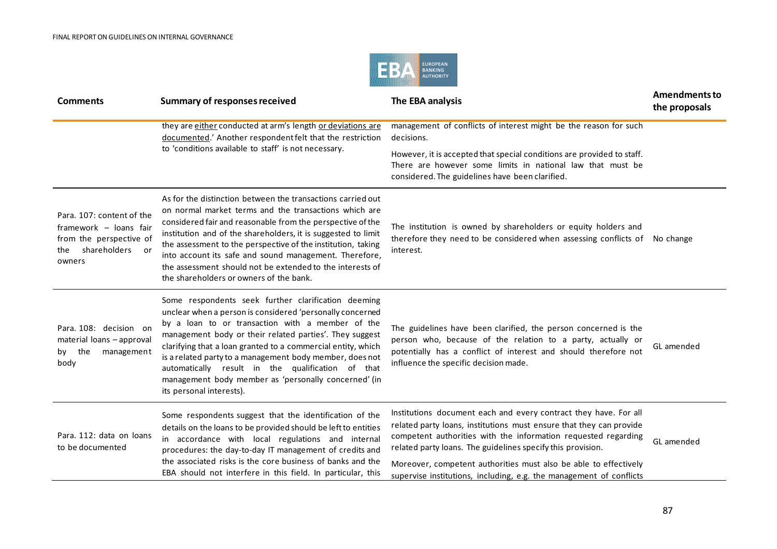

| <b>Comments</b>                                                                                                    | <b>Summary of responses received</b>                                                                                                                                                                                                                                                                                                                                                                                                                                                                 | The EBA analysis                                                                                                                                                                                                                                                                                                                                                                                                    | <b>Amendments to</b><br>the proposals |
|--------------------------------------------------------------------------------------------------------------------|------------------------------------------------------------------------------------------------------------------------------------------------------------------------------------------------------------------------------------------------------------------------------------------------------------------------------------------------------------------------------------------------------------------------------------------------------------------------------------------------------|---------------------------------------------------------------------------------------------------------------------------------------------------------------------------------------------------------------------------------------------------------------------------------------------------------------------------------------------------------------------------------------------------------------------|---------------------------------------|
|                                                                                                                    | they are either conducted at arm's length or deviations are<br>documented.' Another respondent felt that the restriction                                                                                                                                                                                                                                                                                                                                                                             | management of conflicts of interest might be the reason for such<br>decisions.                                                                                                                                                                                                                                                                                                                                      |                                       |
|                                                                                                                    | to 'conditions available to staff' is not necessary.                                                                                                                                                                                                                                                                                                                                                                                                                                                 | However, it is accepted that special conditions are provided to staff.<br>There are however some limits in national law that must be<br>considered. The guidelines have been clarified.                                                                                                                                                                                                                             |                                       |
| Para, 107: content of the<br>framework - loans fair<br>from the perspective of<br>shareholders or<br>the<br>owners | As for the distinction between the transactions carried out<br>on normal market terms and the transactions which are<br>considered fair and reasonable from the perspective of the<br>institution and of the shareholders, it is suggested to limit<br>the assessment to the perspective of the institution, taking<br>into account its safe and sound management. Therefore,<br>the assessment should not be extended to the interests of<br>the shareholders or owners of the bank.                | The institution is owned by shareholders or equity holders and<br>therefore they need to be considered when assessing conflicts of No change<br>interest.                                                                                                                                                                                                                                                           |                                       |
| Para, 108: decision on<br>material loans - approval<br>by the<br>management<br>body                                | Some respondents seek further clarification deeming<br>unclear when a person is considered 'personally concerned<br>by a loan to or transaction with a member of the<br>management body or their related parties'. They suggest<br>clarifying that a loan granted to a commercial entity, which<br>is a related party to a management body member, does not<br>automatically result in the qualification of that<br>management body member as 'personally concerned' (in<br>its personal interests). | The guidelines have been clarified, the person concerned is the<br>person who, because of the relation to a party, actually or<br>potentially has a conflict of interest and should therefore not<br>influence the specific decision made.                                                                                                                                                                          | GL amended                            |
| Para, 112: data on loans<br>to be documented                                                                       | Some respondents suggest that the identification of the<br>details on the loans to be provided should be left to entities<br>in accordance with local regulations and internal<br>procedures: the day-to-day IT management of credits and<br>the associated risks is the core business of banks and the<br>EBA should not interfere in this field. In particular, this                                                                                                                               | Institutions document each and every contract they have. For all<br>related party loans, institutions must ensure that they can provide<br>competent authorities with the information requested regarding<br>related party loans. The guidelines specify this provision.<br>Moreover, competent authorities must also be able to effectively<br>supervise institutions, including, e.g. the management of conflicts | GL amended                            |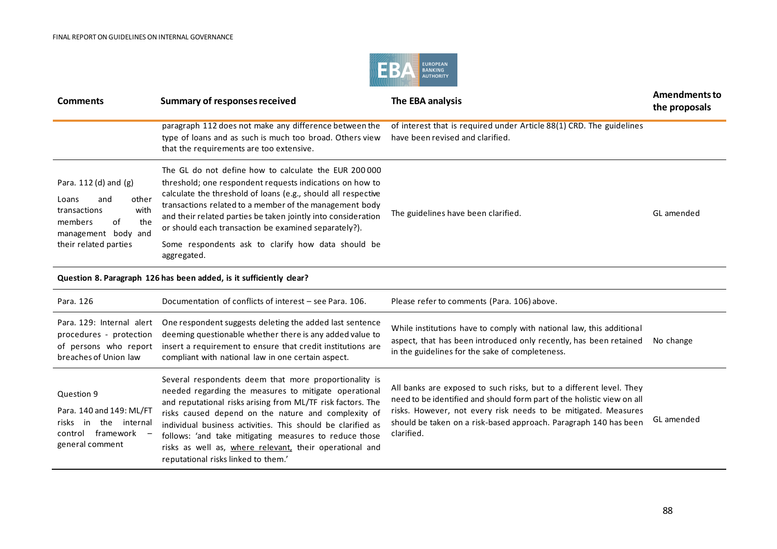

| <b>Comments</b>                                                                                                                                   | Summary of responses received                                                                                                                                                                                                                                                                                                                                                                                                              | The EBA analysis                                                                                         | Amendments to<br>the proposals |
|---------------------------------------------------------------------------------------------------------------------------------------------------|--------------------------------------------------------------------------------------------------------------------------------------------------------------------------------------------------------------------------------------------------------------------------------------------------------------------------------------------------------------------------------------------------------------------------------------------|----------------------------------------------------------------------------------------------------------|--------------------------------|
|                                                                                                                                                   | paragraph 112 does not make any difference between the<br>type of loans and as such is much too broad. Others view<br>that the requirements are too extensive.                                                                                                                                                                                                                                                                             | of interest that is required under Article 88(1) CRD. The guidelines<br>have been revised and clarified. |                                |
| Para. 112 (d) and (g)<br>other<br>Loans<br>and<br>with<br>transactions<br>the<br>of<br>members<br>management<br>body and<br>their related parties | The GL do not define how to calculate the EUR 200000<br>threshold; one respondent requests indications on how to<br>calculate the threshold of loans (e.g., should all respective<br>transactions related to a member of the management body<br>and their related parties be taken jointly into consideration<br>or should each transaction be examined separately?).<br>Some respondents ask to clarify how data should be<br>aggregated. | The guidelines have been clarified.                                                                      | GL amended                     |
|                                                                                                                                                   | Question 8. Paragraph 126 has been added, is it sufficiently clear?                                                                                                                                                                                                                                                                                                                                                                        |                                                                                                          |                                |
| Para, 126                                                                                                                                         | Documentation of conflicts of interest – see Para, 106.                                                                                                                                                                                                                                                                                                                                                                                    | Please refer to comments (Para. 106) above.                                                              |                                |
|                                                                                                                                                   |                                                                                                                                                                                                                                                                                                                                                                                                                                            |                                                                                                          |                                |

| Para. 129: Internal alert<br>procedures - protection<br>of persons who report<br>breaches of Union law       | One respondent suggests deleting the added last sentence<br>deeming questionable whether there is any added value to<br>insert a requirement to ensure that credit institutions are<br>compliant with national law in one certain aspect.                                                                                                                                                                                                                       | While institutions have to comply with national law, this additional<br>aspect, that has been introduced only recently, has been retained<br>in the guidelines for the sake of completeness.                                                                                                      | No change  |
|--------------------------------------------------------------------------------------------------------------|-----------------------------------------------------------------------------------------------------------------------------------------------------------------------------------------------------------------------------------------------------------------------------------------------------------------------------------------------------------------------------------------------------------------------------------------------------------------|---------------------------------------------------------------------------------------------------------------------------------------------------------------------------------------------------------------------------------------------------------------------------------------------------|------------|
| Question 9<br>Para. 140 and 149: ML/FT<br>risks in the internal<br>framework –<br>control<br>general comment | Several respondents deem that more proportionality is<br>needed regarding the measures to mitigate operational<br>and reputational risks arising from ML/TF risk factors. The<br>risks caused depend on the nature and complexity of<br>individual business activities. This should be clarified as<br>follows: 'and take mitigating measures to reduce those<br>risks as well as, where relevant, their operational and<br>reputational risks linked to them.' | All banks are exposed to such risks, but to a different level. They<br>need to be identified and should form part of the holistic view on all<br>risks. However, not every risk needs to be mitigated. Measures<br>should be taken on a risk-based approach. Paragraph 140 has been<br>clarified. | GL amended |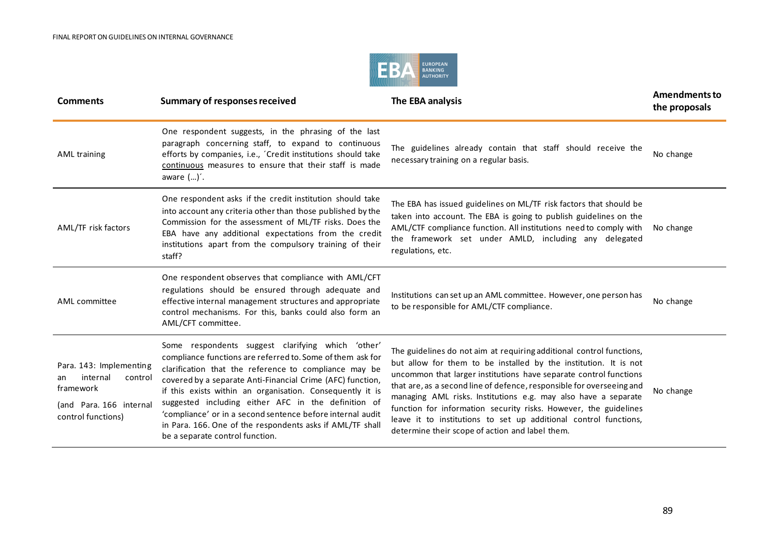

| <b>Comments</b>                                                                                                    | <b>Summary of responses received</b>                                                                                                                                                                                                                                                                                                                                                                                                                                                                                     | The EBA analysis                                                                                                                                                                                                                                                                                                                                                                                                                                                                                                                                    | Amendments to<br>the proposals |
|--------------------------------------------------------------------------------------------------------------------|--------------------------------------------------------------------------------------------------------------------------------------------------------------------------------------------------------------------------------------------------------------------------------------------------------------------------------------------------------------------------------------------------------------------------------------------------------------------------------------------------------------------------|-----------------------------------------------------------------------------------------------------------------------------------------------------------------------------------------------------------------------------------------------------------------------------------------------------------------------------------------------------------------------------------------------------------------------------------------------------------------------------------------------------------------------------------------------------|--------------------------------|
| <b>AML training</b>                                                                                                | One respondent suggests, in the phrasing of the last<br>paragraph concerning staff, to expand to continuous<br>efforts by companies, i.e., 'Credit institutions should take<br>continuous measures to ensure that their staff is made<br>aware $()'$ .                                                                                                                                                                                                                                                                   | The guidelines already contain that staff should receive the<br>necessary training on a regular basis.                                                                                                                                                                                                                                                                                                                                                                                                                                              | No change                      |
| AML/TF risk factors                                                                                                | One respondent asks if the credit institution should take<br>into account any criteria other than those published by the<br>Commission for the assessment of ML/TF risks. Does the<br>EBA have any additional expectations from the credit<br>institutions apart from the compulsory training of their<br>staff?                                                                                                                                                                                                         | The EBA has issued guidelines on ML/TF risk factors that should be<br>taken into account. The EBA is going to publish guidelines on the<br>AML/CTF compliance function. All institutions need to comply with<br>the framework set under AMLD, including any delegated<br>regulations, etc.                                                                                                                                                                                                                                                          | No change                      |
| AML committee                                                                                                      | One respondent observes that compliance with AML/CFT<br>regulations should be ensured through adequate and<br>effective internal management structures and appropriate<br>control mechanisms. For this, banks could also form an<br>AML/CFT committee.                                                                                                                                                                                                                                                                   | Institutions can set up an AML committee. However, one person has<br>to be responsible for AML/CTF compliance.                                                                                                                                                                                                                                                                                                                                                                                                                                      | No change                      |
| Para. 143: Implementing<br>internal<br>control<br>an<br>framework<br>(and Para, 166 internal<br>control functions) | Some respondents suggest clarifying which 'other'<br>compliance functions are referred to. Some of them ask for<br>clarification that the reference to compliance may be<br>covered by a separate Anti-Financial Crime (AFC) function,<br>if this exists within an organisation. Consequently it is<br>suggested including either AFC in the definition of<br>'compliance' or in a second sentence before internal audit<br>in Para. 166. One of the respondents asks if AML/TF shall<br>be a separate control function. | The guidelines do not aim at requiring additional control functions,<br>but allow for them to be installed by the institution. It is not<br>uncommon that larger institutions have separate control functions<br>that are, as a second line of defence, responsible for overseeing and<br>managing AML risks. Institutions e.g. may also have a separate<br>function for information security risks. However, the guidelines<br>leave it to institutions to set up additional control functions,<br>determine their scope of action and label them. | No change                      |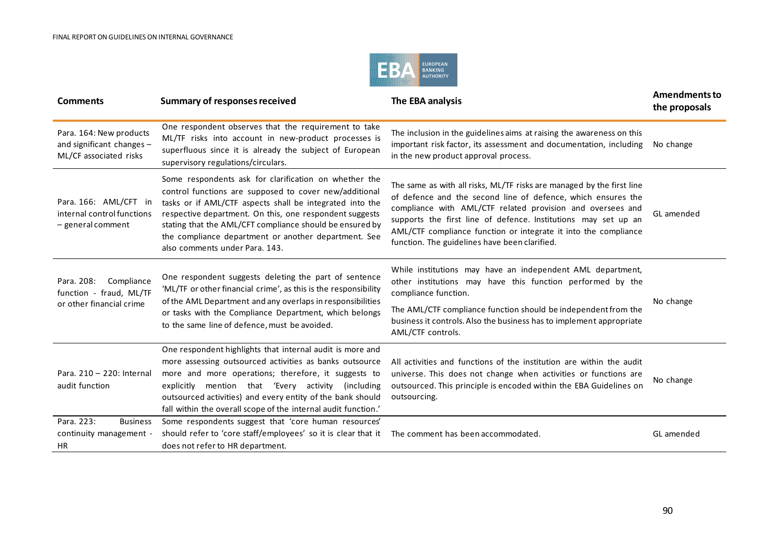

| <b>Comments</b>                                                                 | <b>Summary of responses received</b>                                                                                                                                                                                                                                                                                                                                                         | The EBA analysis                                                                                                                                                                                                                                                                                                                                                                          | <b>Amendments to</b><br>the proposals |
|---------------------------------------------------------------------------------|----------------------------------------------------------------------------------------------------------------------------------------------------------------------------------------------------------------------------------------------------------------------------------------------------------------------------------------------------------------------------------------------|-------------------------------------------------------------------------------------------------------------------------------------------------------------------------------------------------------------------------------------------------------------------------------------------------------------------------------------------------------------------------------------------|---------------------------------------|
| Para. 164: New products<br>and significant changes -<br>ML/CF associated risks  | One respondent observes that the requirement to take<br>ML/TF risks into account in new-product processes is<br>superfluous since it is already the subject of European<br>supervisory regulations/circulars.                                                                                                                                                                                | The inclusion in the guidelines aims at raising the awareness on this<br>important risk factor, its assessment and documentation, including<br>in the new product approval process.                                                                                                                                                                                                       | No change                             |
| Para. 166: AML/CFT in<br>internal control functions<br>- general comment        | Some respondents ask for clarification on whether the<br>control functions are supposed to cover new/additional<br>tasks or if AML/CTF aspects shall be integrated into the<br>respective department. On this, one respondent suggests<br>stating that the AML/CFT compliance should be ensured by<br>the compliance department or another department. See<br>also comments under Para, 143. | The same as with all risks, ML/TF risks are managed by the first line<br>of defence and the second line of defence, which ensures the<br>compliance with AML/CTF related provision and oversees and<br>supports the first line of defence. Institutions may set up an<br>AML/CTF compliance function or integrate it into the compliance<br>function. The guidelines have been clarified. | GL amended                            |
| Compliance<br>Para. 208:<br>function - fraud, ML/TF<br>or other financial crime | One respondent suggests deleting the part of sentence<br>'ML/TF or other financial crime', as this is the responsibility<br>of the AML Department and any overlaps in responsibilities<br>or tasks with the Compliance Department, which belongs<br>to the same line of defence, must be avoided.                                                                                            | While institutions may have an independent AML department,<br>other institutions may have this function performed by the<br>compliance function.<br>The AML/CTF compliance function should be independent from the<br>business it controls. Also the business has to implement appropriate<br>AML/CTF controls.                                                                           | No change                             |
| Para, 210 - 220: Internal<br>audit function                                     | One respondent highlights that internal audit is more and<br>more assessing outsourced activities as banks outsource<br>more and more operations; therefore, it suggests to<br>explicitly mention that 'Every activity<br>(including)<br>outsourced activities) and every entity of the bank should<br>fall within the overall scope of the internal audit function.'                        | All activities and functions of the institution are within the audit<br>universe. This does not change when activities or functions are<br>outsourced. This principle is encoded within the EBA Guidelines on<br>outsourcing.                                                                                                                                                             | No change                             |
| Para. 223:<br><b>Business</b><br>continuity management -<br><b>HR</b>           | Some respondents suggest that 'core human resources'<br>should refer to 'core staff/employees' so it is clear that it<br>does not refer to HR department.                                                                                                                                                                                                                                    | The comment has been accommodated.                                                                                                                                                                                                                                                                                                                                                        | GL amended                            |